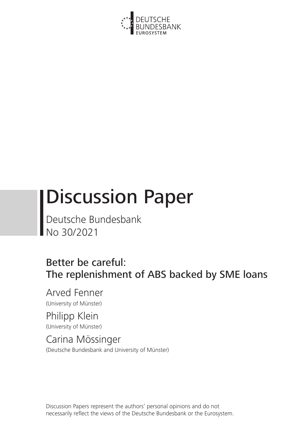

# Discussion Paper

Deutsche Bundesbank No 30/2021

# Better be careful: The replenishment of ABS backed by SME loans

Arved Fenner (University of Münster)

Philipp Klein (University of Münster)

Carina Mössinger (Deutsche Bundesbank and University of Münster)

Discussion Papers represent the authors' personal opinions and do not necessarily reflect the views of the Deutsche Bundesbank or the Eurosystem.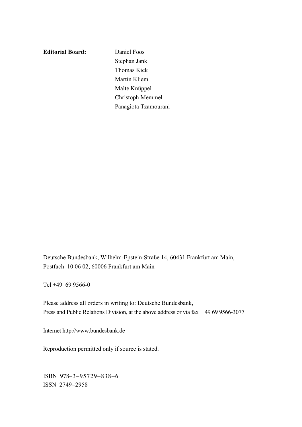**Editorial Board:** Daniel Foos

Stephan Jank Thomas Kick Martin Kliem Malte Knüppel Christoph Memmel Panagiota Tzamourani

Deutsche Bundesbank, Wilhelm-Epstein-Straße 14, 60431 Frankfurt am Main, Postfach 10 06 02, 60006 Frankfurt am Main

Tel +49 69 9566-0

Please address all orders in writing to: Deutsche Bundesbank, Press and Public Relations Division, at the above address or via fax +49 69 9566-3077

Internet http://www.bundesbank.de

Reproduction permitted only if source is stated.

ISBN 978–3–95729–838–6 ISSN 2749–2958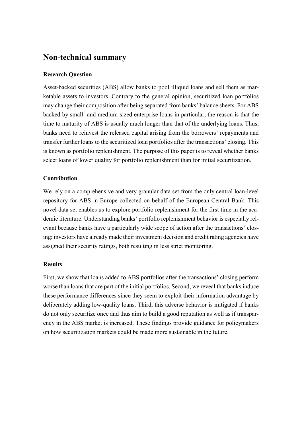# **Non-technical summary**

# **Research Question**

Asset-backed securities (ABS) allow banks to pool illiquid loans and sell them as marketable assets to investors. Contrary to the general opinion, securitized loan portfolios may change their composition after being separated from banks' balance sheets. For ABS backed by small- and medium-sized enterprise loans in particular, the reason is that the time to maturity of ABS is usually much longer than that of the underlying loans. Thus, banks need to reinvest the released capital arising from the borrowers' repayments and transfer further loans to the securitized loan portfolios after the transactions' closing. This is known as portfolio replenishment. The purpose of this paper is to reveal whether banks select loans of lower quality for portfolio replenishment than for initial securitization.

# **Contribution**

We rely on a comprehensive and very granular data set from the only central loan-level repository for ABS in Europe collected on behalf of the European Central Bank. This novel data set enables us to explore portfolio replenishment for the first time in the academic literature. Understanding banks' portfolio replenishment behavior is especially relevant because banks have a particularly wide scope of action after the transactions' closing: investors have already made their investment decision and credit rating agencies have assigned their security ratings, both resulting in less strict monitoring.

# **Results**

First, we show that loans added to ABS portfolios after the transactions' closing perform worse than loans that are part of the initial portfolios. Second, we reveal that banks induce these performance differences since they seem to exploit their information advantage by deliberately adding low-quality loans. Third, this adverse behavior is mitigated if banks do not only securitize once and thus aim to build a good reputation as well as if transparency in the ABS market is increased. These findings provide guidance for policymakers on how securitization markets could be made more sustainable in the future.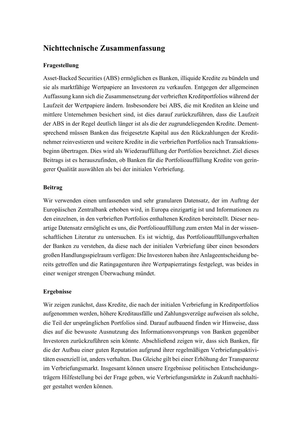# **Nichttechnische Zusammenfassung**

# **Fragestellung**

Asset-Backed Securities (ABS) ermöglichen es Banken, illiquide Kredite zu bündeln und sie als marktfähige Wertpapiere an Investoren zu verkaufen. Entgegen der allgemeinen Auffassung kann sich die Zusammensetzung der verbrieften Kreditportfolios während der Laufzeit der Wertpapiere ändern. Insbesondere bei ABS, die mit Krediten an kleine und mittlere Unternehmen besichert sind, ist dies darauf zurückzuführen, dass die Laufzeit der ABS in der Regel deutlich länger ist als die der zugrundeliegenden Kredite. Dementsprechend müssen Banken das freigesetzte Kapital aus den Rückzahlungen der Kreditnehmer reinvestieren und weitere Kredite in die verbrieften Portfolios nach Transaktionsbeginn übertragen. Dies wird als Wiederauffüllung der Portfolios bezeichnet. Ziel dieses Beitrags ist es herauszufinden, ob Banken für die Portfolioauffüllung Kredite von geringerer Qualität auswählen als bei der initialen Verbriefung.

# **Beitrag**

Wir verwenden einen umfassenden und sehr granularen Datensatz, der im Auftrag der Europäischen Zentralbank erhoben wird, in Europa einzigartig ist und Informationen zu den einzelnen, in den verbrieften Portfolios enthaltenen Krediten bereitstellt. Dieser neuartige Datensatz ermöglicht es uns, die Portfolioauffüllung zum ersten Mal in der wissenschaftlichen Literatur zu untersuchen. Es ist wichtig, das Portfolioauffüllungsverhalten der Banken zu verstehen, da diese nach der initialen Verbriefung über einen besonders großen Handlungsspielraum verfügen: Die Investoren haben ihre Anlageentscheidung bereits getroffen und die Ratingagenturen ihre Wertpapierratings festgelegt, was beides in einer weniger strengen Überwachung mündet.

# **Ergebnisse**

Wir zeigen zunächst, dass Kredite, die nach der initialen Verbriefung in Kreditportfolios aufgenommen werden, höhere Kreditausfälle und Zahlungsverzüge aufweisen als solche, die Teil der ursprünglichen Portfolios sind. Darauf aufbauend finden wir Hinweise, dass dies auf die bewusste Ausnutzung des Informationsvorsprungs von Banken gegenüber Investoren zurückzuführen sein könnte. Abschließend zeigen wir, dass sich Banken, für die der Aufbau einer guten Reputation aufgrund ihrer regelmäßigen Verbriefungsaktivitäten essenziell ist, anders verhalten. Das Gleiche gilt bei einer Erhöhung der Transparenz im Verbriefungsmarkt. Insgesamt können unsere Ergebnisse politischen Entscheidungsträgern Hilfestellung bei der Frage geben, wie Verbriefungsmärkte in Zukunft nachhaltiger gestaltet werden können.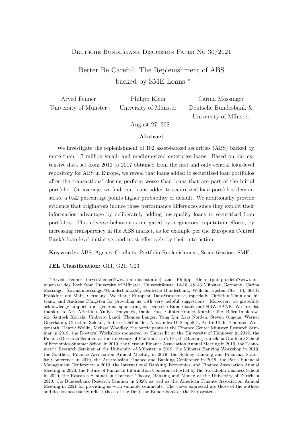## Deutsche Bundesbank Discussion Paper No 30/2021

# Better Be Careful: The Replenishment of ABS backed by SME Loans <sup>∗</sup>

| Arved Fenner          | Philipp Klein         | Carina Mössinger      |  |
|-----------------------|-----------------------|-----------------------|--|
| University of Münster | University of Münster | Deutsche Bundesbank & |  |
|                       |                       | University of Münster |  |

August 27, 2021

#### Abstract

We investigate the replenishment of  $102$  asset-backed securities (ABS) backed by more than 1.7 million small- and medium-sized enterprise loans. Based on our extensive data set from 2012 to 2017 obtained from the first and only central loan-level repository for ABS in Europe, we reveal that loans added to securitized loan portfolios after the transactions' closing perform worse than loans that are part of the initial portfolio. On average, we find that loans added to securitized loan portfolios demonstrate a 0.42 percentage points higher probability of default. We additionally provide evidence that originators induce these performance differences since they exploit their information advantage by deliberately adding low-quality loans to securitized loan portfolios. This adverse behavior is mitigated by originators' reputation efforts, by increasing transparency in the ABS market, as for example per the European Central Bank's loan-level initiative, and most effectively by their interaction.

Keywords: ABS, Agency Conflicts, Portfolio Replenishment, Securitization, SME

#### JEL Classification: G11, G21, G23

<sup>∗</sup>Arved Fenner (arved.fenner@wiwi.uni-muenster.de) and Philipp Klein (philipp.klein@wiwi.unimuenster.de), both from University of Münster, Universitätsstr. 14-16, 48143 Münster, Germany. Carina M¨ossinger (carina.moessinger@bundesbank.de), Deutsche Bundesbank, Wilhelm-Epstein-Str. 14, 60431 Frankfurt am Main, Germany. We thank European DataWarehouse, especially Christian Thun and his team, and Andreas Pfingsten for providing us with very helpful suggestions. Moreover, we gratefully acknowledge support from generous sponsoring by Deutsche Bundesbank and NRW.BANK. We are also thankful to Aris Aristidou, Yuliya Demyanyk, Daniel Foos, Günter Franke, Martin Götz, Björn Imbierowicz, Santosh Koirala, Umberto Landi, Thomas Langer, Yang Liu, Lars Norden, Steven Ongena, Werner Osterkamp, Christian Schlam, Judith C. Schneider, Alessandro D. Scopelliti, André Uhde, Thorsten Wingenroth, Henrik Wollin, Melissa Woodley, the participants at the Finance Center Münster Research Seminar in 2019, the Doctoral Workshop sponsored by Unicredit at the University of Hannover in 2019, the Finance Research Seminar at the University of Paderborn in 2019, the Banking Barcelona Graduate School of Economics Summer School in 2019, the German Finance Association Annual Meeting in 2019, the Econometric Research Seminar at the University of Münster in 2019, the Münster Banking Workshop in 2019, the Southern Finance Association Annual Meeting in 2019, the Sydney Banking and Financial Stability Conference in 2019, the Australasian Finance and Banking Conference in 2019, the Paris Financial Management Conference in 2019, the International Banking, Economics, and Finance Association Annual Meeting in 2020, the Future of Financial Information Conference hosted by the Stockholm Business School in 2020, the Research Seminar in Contract Theory, Banking and Money at the University of Zurich in 2020, the Bundesbank Research Seminar in 2020, as well as the American Finance Association Annual Meeting in 2021 for providing us with valuable comments. The views expressed are those of the authors and do not necessarily reflect those of the Deutsche Bundesbank or the Eurosystem.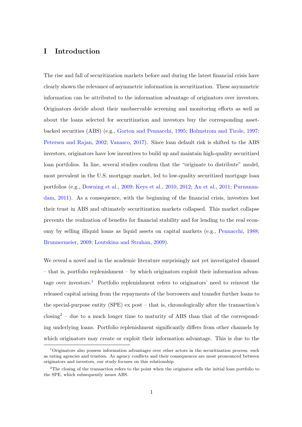# I Introduction

The rise and fall of securitization markets before and during the latest financial crisis have clearly shown the relevance of asymmetric information in securitization. These asymmetric information can be attributed to the information advantage of originators over investors. Originators decide about their unobservable screening and monitoring efforts as well as about the loans selected for securitization and investors buy the corresponding assetbacked securities (ABS) (e.g., [Gorton and Pennacchi,](#page-58-0) [1995;](#page-58-0) [Holmstrom and Tirole,](#page-58-1) [1997;](#page-58-1) [Petersen and Rajan,](#page-59-0) [2002;](#page-59-0) [Vanasco,](#page-60-0) [2017\)](#page-60-0). Since loan default risk is shifted to the ABS investors, originators have low incentives to build up and maintain high-quality securitized loan portfolios. In line, several studies confirm that the "originate to distribute" model, most prevalent in the U.S. mortgage market, led to low-quality securitized mortgage loan portfolios (e.g., [Downing et al.,](#page-57-0) [2009;](#page-57-0) [Keys et al.,](#page-58-2) [2010,](#page-58-2) [2012;](#page-58-3) [An et al.,](#page-56-0) [2011;](#page-56-0) [Purnanan](#page-59-1)[dam,](#page-59-1) [2011\)](#page-59-1). As a consequence, with the beginning of the financial crisis, investors lost their trust in ABS and ultimately securitization markets collapsed. This market collapse prevents the realization of benefits for financial stability and for lending to the real economy by selling illiquid loans as liquid assets on capital markets (e.g., [Pennacchi,](#page-59-2) [1988;](#page-59-2) [Brunnermeier,](#page-56-1) [2009;](#page-56-1) [Loutskina and Strahan,](#page-59-3) [2009\)](#page-59-3).

We reveal a novel and in the academic literature surprisingly not yet investigated channel – that is, portfolio replenishment – by which originators exploit their information advan-tage over investors.<sup>[1](#page--1-0)</sup> Portfolio replenishment refers to originators' need to reinvest the released capital arising from the repayments of the borrowers and transfer further loans to the special-purpose entity (SPE) ex post – that is, chronologically after the transaction's  $\rm{closing}^2$  $\rm{closing}^2$  – due to a much longer time to maturity of ABS than that of the corresponding underlying loans. Portfolio replenishment significantly differs from other channels by which originators may create or exploit their information advantage. This is due to the

<sup>1</sup>Originators also possess information advantages over other actors in the securitization process, such as rating agencies and trustees. As agency conflicts and their consequences are most pronounced between originators and investors, our study focuses on this relationship.

 $2<sup>2</sup>$ The closing of the transaction refers to the point when the originator sells the initial loan portfolio to the SPE, which subsequently issues ABS.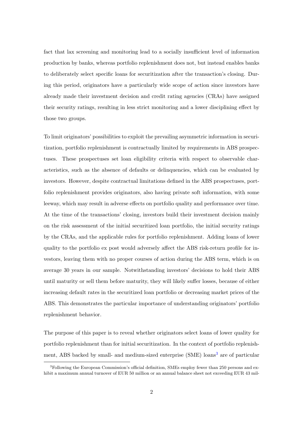fact that lax screening and monitoring lead to a socially insufficient level of information production by banks, whereas portfolio replenishment does not, but instead enables banks to deliberately select specific loans for securitization after the transaction's closing. During this period, originators have a particularly wide scope of action since investors have already made their investment decision and credit rating agencies (CRAs) have assigned their security ratings, resulting in less strict monitoring and a lower disciplining effect by those two groups.

To limit originators' possibilities to exploit the prevailing asymmetric information in securitization, portfolio replenishment is contractually limited by requirements in ABS prospectuses. These prospectuses set loan eligibility criteria with respect to observable characteristics, such as the absence of defaults or delinquencies, which can be evaluated by investors. However, despite contractual limitations defined in the ABS prospectuses, portfolio replenishment provides originators, also having private soft information, with some leeway, which may result in adverse effects on portfolio quality and performance over time. At the time of the transactions' closing, investors build their investment decision mainly on the risk assessment of the initial securitized loan portfolio, the initial security ratings by the CRAs, and the applicable rules for portfolio replenishment. Adding loans of lower quality to the portfolio ex post would adversely affect the ABS risk-return profile for investors, leaving them with no proper courses of action during the ABS term, which is on average 30 years in our sample. Notwithstanding investors' decisions to hold their ABS until maturity or sell them before maturity, they will likely suffer losses, because of either increasing default rates in the securitized loan portfolio or decreasing market prices of the ABS. This demonstrates the particular importance of understanding originators' portfolio replenishment behavior.

The purpose of this paper is to reveal whether originators select loans of lower quality for portfolio replenishment than for initial securitization. In the context of portfolio replenish-ment, ABS backed by small- and medium-sized enterprise (SME) loans<sup>[3](#page--1-0)</sup> are of particular

<sup>&</sup>lt;sup>3</sup>Following the European Commission's official definition, SMEs employ fewer than 250 persons and exhibit a maximum annual turnover of EUR 50 million or an annual balance sheet not exceeding EUR 43 mil-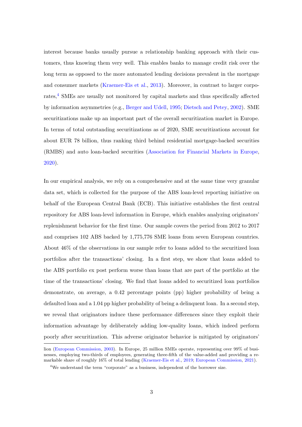interest because banks usually pursue a relationship banking approach with their customers, thus knowing them very well. This enables banks to manage credit risk over the long term as opposed to the more automated lending decisions prevalent in the mortgage and consumer markets [\(Kraemer-Eis et al.,](#page-59-4) [2013\)](#page-59-4). Moreover, in contrast to larger corpo-rates,<sup>[4](#page--1-0)</sup> SMEs are usually not monitored by capital markets and thus specifically affected by information asymmetries (e.g., [Berger and Udell,](#page-56-2) [1995;](#page-56-2) [Dietsch and Petey,](#page-56-3) [2002\)](#page-56-3). SME securitizations make up an important part of the overall securitization market in Europe. In terms of total outstanding securitizations as of 2020, SME securitizations account for about EUR 78 billion, thus ranking third behind residential mortgage-backed securities (RMBS) and auto loan-backed securities [\(Association for Financial Markets in Europe,](#page-56-4) [2020\)](#page-56-4).

In our empirical analysis, we rely on a comprehensive and at the same time very granular data set, which is collected for the purpose of the ABS loan-level reporting initiative on behalf of the European Central Bank (ECB). This initiative establishes the first central repository for ABS loan-level information in Europe, which enables analyzing originators' replenishment behavior for the first time. Our sample covers the period from 2012 to 2017 and comprises 102 ABS backed by 1,775,776 SME loans from seven European countries. About 46% of the observations in our sample refer to loans added to the securitized loan portfolios after the transactions' closing. In a first step, we show that loans added to the ABS portfolio ex post perform worse than loans that are part of the portfolio at the time of the transactions' closing. We find that loans added to securitized loan portfolios demonstrate, on average, a 0.42 percentage points (pp) higher probability of being a defaulted loan and a 1.04 pp higher probability of being a delinquent loan. In a second step, we reveal that originators induce these performance differences since they exploit their information advantage by deliberately adding low-quality loans, which indeed perform poorly after securitization. This adverse originator behavior is mitigated by originators'

lion [\(European Commission,](#page-57-1) [2003\)](#page-57-1). In Europe, 25 million SMEs operate, representing over 99% of businesses, employing two-thirds of employees, generating three-fifth of the value-added and providing a remarkable share of roughly 16% of total lending [\(Kraemer-Eis et al.,](#page-58-4) [2019;](#page-58-4) [European Commission,](#page-57-2) [2021\)](#page-57-2).

<sup>&</sup>lt;sup>4</sup>We understand the term "corporate" as a business, independent of the borrower size.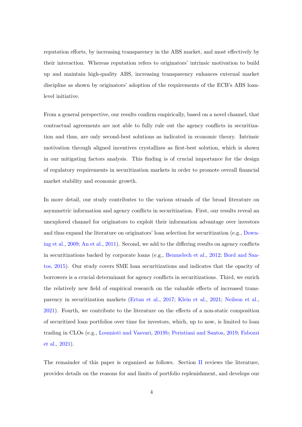reputation efforts, by increasing transparency in the ABS market, and most effectively by their interaction. Whereas reputation refers to originators' intrinsic motivation to build up and maintain high-quality ABS, increasing transparency enhances external market discipline as shown by originators' adoption of the requirements of the ECB's ABS loanlevel initiative.

From a general perspective, our results confirm empirically, based on a novel channel, that contractual agreements are not able to fully rule out the agency conflicts in securitization and thus, are only second-best solutions as indicated in economic theory. Intrinsic motivation through aligned incentives crystallizes as first-best solution, which is shown in our mitigating factors analysis. This finding is of crucial importance for the design of regulatory requirements in securitization markets in order to promote overall financial market stability and economic growth.

In more detail, our study contributes to the various strands of the broad literature on asymmetric information and agency conflicts in securitization. First, our results reveal an unexplored channel for originators to exploit their information advantage over investors and thus expand the literature on originators' loan selection for securitization (e.g., [Down](#page-57-0)[ing et al.,](#page-57-0) [2009;](#page-57-0) [An et al.,](#page-56-0) [2011\)](#page-56-0). Second, we add to the differing results on agency conflicts in securitizations backed by corporate loans (e.g., [Benmelech et al.,](#page-56-5) [2012;](#page-56-5) [Bord and San](#page-56-6)[tos,](#page-56-6) [2015\)](#page-56-6). Our study covers SME loan securitizations and indicates that the opacity of borrowers is a crucial determinant for agency conflicts in securitizations. Third, we enrich the relatively new field of empirical research on the valuable effects of increased transparency in securitization markets [\(Ertan et al.,](#page-57-3) [2017;](#page-57-3) [Klein et al.,](#page-58-5) [2021;](#page-58-5) [Neilson et al.,](#page-59-5) [2021\)](#page-59-5). Fourth, we contribute to the literature on the effects of a non-static composition of securitized loan portfolios over time for investors, which, up to now, is limited to loan trading in CLOs (e.g., [Loumioti and Vasvari,](#page-59-6) [2019b;](#page-59-6) [Peristiani and Santos,](#page-59-7) [2019;](#page-59-7) [Fabozzi](#page-57-4) [et al.,](#page-57-4) [2021\)](#page-57-4).

The remainder of this paper is organized as follows. Section [II](#page-9-0) reviews the literature, provides details on the reasons for and limits of portfolio replenishment, and develops our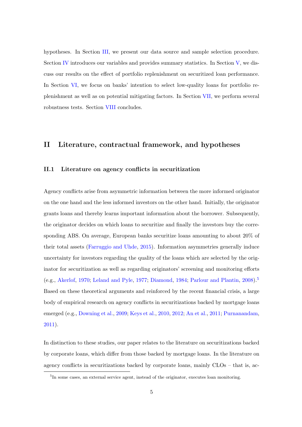hypotheses. In Section [III,](#page-15-0) we present our data source and sample selection procedure. Section [IV](#page-17-0) introduces our variables and provides summary statistics. In Section [V,](#page-26-0) we discuss our results on the effect of portfolio replenishment on securitized loan performance. In Section [VI,](#page-35-0) we focus on banks' intention to select low-quality loans for portfolio replenishment as well as on potential mitigating factors. In Section [VII,](#page-50-0) we perform several robustness tests. Section [VIII](#page-54-0) concludes.

# <span id="page-9-0"></span>II Literature, contractual framework, and hypotheses

# II.1 Literature on agency conflicts in securitization

Agency conflicts arise from asymmetric information between the more informed originator on the one hand and the less informed investors on the other hand. Initially, the originator grants loans and thereby learns important information about the borrower. Subsequently, the originator decides on which loans to securitize and finally the investors buy the corresponding ABS. On average, European banks securitize loans amounting to about 20% of their total assets [\(Farruggio and Uhde,](#page-57-5) [2015\)](#page-57-5). Information asymmetries generally induce uncertainty for investors regarding the quality of the loans which are selected by the originator for securitization as well as regarding originators' screening and monitoring efforts (e.g., [Akerlof,](#page-56-7) [1970;](#page-56-7) [Leland and Pyle,](#page-59-8) [1977;](#page-59-8) [Diamond,](#page-56-8) [1984;](#page-56-8) [Parlour and Plantin,](#page-59-9) [2008\)](#page-59-9).[5](#page--1-0) Based on these theoretical arguments and reinforced by the recent financial crisis, a large body of empirical research on agency conflicts in securitizations backed by mortgage loans emerged (e.g., [Downing et al.,](#page-57-0) [2009;](#page-57-0) [Keys et al.,](#page-58-2) [2010,](#page-58-2) [2012;](#page-58-3) [An et al.,](#page-56-0) [2011;](#page-56-0) [Purnanandam,](#page-59-1) [2011\)](#page-59-1).

In distinction to these studies, our paper relates to the literature on securitizations backed by corporate loans, which differ from those backed by mortgage loans. In the literature on agency conflicts in securitizations backed by corporate loans, mainly CLOs – that is, ac-

<sup>&</sup>lt;sup>5</sup>In some cases, an external service agent, instead of the originator, executes loan monitoring.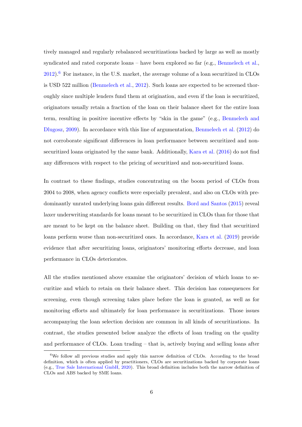tively managed and regularly rebalanced securitizations backed by large as well as mostly syndicated and rated corporate loans – have been explored so far (e.g., [Benmelech et al.,](#page-56-5)  $2012$ .<sup>[6](#page--1-0)</sup> For instance, in the U.S. market, the average volume of a loan securitized in CLOs is USD 522 million [\(Benmelech et al.,](#page-56-5) [2012\)](#page-56-5). Such loans are expected to be screened thoroughly since multiple lenders fund them at origination, and even if the loan is securitized, originators usually retain a fraction of the loan on their balance sheet for the entire loan term, resulting in positive incentive effects by "skin in the game" (e.g., [Benmelech and](#page-56-9) [Dlugosz,](#page-56-9) [2009\)](#page-56-9). In accordance with this line of argumentation, [Benmelech et al.](#page-56-5) [\(2012\)](#page-56-5) do not corroborate significant differences in loan performance between securitized and nonsecuritized loans originated by the same bank. Additionally, [Kara et al.](#page-58-6) [\(2016\)](#page-58-6) do not find any differences with respect to the pricing of securitized and non-securitized loans.

In contrast to these findings, studies concentrating on the boom period of CLOs from 2004 to 2008, when agency conflicts were especially prevalent, and also on CLOs with predominantly unrated underlying loans gain different results. [Bord and Santos](#page-56-6) [\(2015\)](#page-56-6) reveal laxer underwriting standards for loans meant to be securitized in CLOs than for those that are meant to be kept on the balance sheet. Building on that, they find that securitized loans perform worse than non-securitized ones. In accordance, [Kara et al.](#page-58-7) [\(2019\)](#page-58-7) provide evidence that after securitizing loans, originators' monitoring efforts decrease, and loan performance in CLOs deteriorates.

All the studies mentioned above examine the originators' decision of which loans to securitize and which to retain on their balance sheet. This decision has consequences for screening, even though screening takes place before the loan is granted, as well as for monitoring efforts and ultimately for loan performance in securitizations. Those issues accompanying the loan selection decision are common in all kinds of securitizations. In contrast, the studies presented below analyze the effects of loan trading on the quality and performance of CLOs. Loan trading – that is, actively buying and selling loans after

<sup>&</sup>lt;sup>6</sup>We follow all previous studies and apply this narrow definition of CLOs. According to the broad definition, which is often applied by practitioners, CLOs are securitizations backed by corporate loans (e.g., [True Sale International GmbH,](#page-60-1) [2020\)](#page-60-1). This broad definition includes both the narrow definition of CLOs and ABS backed by SME loans.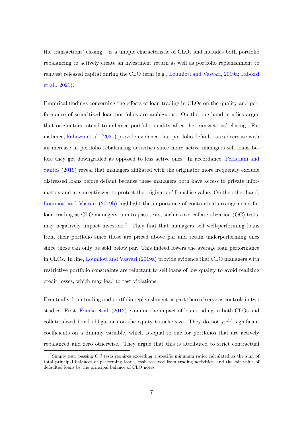the transactions' closing – is a unique characteristic of CLOs and includes both portfolio rebalancing to actively create an investment return as well as portfolio replenishment to reinvest released capital during the CLO term (e.g., [Loumioti and Vasvari,](#page-59-10) [2019a;](#page-59-10) [Fabozzi](#page-57-4) [et al.,](#page-57-4) [2021\)](#page-57-4).

Empirical findings concerning the effects of loan trading in CLOs on the quality and performance of securitized loan portfolios are ambiguous. On the one hand, studies argue that originators intend to enhance portfolio quality after the transactions' closing. For instance, [Fabozzi et al.](#page-57-4) [\(2021\)](#page-57-4) provide evidence that portfolio default rates decrease with an increase in portfolio rebalancing activities since more active managers sell loans before they get downgraded as opposed to less active ones. In accordance, [Peristiani and](#page-59-7) [Santos](#page-59-7) [\(2019\)](#page-59-7) reveal that managers affiliated with the originator more frequently exclude distressed loans before default because these managers both have access to private information and are incentivized to protect the originators' franchise value. On the other hand, [Loumioti and Vasvari](#page-59-6) [\(2019b\)](#page-59-6) highlight the importance of contractual arrangements for loan trading as CLO managers' aim to pass tests, such as overcollateralization (OC) tests, may negatively impact investors.<sup>[7](#page--1-0)</sup> They find that managers sell well-performing loans from their portfolio since those are priced above par and retain underperforming ones since those can only be sold below par. This indeed lowers the average loan performance in CLOs. In line, [Loumioti and Vasvari](#page-59-10) [\(2019a\)](#page-59-10) provide evidence that CLO managers with restrictive portfolio constraints are reluctant to sell loans of low quality to avoid realizing credit losses, which may lead to test violations.

Eventually, loan trading and portfolio replenishment as part thereof serve as controls in two studies. First, [Franke et al.](#page-57-6) [\(2012\)](#page-57-6) examine the impact of loan trading in both CLOs and collateralized bond obligations on the equity tranche size. They do not yield significant coefficients on a dummy variable, which is equal to one for portfolios that are actively rebalanced and zero otherwise. They argue that this is attributed to strict contractual

<sup>7</sup>Simply put, passing OC tests requires exceeding a specific minimum ratio, calculated as the sum of total principal balances of performing loans, cash received from trading activities, and the fair value of defaulted loans by the principal balance of CLO notes.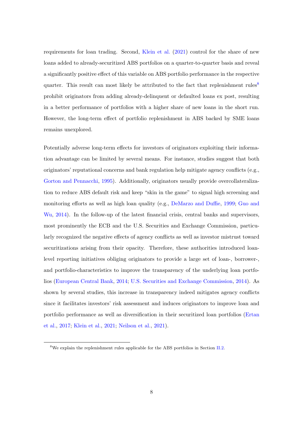requirements for loan trading. Second, [Klein et al.](#page-58-5) [\(2021\)](#page-58-5) control for the share of new loans added to already-securitized ABS portfolios on a quarter-to-quarter basis and reveal a significantly positive effect of this variable on ABS portfolio performance in the respective quarter. This result can most likely be attributed to the fact that replenishment rules<sup>[8](#page--1-0)</sup> prohibit originators from adding already-delinquent or defaulted loans ex post, resulting in a better performance of portfolios with a higher share of new loans in the short run. However, the long-term effect of portfolio replenishment in ABS backed by SME loans remains unexplored.

Potentially adverse long-term effects for investors of originators exploiting their information advantage can be limited by several means. For instance, studies suggest that both originators' reputational concerns and bank regulation help mitigate agency conflicts (e.g., [Gorton and Pennacchi,](#page-58-0) [1995\)](#page-58-0). Additionally, originators usually provide overcollateralization to reduce ABS default risk and keep "skin in the game" to signal high screening and monitoring efforts as well as high loan quality (e.g., [DeMarzo and Duffie,](#page-56-10) [1999;](#page-56-10) [Guo and](#page-58-8) [Wu,](#page-58-8) [2014\)](#page-58-8). In the follow-up of the latest financial crisis, central banks and supervisors, most prominently the ECB and the U.S. Securities and Exchange Commission, particularly recognized the negative effects of agency conflicts as well as investor mistrust toward securitizations arising from their opacity. Therefore, these authorities introduced loanlevel reporting initiatives obliging originators to provide a large set of loan-, borrower-, and portfolio-characteristics to improve the transparency of the underlying loan portfolios [\(European Central Bank,](#page-57-7) [2014;](#page-57-7) [U.S. Securities and Exchange Commission,](#page-60-2) [2014\)](#page-60-2). As shown by several studies, this increase in transparency indeed mitigates agency conflicts since it facilitates investors' risk assessment and induces originators to improve loan and portfolio performance as well as diversification in their securitized loan portfolios [\(Ertan](#page-57-3) [et al.,](#page-57-3) [2017;](#page-57-3) [Klein et al.,](#page-58-5) [2021;](#page-58-5) [Neilson et al.,](#page-59-5) [2021\)](#page-59-5).

<sup>8</sup>We explain the replenishment rules applicable for the ABS portfolios in Section [II.2.](#page-13-0)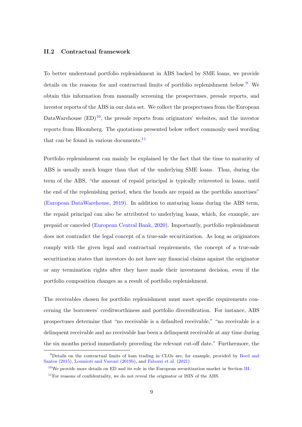# <span id="page-13-0"></span>II.2 Contractual framework

To better understand portfolio replenishment in ABS backed by SME loans, we provide details on the reasons for and contractual limits of portfolio replenishment below.<sup>[9](#page--1-0)</sup> We obtain this information from manually screening the prospectuses, presale reports, and investor reports of the ABS in our data set. We collect the prospectuses from the European DataWarehouse  $(ED)^{10}$  $(ED)^{10}$  $(ED)^{10}$ , the presale reports from originators' websites, and the investor reports from Bloomberg. The quotations presented below reflect commonly used wording that can be found in various documents. $\frac{11}{11}$  $\frac{11}{11}$  $\frac{11}{11}$ 

Portfolio replenishment can mainly be explained by the fact that the time to maturity of ABS is usually much longer than that of the underlying SME loans. Thus, during the term of the ABS, "the amount of repaid principal is typically reinvested in loans, until the end of the replenishing period, when the bonds are repaid as the portfolio amortises" [\(European DataWarehouse,](#page-57-8) [2019\)](#page-57-8). In addition to maturing loans during the ABS term, the repaid principal can also be attributed to underlying loans, which, for example, are prepaid or canceled [\(European Central Bank,](#page-57-9) [2020\)](#page-57-9). Importantly, portfolio replenishment does not contradict the legal concept of a true-sale securitization. As long as originators comply with the given legal and contractual requirements, the concept of a true-sale securitization states that investors do not have any financial claims against the originator or any termination rights after they have made their investment decision, even if the portfolio composition changes as a result of portfolio replenishment.

The receivables chosen for portfolio replenishment must meet specific requirements concerning the borrowers' creditworthiness and portfolio diversification. For instance, ABS prospectuses determine that "no receivable is a defaulted receivable," "no receivable is a delinquent receivable and no receivable has been a delinquent receivable at any time during the six months period immediately preceding the relevant cut-off date." Furthermore, the

<sup>9</sup>Details on the contractual limits of loan trading in CLOs are, for example, provided by [Bord and](#page-56-6) [Santos](#page-56-6) [\(2015\)](#page-56-6), [Loumioti and Vasvari](#page-59-6) [\(2019b\)](#page-59-6), and [Fabozzi et al.](#page-57-4) [\(2021\)](#page-57-4).

<sup>&</sup>lt;sup>10</sup>We provide more details on ED and its role in the European securitization market in Section [III.](#page-15-0)

 $11$ For reasons of confidentiality, we do not reveal the originator or ISIN of the ABS.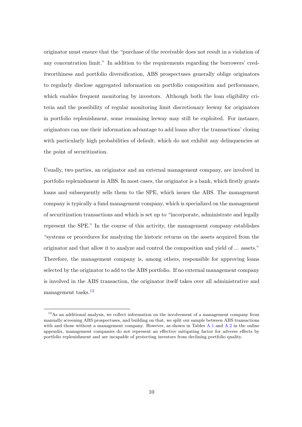originator must ensure that the "purchase of the receivable does not result in a violation of any concentration limit." In addition to the requirements regarding the borrowers' creditworthiness and portfolio diversification, ABS prospectuses generally oblige originators to regularly disclose aggregated information on portfolio composition and performance, which enables frequent monitoring by investors. Although both the loan eligibility criteria and the possibility of regular monitoring limit discretionary leeway for originators in portfolio replenishment, some remaining leeway may still be exploited. For instance, originators can use their information advantage to add loans after the transactions' closing with particularly high probabilities of default, which do not exhibit any delinquencies at the point of securitization.

Usually, two parties, an originator and an external management company, are involved in portfolio replenishment in ABS. In most cases, the originator is a bank, which firstly grants loans and subsequently sells them to the SPE, which issues the ABS. The management company is typically a fund management company, which is specialized on the management of securitization transactions and which is set up to "incorporate, administrate and legally represent the SPE." In the course of this activity, the management company establishes "systems or procedures for analyzing the historic returns on the assets acquired from the originator and that allow it to analyze and control the composition and yield of ... assets." Therefore, the management company is, among others, responsible for approving loans selected by the originator to add to the ABS portfolio. If no external management company is involved in the ABS transaction, the originator itself takes over all administrative and management tasks.[12](#page--1-0)

 $12\text{As}$  an additional analysis, we collect information on the involvement of a management company from manually screening ABS prospectuses, and building on that, we split our sample between ABS transactions with and those without a management company. However, as shown in Tables [A.1](#page-63-0) and [A.2](#page-64-0) in the online appendix, management companies do not represent an effective mitigating factor for adverse effects by portfolio replenishment and are incapable of protecting investors from declining portfolio quality.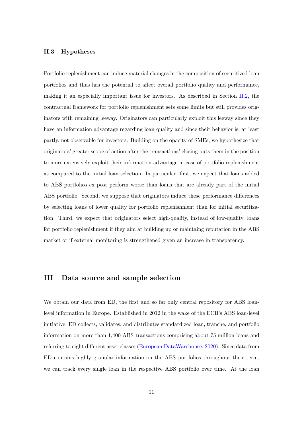#### <span id="page-15-1"></span>II.3 Hypotheses

Portfolio replenishment can induce material changes in the composition of securitized loan portfolios and thus has the potential to affect overall portfolio quality and performance, making it an especially important issue for investors. As described in Section [II.2,](#page-13-0) the contractual framework for portfolio replenishment sets some limits but still provides originators with remaining leeway. Originators can particularly exploit this leeway since they have an information advantage regarding loan quality and since their behavior is, at least partly, not observable for investors. Building on the opacity of SMEs, we hypothesize that originators' greater scope of action after the transactions' closing puts them in the position to more extensively exploit their information advantage in case of portfolio replenishment as compared to the initial loan selection. In particular, first, we expect that loans added to ABS portfolios ex post perform worse than loans that are already part of the initial ABS portfolio. Second, we suppose that originators induce these performance differences by selecting loans of lower quality for portfolio replenishment than for initial securitization. Third, we expect that originators select high-quality, instead of low-quality, loans for portfolio replenishment if they aim at building up or maintaing reputation in the ABS market or if external monitoring is strengthened given an increase in transparency.

# <span id="page-15-0"></span>III Data source and sample selection

We obtain our data from ED, the first and so far only central repository for ABS loanlevel information in Europe. Established in 2012 in the wake of the ECB's ABS loan-level initiative, ED collects, validates, and distributes standardized loan, tranche, and portfolio information on more than 1,400 ABS transactions comprising about 75 million loans and referring to eight different asset classes [\(European DataWarehouse,](#page-57-10) [2020\)](#page-57-10). Since data from ED contains highly granular information on the ABS portfolios throughout their term, we can track every single loan in the respective ABS portfolio over time. At the loan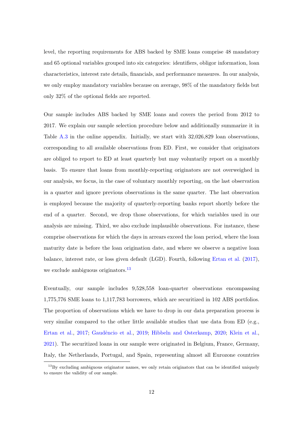level, the reporting requirements for ABS backed by SME loans comprise 48 mandatory and 65 optional variables grouped into six categories: identifiers, obligor information, loan characteristics, interest rate details, financials, and performance measures. In our analysis, we only employ mandatory variables because on average, 98% of the mandatory fields but only 32% of the optional fields are reported.

Our sample includes ABS backed by SME loans and covers the period from 2012 to 2017. We explain our sample selection procedure below and additionally summarize it in Table [A.3](#page-65-0) in the online appendix. Initially, we start with 32,026,829 loan observations, corresponding to all available observations from ED. First, we consider that originators are obliged to report to ED at least quarterly but may voluntarily report on a monthly basis. To ensure that loans from monthly-reporting originators are not overweighed in our analysis, we focus, in the case of voluntary monthly reporting, on the last observation in a quarter and ignore previous observations in the same quarter. The last observation is employed because the majority of quarterly-reporting banks report shortly before the end of a quarter. Second, we drop those observations, for which variables used in our analysis are missing. Third, we also exclude implausible observations. For instance, these comprise observations for which the days in arrears exceed the loan period, where the loan maturity date is before the loan origination date, and where we observe a negative loan balance, interest rate, or loss given default (LGD). Fourth, following [Ertan et al.](#page-57-3) [\(2017\)](#page-57-3), we exclude ambiguous originators.<sup>[13](#page--1-0)</sup>

Eventually, our sample includes 9,528,558 loan-quarter observations encompassing 1,775,776 SME loans to 1,117,783 borrowers, which are securitized in 102 ABS portfolios. The proportion of observations which we have to drop in our data preparation process is very similar compared to the other little available studies that use data from ED (e.g., [Ertan et al.,](#page-57-3) [2017;](#page-57-3) Gaudêncio et al., [2019;](#page-58-9) [Hibbeln and Osterkamp,](#page-58-10) [2020;](#page-58-10) [Klein et al.,](#page-58-5) [2021\)](#page-58-5). The securitized loans in our sample were originated in Belgium, France, Germany, Italy, the Netherlands, Portugal, and Spain, representing almost all Eurozone countries

 $^{13}$ By excluding ambiguous originator names, we only retain originators that can be identified uniquely to ensure the validity of our sample.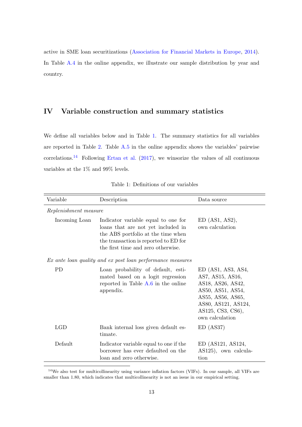active in SME loan securitizations [\(Association for Financial Markets in Europe,](#page-56-11) [2014\)](#page-56-11). In Table [A.4](#page-66-0) in the online appendix, we illustrate our sample distribution by year and country.

# <span id="page-17-0"></span>IV Variable construction and summary statistics

We define all variables below and in Table [1.](#page-17-1) The summary statistics for all variables are reported in Table [2.](#page-20-0) Table [A.5](#page-67-0) in the online appendix shows the variables' pairwise correlations.<sup>[14](#page--1-0)</sup> Following [Ertan et al.](#page-57-3)  $(2017)$ , we winsorize the values of all continuous variables at the 1% and 99% levels.

<span id="page-17-1"></span>

| Variable      | Description                                                                                                                                                                                    | Data source                                                                                                                                                            |  |  |  |  |  |  |  |
|---------------|------------------------------------------------------------------------------------------------------------------------------------------------------------------------------------------------|------------------------------------------------------------------------------------------------------------------------------------------------------------------------|--|--|--|--|--|--|--|
|               | Replenishment measure                                                                                                                                                                          |                                                                                                                                                                        |  |  |  |  |  |  |  |
| Incoming Loan | Indicator variable equal to one for<br>loans that are not yet included in<br>the ABS portfolio at the time when<br>the transaction is reported to ED for<br>the first time and zero otherwise. | $ED$ (AS1, AS2),<br>own calculation                                                                                                                                    |  |  |  |  |  |  |  |
|               | Ex ante loan quality and ex post loan performance measures                                                                                                                                     |                                                                                                                                                                        |  |  |  |  |  |  |  |
| <b>PD</b>     | Loan probability of default, esti-<br>mated based on a logit regression<br>reported in Table A.6 in the online<br>appendix.                                                                    | $ED$ (AS1, AS3, AS4,<br>AS7, AS15, AS16,<br>AS18, AS26, AS42,<br>AS50, AS51, AS54,<br>AS55, AS56, AS65,<br>AS80, AS121, AS124,<br>AS125, CS3, CS6),<br>own calculation |  |  |  |  |  |  |  |
| LGD           | Bank internal loss given default es-<br>timate.                                                                                                                                                | ED (AS37)                                                                                                                                                              |  |  |  |  |  |  |  |
| Default       | Indicator variable equal to one if the<br>borrower has ever defaulted on the<br>loan and zero otherwise.                                                                                       | ED(AS121, AS124,<br>AS125), own calcula-<br>tion                                                                                                                       |  |  |  |  |  |  |  |

<span id="page-17-2"></span>Table 1: Definitions of our variables

<sup>14</sup>We also test for multicollinearity using variance inflation factors (VIFs). In our sample, all VIFs are smaller than 1.80, which indicates that multicollinearity is not an issue in our empirical setting.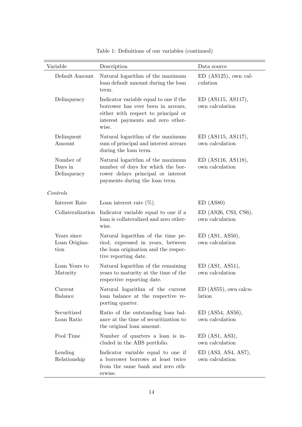| Variable                             | Description                                                                                                                                                       | Data source                               |
|--------------------------------------|-------------------------------------------------------------------------------------------------------------------------------------------------------------------|-------------------------------------------|
| Default Amount                       | Natural logarithm of the maximum<br>loan default amount during the loan<br>term.                                                                                  | $ED$ (AS125), own cal-<br>culation        |
| Delinquency                          | Indicator variable equal to one if the<br>borrower has ever been in arrears,<br>either with respect to principal or<br>interest payments and zero other-<br>wise. | ED (AS115, AS117),<br>own calculation     |
| Delinquent<br>Amount                 | Natural logarithm of the maximum<br>sum of principal and interest arrears<br>during the loan term.                                                                | ED (AS115, AS117),<br>own calculation     |
| Number of<br>Days in<br>Delinquency  | Natural logarithm of the maximum<br>number of days for which the bor-<br>rower delays principal or interest<br>payments during the loan term.                     | ED (AS116, AS118),<br>own calculation     |
| Controls                             |                                                                                                                                                                   |                                           |
| Interest Rate                        | Loan interest rate $(\%).$                                                                                                                                        | ED(ASS0)                                  |
| Collateralization                    | Indicator variable equal to one if a<br>loan is collateralized and zero other-<br>wise.                                                                           | $ED$ (AS26, CS3, CS6),<br>own calculation |
| Years since<br>Loan Origina-<br>tion | Natural logarithm of the time pe-<br>riod, expressed in years, between<br>the loan origination and the respec-<br>tive reporting date.                            | $ED$ (AS1, AS50),<br>own calculation      |
| Loan Years to<br>Maturity            | Natural logarithm of the remaining<br>years to maturity at the time of the<br>respective reporting date.                                                          | $ED$ (AS1, AS51),<br>own calculation      |
| Current<br><b>Balance</b>            | Natural logarithm of the current<br>loan balance at the respective re-<br>porting quarter.                                                                        | $ED(AS55)$ , own calcu-<br>lation         |
| Securitized<br>Loan Ratio            | Ratio of the outstanding loan bal-<br>ance at the time of securitization to<br>the original loan amount.                                                          | ED(AS54, AS56),<br>own calculation        |
| Pool Time                            | Number of quarters a loan is in-<br>cluded in the ABS portfolio.                                                                                                  | $ED$ (AS1, AS3),<br>own calculation       |
| Lending<br>Relationship              | Indicator variable equal to one if<br>a borrower borrows at least twice<br>from the same bank and zero oth-<br>erwise.                                            | $ED$ (AS3, AS4, AS7),<br>own calculation  |

Table 1: Definitions of our variables (continued)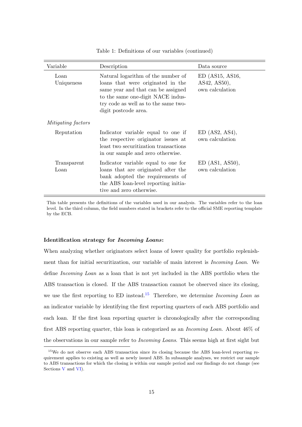| Variable                  | Description                                                                                                                                                                                                        | Data source                                          |
|---------------------------|--------------------------------------------------------------------------------------------------------------------------------------------------------------------------------------------------------------------|------------------------------------------------------|
| Loan<br>Uniqueness        | Natural logarithm of the number of<br>loans that were originated in the<br>same year and that can be assigned<br>to the same one-digit NACE indus-<br>try code as well as to the same two-<br>digit postcode area. | $ED$ (AS15, AS16,<br>AS42, AS50),<br>own calculation |
| <i>Mitigating factors</i> |                                                                                                                                                                                                                    |                                                      |
| Reputation                | Indicator variable equal to one if<br>the respective originator issues at<br>least two securitization transactions<br>in our sample and zero otherwise.                                                            | ED(AS2, AS4),<br>own calculation                     |
| Transparent<br>Loan       | Indicator variable equal to one for<br>loans that are originated after the<br>bank adopted the requirements of<br>the ABS loan-level reporting initia-<br>tive and zero otherwise.                                 | $ED$ (AS1, AS50),<br>own calculation                 |

Table 1: Definitions of our variables (continued)

This table presents the definitions of the variables used in our analysis. The variables refer to the loan level. In the third column, the field numbers stated in brackets refer to the official SME reporting template by the ECB.

#### Identification strategy for Incoming Loans:

When analyzing whether originators select loans of lower quality for portfolio replenishment than for initial securitization, our variable of main interest is Incoming Loan. We define Incoming Loan as a loan that is not yet included in the ABS portfolio when the ABS transaction is closed. If the ABS transaction cannot be observed since its closing, we use the first reporting to ED instead.<sup>[15](#page--1-0)</sup> Therefore, we determine *Incoming Loan* as an indicator variable by identifying the first reporting quarters of each ABS portfolio and each loan. If the first loan reporting quarter is chronologically after the corresponding first ABS reporting quarter, this loan is categorized as an Incoming Loan. About 46% of the observations in our sample refer to Incoming Loans. This seems high at first sight but

<sup>&</sup>lt;sup>15</sup>We do not observe each ABS transaction since its closing because the ABS loan-level reporting requirement applies to existing as well as newly issued ABS. In subsample analyses, we restrict our sample to ABS transactions for which the closing is within our sample period and our findings do not change (see Sections [V](#page-26-0) and [VI\)](#page-35-0).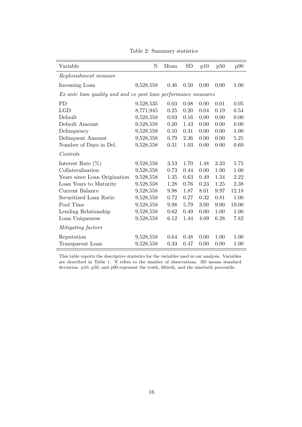<span id="page-20-0"></span>

| Variable                                                       | N         | Mean | <b>SD</b> | p10  | p50  | p90   |
|----------------------------------------------------------------|-----------|------|-----------|------|------|-------|
| Replenishment measure                                          |           |      |           |      |      |       |
| Incoming Loan                                                  | 9,528,558 | 0.46 | 0.50      | 0.00 | 0.00 | 1.00  |
| Ex ante loan quality and and ex post loan performance measures |           |      |           |      |      |       |
| <b>PD</b>                                                      | 9,528,535 | 0.03 | 0.08      | 0.00 | 0.01 | 0.05  |
| LGD                                                            | 8,771,945 | 0.25 | 0.20      | 0.04 | 0.19 | 0.54  |
| Default                                                        | 9,528,558 | 0.03 | 0.16      | 0.00 | 0.00 | 0.00  |
| Default Amount                                                 | 9,528,558 | 0.20 | 1.43      | 0.00 | 0.00 | 0.00  |
| Delinquency                                                    | 9,528,558 | 0.10 | 0.31      | 0.00 | 0.00 | 1.00  |
| Delinquent Amount                                              | 9,528,558 | 0.79 | 2.36      | 0.00 | 0.00 | 5.25  |
| Number of Days in Del.                                         | 9,528,558 | 0.31 | 1.03      | 0.00 | 0.00 | 0.69  |
| Controls                                                       |           |      |           |      |      |       |
| Interest Rate $(\%)$                                           | 9,528,558 | 3.53 | 1.70      | 1.48 | 3.33 | 5.75  |
| Collateralization                                              | 9,528,558 | 0.73 | 0.44      | 0.00 | 1.00 | 1.00  |
| Years since Loan Origination                                   | 9,528,558 | 1.35 | 0.63      | 0.49 | 1.34 | 2.22  |
| Loan Years to Maturity                                         | 9,528,558 | 1.28 | 0.76      | 0.23 | 1.25 | 2.38  |
| Current Balance                                                | 9,528,558 | 9.98 | 1.87      | 8.01 | 9.97 | 12.18 |
| Securitized Loan Ratio                                         | 9,528,558 | 0.72 | 0.27      | 0.32 | 0.81 | 1.00  |
| Pool Time                                                      | 9,528,558 | 9.98 | 5.79      | 3.00 | 9.00 | 19.00 |
| Lending Relationship                                           | 9,528,558 | 0.62 | 0.49      | 0.00 | 1.00 | 1.00  |
| Loan Uniqueness                                                | 9,528,558 | 6.12 | 1.44      | 4.09 | 6.28 | 7.82  |
| <i>Mitigating factors</i>                                      |           |      |           |      |      |       |
| Reputation                                                     | 9,528,558 | 0.64 | 0.48      | 0.00 | 1.00 | 1.00  |
| Transparent Loan                                               | 9,528,558 | 0.33 | 0.47      | 0.00 | 0.00 | 1.00  |

Table 2: Summary statistics

This table reports the descriptive statistics for the variables used in our analysis. Variables are described in [Ta](#page-17-1)ble 1. N refers to the number of observations. SD means standard deviation. p10, p50, and p90 represent the tenth, fiftieth, and the ninetieth percentile.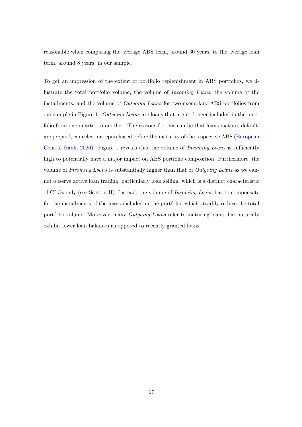reasonable when comparing the average ABS term, around 30 years, to the average loan term, around 8 years, in our sample.

To get an impression of the extent of portfolio replenishment in ABS portfolios, we illustrate the total portfolio volume, the volume of Incoming Loans, the volume of the installments, and the volume of Outgoing Loans for two exemplary ABS portfolios from our sample in Figure [1.](#page-22-0) Outgoing Loans are loans that are no longer included in the portfolio from one quarter to another. The reasons for this can be that loans mature, default, are prepaid, canceled, or repurchased before the maturity of the respective ABS [\(European](#page-57-9) [Central Bank,](#page-57-9) [2020\)](#page-57-9). Figure [1](#page-22-0) reveals that the volume of Incoming Loans is sufficiently high to potentially have a major impact on ABS portfolio composition. Furthermore, the volume of *Incoming Loans* is substantially higher than that of *Outgoing Loans* as we cannot observe active loan trading, particularly loan selling, which is a distinct characteristic of CLOs only (see Section [II\)](#page-9-0). Instead, the volume of Incoming Loans has to compensate for the installments of the loans included in the portfolio, which steadily reduce the total portfolio volume. Moreover, many *Outgoing Loans* refer to maturing loans that naturally exhibit lower loan balances as opposed to recently granted loans.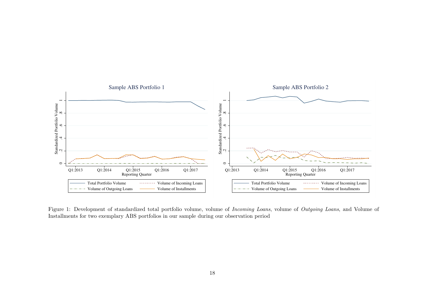<span id="page-22-0"></span>

Figure 1: Development of standardized total portfolio volume, volume of *Incoming Loans*, volume of *Outgoing Loans*, and Volume of Installments for two exemplary ABS portfolios in our sample during our observation period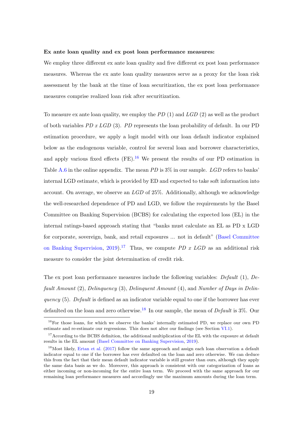#### Ex ante loan quality and ex post loan performance measures:

We employ three different ex ante loan quality and five different ex post loan performance measures. Whereas the ex ante loan quality measures serve as a proxy for the loan risk assessment by the bank at the time of loan securitization, the ex post loan performance measures comprise realized loan risk after securitization.

To measure ex ante loan quality, we employ the  $PD(1)$  and  $LGD(2)$  as well as the product of both variables  $PD x LGD (3)$ . PD represents the loan probability of default. In our PD estimation procedure, we apply a logit model with our loan default indicator explained below as the endogenous variable, control for several loan and borrower characteristics, and apply various fixed effects  $(FE)$ .<sup>[16](#page--1-0)</sup> We present the results of our PD estimation in Table [A.6](#page-68-0) in the online appendix. The mean PD is  $3\%$  in our sample. LGD refers to banks' internal LGD estimate, which is provided by ED and expected to take soft information into account. On average, we observe an  $LGD$  of 25%. Additionally, although we acknowledge the well-researched dependence of PD and LGD, we follow the requirements by the Basel Committee on Banking Supervision (BCBS) for calculating the expected loss (EL) in the internal ratings-based approach stating that "banks must calculate an EL as PD x LGD for corporate, sovereign, bank, and retail exposures ... not in default" [\(Basel Committee](#page-56-12) [on Banking Supervision,](#page-56-12) [2019\)](#page-56-12).<sup>[17](#page--1-0)</sup> Thus, we compute PD x LGD as an additional risk measure to consider the joint determination of credit risk.

The ex post loan performance measures include the following variables: Default (1), Default Amount (2), Delinquency (3), Delinquent Amount (4), and Number of Days in Delinquency  $(5)$ . Default is defined as an indicator variable equal to one if the borrower has ever defaulted on the loan and zero otherwise.<sup>[18](#page--1-0)</sup> In our sample, the mean of *Default* is  $3\%$ . Our

<sup>&</sup>lt;sup>16</sup>For those loans, for which we observe the banks' internally estimated PD, we replace our own PD estimate and re-estimate our regressions. This does not alter our findings (see Section [VI.1\)](#page-35-1).

<sup>&</sup>lt;sup>17</sup> According to the BCBS definition, the additional multiplication of the EL with the exposure at default results in the EL amount [\(Basel Committee on Banking Supervision,](#page-56-12) [2019\)](#page-56-12).

<sup>&</sup>lt;sup>18</sup>Most likely, [Ertan et al.](#page-57-3) [\(2017\)](#page-57-3) follow the same approach and assign each loan observation a default indicator equal to one if the borrower has ever defaulted on the loan and zero otherwise. We can deduce this from the fact that their mean default indicator variable is still greater than ours, although they apply the same data basis as we do. Moreover, this approach is consistent with our categorization of loans as either incoming or non-incoming for the entire loan term. We proceed with the same approach for our remaining loan performance measures and accordingly use the maximum amounts during the loan term.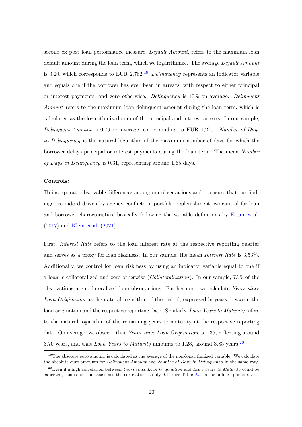second ex post loan performance measure, *Default Amount*, refers to the maximum loan default amount during the loan term, which we logarithmize. The average *Default Amount* is 0.20, which corresponds to EUR 2,762.<sup>[19](#page--1-0)</sup> Delinquency represents an indicator variable and equals one if the borrower has ever been in arrears, with respect to either principal or interest payments, and zero otherwise. Delinquency is 10% on average. Delinquent Amount refers to the maximum loan delinquent amount during the loan term, which is calculated as the logarithmized sum of the principal and interest arrears. In our sample, Delinquent Amount is 0.79 on average, corresponding to EUR 1,270. Number of Days in Delinquency is the natural logarithm of the maximum number of days for which the borrower delays principal or interest payments during the loan term. The mean Number of Days in Delinquency is 0.31, representing around 1.65 days.

#### Controls:

To incorporate observable differences among our observations and to ensure that our findings are indeed driven by agency conflicts in portfolio replenishment, we control for loan and borrower characteristics, basically following the variable definitions by [Ertan et al.](#page-57-3) [\(2017\)](#page-57-3) and [Klein et al.](#page-58-5) [\(2021\)](#page-58-5).

First, Interest Rate refers to the loan interest rate at the respective reporting quarter and serves as a proxy for loan riskiness. In our sample, the mean Interest Rate is 3.53%. Additionally, we control for loan riskiness by using an indicator variable equal to one if a loan is collateralized and zero otherwise (Collateralization). In our sample, 73% of the observations are collateralized loan observations. Furthermore, we calculate Years since Loan Origination as the natural logarithm of the period, expressed in years, between the loan origination and the respective reporting date. Similarly, Loan Years to Maturity refers to the natural logarithm of the remaining years to maturity at the respective reporting date. On average, we observe that Years since Loan Origination is 1.35, reflecting around 3.70 years, and that *Loan Years to Maturity* amounts to 1.28, around 3.83 years.<sup>[20](#page--1-0)</sup>

 $19$ The absolute euro amount is calculated as the average of the non-logarithmized variable. We calculate the absolute euro amounts for *Delinquent Amount* and *Number of Days in Delinquency* in the same way.

 $^{20}$ Even if a high correlation between *Years since Loan Origination* and *Loan Years to Maturity* could be expected, this is not the case since the correlation is only 0.15 (see Table [A.5](#page-67-0) in the online appendix).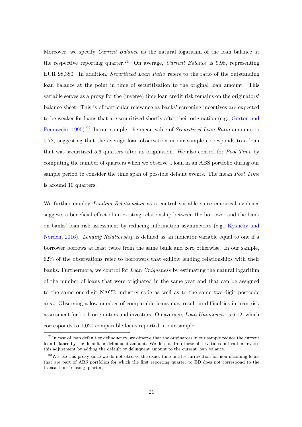Moreover, we specify Current Balance as the natural logarithm of the loan balance at the respective reporting quarter.<sup>[21](#page--1-0)</sup> On average, *Current Balance* is 9.98, representing EUR 98,380. In addition, Securitized Loan Ratio refers to the ratio of the outstanding loan balance at the point in time of securitization to the original loan amount. This variable serves as a proxy for the (inverse) time loan credit risk remains on the originators' balance sheet. This is of particular relevance as banks' screening incentives are expected to be weaker for loans that are securitized shortly after their origination (e.g., [Gorton and](#page-58-0) [Pennacchi,](#page-58-0) [1995\)](#page-58-0).<sup>[22](#page--1-0)</sup> In our sample, the mean value of *Securitized Loan Ratio* amounts to 0.72, suggesting that the average loan observation in our sample corresponds to a loan that was securitized 5.6 quarters after its origination. We also control for Pool Time by computing the number of quarters when we observe a loan in an ABS portfolio during our sample period to consider the time span of possible default events. The mean *Pool Time* is around 10 quarters.

We further employ *Lending Relationship* as a control variable since empirical evidence suggests a beneficial effect of an existing relationship between the borrower and the bank on banks' loan risk assessment by reducing information asymmetries (e.g., [Kysucky and](#page-59-11) [Norden,](#page-59-11) [2016\)](#page-59-11). Lending Relationship is defined as an indicator variable equal to one if a borrower borrows at least twice from the same bank and zero otherwise. In our sample, 62% of the observations refer to borrowers that exhibit lending relationships with their banks. Furthermore, we control for Loan Uniqueness by estimating the natural logarithm of the number of loans that were originated in the same year and that can be assigned to the same one-digit NACE industry code as well as to the same two-digit postcode area. Observing a low number of comparable loans may result in difficulties in loan risk assessment for both originators and investors. On average, Loan Uniqueness is 6.12, which corresponds to 1,020 comparable loans reported in our sample.

 $21$ In case of loan default or delinquency, we observe that the originators in our sample reduce the current loan balance by the default or delinquent amount. We do not drop these observations but rather reverse this adjustment by adding the default or delinquent amount to the current loan balance.

 $22$ We use this proxy since we do not observe the exact time until securitization for non-incoming loans that are part of ABS portfolios for which the first reporting quarter to ED does not correspond to the transactions' closing quarter.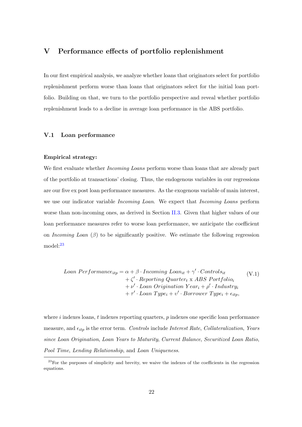# <span id="page-26-0"></span>V Performance effects of portfolio replenishment

In our first empirical analysis, we analyze whether loans that originators select for portfolio replenishment perform worse than loans that originators select for the initial loan portfolio. Building on that, we turn to the portfolio perspective and reveal whether portfolio replenishment leads to a decline in average loan performance in the ABS portfolio.

## <span id="page-26-1"></span>V.1 Loan performance

#### Empirical strategy:

We first evaluate whether *Incoming Loans* perform worse than loans that are already part of the portfolio at transactions' closing. Thus, the endogenous variables in our regressions are our five ex post loan performance measures. As the exogenous variable of main interest, we use our indicator variable *Incoming Loan*. We expect that *Incoming Loans* perform worse than non-incoming ones, as derived in Section [II.3.](#page-15-1) Given that higher values of our loan performance measures refer to worse loan performance, we anticipate the coefficient on Incoming Loan  $(\beta)$  to be significantly positive. We estimate the following regression model:[23](#page--1-0)

$$
Loan\,Performance_{itp} = \alpha + \beta \cdot Incoming\, Loan_{it} + \gamma' \cdot Controls_{it}
$$
  
+  $\zeta' \cdot Reporting\,Quarter_t \times ABS\, Portfolio_i$   
+  $\nu' \cdot Loan\, Organization\,Year_i + \rho' \cdot Industry_i$   
+  $\tau' \cdot Loan\,Type_i + \nu' \cdot Borrower\,Type_i + \epsilon_{itp}$ , (V.1)

where  $i$  indexes loans,  $t$  indexes reporting quarters,  $p$  indexes one specific loan performance measure, and  $\epsilon_{itp}$  is the error term. Controls include Interest Rate, Collateralization, Years since Loan Origination, Loan Years to Maturity, Current Balance, Securitized Loan Ratio, Pool Time, Lending Relationship, and Loan Uniqueness.

 $23$ For the purposes of simplicity and brevity, we waive the indexes of the coefficients in the regression equations.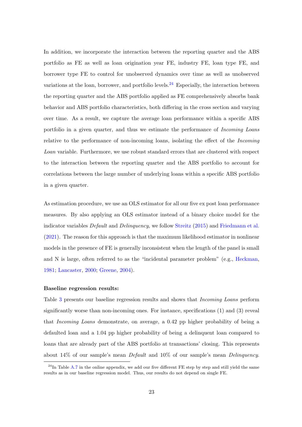In addition, we incorporate the interaction between the reporting quarter and the ABS portfolio as FE as well as loan origination year FE, industry FE, loan type FE, and borrower type FE to control for unobserved dynamics over time as well as unobserved variations at the loan, borrower, and portfolio levels.<sup>[24](#page--1-0)</sup> Especially, the interaction between the reporting quarter and the ABS portfolio applied as FE comprehensively absorbs bank behavior and ABS portfolio characteristics, both differing in the cross section and varying over time. As a result, we capture the average loan performance within a specific ABS portfolio in a given quarter, and thus we estimate the performance of Incoming Loans relative to the performance of non-incoming loans, isolating the effect of the Incoming Loan variable. Furthermore, we use robust standard errors that are clustered with respect to the interaction between the reporting quarter and the ABS portfolio to account for correlations between the large number of underlying loans within a specific ABS portfolio in a given quarter.

As estimation procedure, we use an OLS estimator for all our five ex post loan performance measures. By also applying an OLS estimator instead of a binary choice model for the indicator variables *Default* and *Delinquency*, we follow [Streitz](#page-59-12) [\(2015\)](#page-59-12) and [Friedmann et al.](#page-57-11) [\(2021\)](#page-57-11). The reason for this approach is that the maximum likelihood estimator in nonlinear models in the presence of FE is generally inconsistent when the length of the panel is small and N is large, often referred to as the "incidental parameter problem" (e.g., [Heckman,](#page-58-11) [1981;](#page-58-11) [Lancaster,](#page-59-13) [2000;](#page-59-13) [Greene,](#page-58-12) [2004\)](#page-58-12).

#### Baseline regression results:

Table [3](#page-29-0) presents our baseline regression results and shows that *Incoming Loans* perform significantly worse than non-incoming ones. For instance, specifications (1) and (3) reveal that Incoming Loans demonstrate, on average, a 0.42 pp higher probability of being a defaulted loan and a 1.04 pp higher probability of being a delinquent loan compared to loans that are already part of the ABS portfolio at transactions' closing. This represents about 14% of our sample's mean Default and 10% of our sample's mean Delinquency.

 $^{24}$ In Table [A.7](#page-70-0) in the online appendix, we add our five different FE step by step and still yield the same results as in our baseline regression model. Thus, our results do not depend on single FE.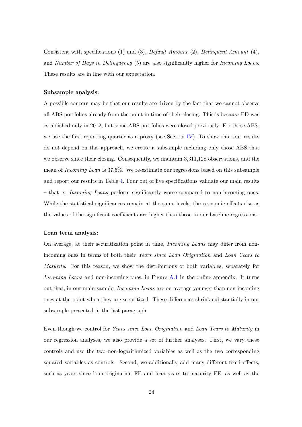Consistent with specifications (1) and (3), Default Amount (2), Delinquent Amount (4), and Number of Days in Delinquency (5) are also significantly higher for *Incoming Loans*. These results are in line with our expectation.

#### Subsample analysis:

A possible concern may be that our results are driven by the fact that we cannot observe all ABS portfolios already from the point in time of their closing. This is because ED was established only in 2012, but some ABS portfolios were closed previously. For those ABS, we use the first reporting quarter as a proxy (see Section [IV\)](#page-17-0). To show that our results do not depend on this approach, we create a subsample including only those ABS that we observe since their closing. Consequently, we maintain 3,311,128 observations, and the mean of Incoming Loan is 37.5%. We re-estimate our regressions based on this subsample and report our results in Table [4.](#page-30-0) Four out of five specifications validate our main results – that is, Incoming Loans perform significantly worse compared to non-incoming ones. While the statistical significances remain at the same levels, the economic effects rise as the values of the significant coefficients are higher than those in our baseline regressions.

#### Loan term analysis:

On average, at their securitization point in time, Incoming Loans may differ from nonincoming ones in terms of both their Years since Loan Origination and Loan Years to Maturity. For this reason, we show the distributions of both variables, separately for Incoming Loans and non-incoming ones, in Figure [A.1](#page-69-0) in the online appendix. It turns out that, in our main sample, Incoming Loans are on average younger than non-incoming ones at the point when they are securitized. These differences shrink substantially in our subsample presented in the last paragraph.

Even though we control for Years since Loan Origination and Loan Years to Maturity in our regression analyses, we also provide a set of further analyses. First, we vary these controls and use the two non-logarithmized variables as well as the two corresponding squared variables as controls. Second, we additionally add many different fixed effects, such as years since loan origination FE and loan years to maturity FE, as well as the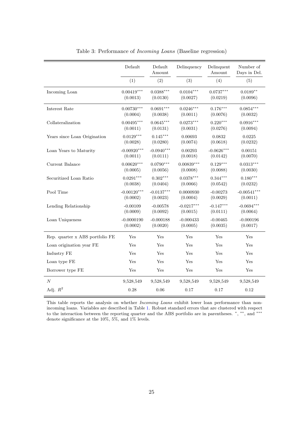<span id="page-29-0"></span>

|                                 | Default       | Default<br>Amount | Delinquency  | Delinquent<br>Amount | Number of<br>Days in Del. |
|---------------------------------|---------------|-------------------|--------------|----------------------|---------------------------|
|                                 | (1)           | (2)               | (3)          | (4)                  | (5)                       |
| Incoming Loan                   | $0.00419***$  | $0.0388***$       | $0.0104***$  | $0.0737***$          | $0.0189**$                |
|                                 | (0.0013)      | (0.0130)          | (0.0027)     | (0.0219)             | (0.0096)                  |
| Interest Rate                   | $0.00730***$  | $0.0691***$       | $0.0246***$  | $0.176***$           | $0.0854***$               |
|                                 | (0.0004)      | (0.0038)          | (0.0011)     | (0.0076)             | (0.0032)                  |
| Collateralization               | $0.00495***$  | $0.0645***$       | $0.0273***$  | $0.220***$           | $0.0916***$               |
|                                 | (0.0011)      | (0.0131)          | (0.0031)     | (0.0276)             | (0.0094)                  |
| Years since Loan Origination    | $0.0129***$   | $0.145***$        | 0.00693      | 0.0832               | 0.0225                    |
|                                 | (0.0028)      | (0.0280)          | (0.0074)     | (0.0618)             | (0.0232)                  |
| Loan Years to Maturity          | $-0.00920***$ | $-0.0940***$      | 0.00293      | $-0.0626***$         | 0.00151                   |
|                                 | (0.0011)      | (0.0111)          | (0.0018)     | (0.0142)             | (0.0070)                  |
| Current Balance                 | $0.00620***$  | $0.0790***$       | $0.00839***$ | $0.129***$           | $0.0313***$               |
|                                 | (0.0005)      | (0.0056)          | (0.0008)     | (0.0088)             | (0.0030)                  |
| Securitized Loan Ratio          | $0.0291***$   | $0.302***$        | $0.0378***$  | $0.344***$           | $0.180***$                |
|                                 | (0.0038)      | (0.0404)          | (0.0066)     | (0.0542)             | (0.0232)                  |
| Pool Time                       | $-0.00120***$ | $-0.0137***$      | 0.0000930    | $-0.00273$           | $-0.00541***$             |
|                                 | (0.0002)      | (0.0023)          | (0.0004)     | (0.0029)             | (0.0011)                  |
| Lending Relationship            | $-0.00109$    | $-0.00578$        | $-0.0217***$ | $-0.147***$          | $-0.0694***$              |
|                                 | (0.0009)      | (0.0092)          | (0.0015)     | (0.0111)             | (0.0064)                  |
| Loan Uniqueness                 | $-0.0000190$  | $-0.000188$       | $-0.000433$  | $-0.00465$           | $-0.000196$               |
|                                 | (0.0002)      | (0.0020)          | (0.0005)     | (0.0035)             | (0.0017)                  |
| Rep. quarter x ABS portfolio FE | Yes           | Yes               | Yes          | Yes                  | Yes                       |
| Loan origination year FE        | Yes           | Yes               | Yes          | Yes                  | Yes                       |
| Industry FE                     | Yes           | Yes               | Yes          | Yes                  | Yes                       |
| Loan type FE                    | Yes           | Yes               | Yes          | Yes                  | Yes                       |
| Borrower type FE                | Yes           | Yes               | Yes          | Yes                  | Yes                       |
| $\cal N$                        | 9,528,549     | 9,528,549         | 9,528,549    | 9,528,549            | 9,528,549                 |
| Adj. $R^2$                      | 0.28          | 0.06              | 0.17         | 0.17                 | 0.12                      |

Table 3: Performance of Incoming Loans (Baseline regression)

This table reports the analysis on whether *Incoming Loans* exhibit lower loan performance than nonincoming loans. Variables are described in Table [1.](#page-17-1) Robust standard errors that are clustered with respect to the interaction between the reporting quarter and the ABS portfolio are in parentheses.  $\cdot$ ,  $\cdot$ ,  $\cdot$ , and  $\cdot$   $\cdot$ denote significance at the  $10\%,\,5\%,$  and  $1\%$  levels.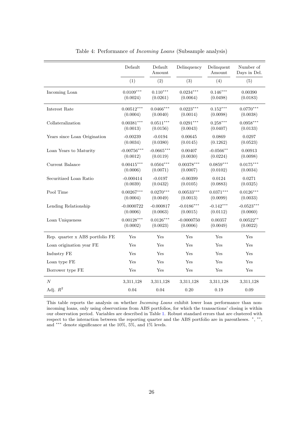<span id="page-30-0"></span>

|                                 | Default       | Default<br>Amount | Delinquency  | Delinquent<br>Amount | Number of<br>Days in Del. |
|---------------------------------|---------------|-------------------|--------------|----------------------|---------------------------|
|                                 | (1)           | (2)               | (3)          | (4)                  | (5)                       |
| Incoming Loan                   | $0.0109***$   | $0.110***$        | $0.0234***$  | $0.146***$           | 0.00390                   |
|                                 | (0.0024)      | (0.0261)          | (0.0064)     | (0.0498)             | (0.0183)                  |
| Interest Rate                   | $0.00512***$  | $0.0466***$       | $0.0223***$  | $0.152***$           | $0.0770***$               |
|                                 | (0.0004)      | (0.0040)          | (0.0014)     | (0.0098)             | (0.0038)                  |
| Collateralization               | $0.00381***$  | $0.0511***$       | $0.0291***$  | $0.258***$           | $0.0958***$               |
|                                 | (0.0013)      | (0.0156)          | (0.0043)     | (0.0407)             | (0.0133)                  |
| Years since Loan Origination    | $-0.00239$    | $-0.0194$         | 0.00645      | 0.0869               | 0.0297                    |
|                                 | (0.0034)      | (0.0380)          | (0.0145)     | (0.1262)             | (0.0523)                  |
| Loan Years to Maturity          | $-0.00756***$ | $-0.0665***$      | 0.00407      | $-0.0566***$         | 0.00913                   |
|                                 | (0.0012)      | (0.0119)          | (0.0030)     | (0.0224)             | (0.0098)                  |
| Current Balance                 | $0.00415***$  | $0.0504***$       | $0.00378***$ | $0.0859***$          | $0.0175***$               |
|                                 | (0.0006)      | (0.0071)          | (0.0007)     | (0.0102)             | (0.0034)                  |
| Securitized Loan Ratio          | $-0.000414$   | $-0.0197$         | $-0.00399$   | 0.0124               | 0.0271                    |
|                                 | (0.0039)      | (0.0432)          | (0.0105)     | (0.0883)             | (0.0325)                  |
| Pool Time                       | $0.00267***$  | $0.0270***$       | $0.00533***$ | $0.0371***$          | $0.0126***$               |
|                                 | (0.0004)      | (0.0049)          | (0.0013)     | (0.0099)             | (0.0033)                  |
| Lending Relationship            | $-0.0000722$  | $-0.000817$       | $-0.0186***$ | $-0.142***$          | $-0.0523***$              |
|                                 | (0.0006)      | (0.0063)          | (0.0015)     | (0.0112)             | (0.0060)                  |
| Loan Uniqueness                 | $0.00128***$  | $0.0126***$       | $-0.0000750$ | 0.00357              | $0.00522**$               |
|                                 | (0.0002)      | (0.0023)          | (0.0006)     | (0.0049)             | (0.0022)                  |
| Rep. quarter x ABS portfolio FE | Yes           | Yes               | Yes          | Yes                  | Yes                       |
| Loan origination year FE        | Yes           | Yes               | Yes          | Yes                  | Yes                       |
| Industry FE                     | Yes           | Yes               | Yes          | Yes                  | Yes                       |
| Loan type FE                    | Yes           | Yes               | Yes          | Yes                  | Yes                       |
| Borrower type FE                | Yes           | Yes               | Yes          | Yes                  | Yes                       |
| $\cal N$                        | 3,311,128     | 3,311,128         | 3,311,128    | 3,311,128            | 3,311,128                 |
| Adj. $R^2$                      | $0.04\,$      | 0.04              | $0.20\,$     | 0.19                 | 0.09                      |

Table 4: Performance of Incoming Loans (Subsample analysis)

This table reports the analysis on whether *Incoming Loans* exhibit lower loan performance than nonincoming loans, only using observations from ABS portfolios, for which the transactions' closing is within our observation period. Variables are described in Table [1.](#page-17-1) Robust standard errors that are clustered with respect to the interaction between the reporting quarter and the ABS portfolio are in parentheses. \*, \*\*, and ∗∗∗ denote significance at the 10%, 5%, and 1% levels.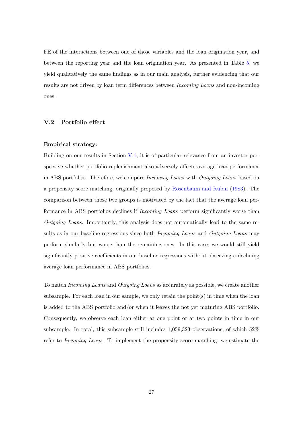FE of the interactions between one of those variables and the loan origination year, and between the reporting year and the loan origination year. As presented in Table [5,](#page-32-0) we yield qualitatively the same findings as in our main analysis, further evidencing that our results are not driven by loan term differences between Incoming Loans and non-incoming ones.

#### V.2 Portfolio effect

#### Empirical strategy:

Building on our results in Section [V.1,](#page-26-1) it is of particular relevance from an investor perspective whether portfolio replenishment also adversely affects average loan performance in ABS portfolios. Therefore, we compare *Incoming Loans* with *Outgoing Loans* based on a propensity score matching, originally proposed by [Rosenbaum and Rubin](#page-59-14) [\(1983\)](#page-59-14). The comparison between those two groups is motivated by the fact that the average loan performance in ABS portfolios declines if Incoming Loans perform significantly worse than Outgoing Loans. Importantly, this analysis does not automatically lead to the same results as in our baseline regressions since both *Incoming Loans* and *Outgoing Loans* may perform similarly but worse than the remaining ones. In this case, we would still yield significantly positive coefficients in our baseline regressions without observing a declining average loan performance in ABS portfolios.

To match Incoming Loans and Outgoing Loans as accurately as possible, we create another subsample. For each loan in our sample, we only retain the point(s) in time when the loan is added to the ABS portfolio and/or when it leaves the not yet maturing ABS portfolio. Consequently, we observe each loan either at one point or at two points in time in our subsample. In total, this subsample still includes 1,059,323 observations, of which 52% refer to Incoming Loans. To implement the propensity score matching, we estimate the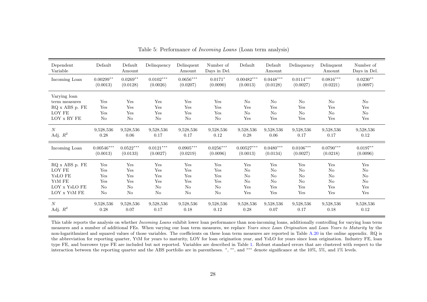<span id="page-32-0"></span>

| Dependent<br>Variable                                                                    | Default                 | Default<br>Amount             | Delinquency             | Delinquent<br>Amount                | Number of<br>Days in Del.           | Default                            | Default<br>Amount                             | Delinquency                        | Delinquent<br>Amount                           | Number of<br>Days in Del.          |
|------------------------------------------------------------------------------------------|-------------------------|-------------------------------|-------------------------|-------------------------------------|-------------------------------------|------------------------------------|-----------------------------------------------|------------------------------------|------------------------------------------------|------------------------------------|
| Incoming Loan                                                                            | $0.00299**$             | $0.0269**$                    | $0.0102***$             | $0.0656^{\ast\ast\ast}$             | $0.0171*$                           | $0.00482***$                       | $0.0448^{\ast\ast\ast}$                       | $0.0114***$                        | $0.0816^{\ast\ast\ast}$                        | $0.0230**$                         |
|                                                                                          | (0.0013)                | (0.0128)                      | (0.0026)                | (0.0207)                            | (0.0090)                            | (0.0013)                           | (0.0128)                                      | (0.0027)                           | (0.0221)                                       | (0.0097)                           |
| Varying loan<br>term measures<br>RQ x ABS p. FE<br>LOY FE<br>${\rm LOY}$ x RY ${\rm FE}$ | Yes<br>Yes<br>Yes<br>No | Yes<br>Yes<br>Yes<br>$\rm No$ | Yes<br>Yes<br>Yes<br>No | Yes<br>Yes<br>Yes<br>N <sub>o</sub> | Yes<br>Yes<br>Yes<br>N <sub>o</sub> | $\rm No$<br>Yes<br>$\rm No$<br>Yes | $\rm No$<br>Yes<br>No<br>$\operatorname{Yes}$ | N <sub>o</sub><br>Yes<br>No<br>Yes | N <sub>o</sub><br>Yes<br>N <sub>o</sub><br>Yes | No<br>Yes<br>N <sub>o</sub><br>Yes |
| $\boldsymbol{N}$                                                                         | 9,528,536               | 9,528,536                     | 9,528,536               | 9,528,536                           | 9,528,536                           | 9,528,536                          | 9,528,536                                     | 9,528,536                          | 9,528,536                                      | 9,528,536                          |
| Adj. $R^2$                                                                               | 0.28                    | 0.06                          | 0.17                    | 0.17                                | 0.12                                | 0.28                               | 0.06                                          | 0.17                               | 0.17                                           | 0.12                               |
| Incoming Loan                                                                            | $0.00546***$            | $0.0522***$                   | $0.0121***$             | $0.0905***$                         | $0.0256***$                         | $0.00527***$                       | $0.0480^{***}$                                | $0.0106***$                        | $0.0790***$                                    | $0.0197**$                         |
|                                                                                          | (0.0013)                | (0.0133)                      | (0.0027)                | (0.0219)                            | (0.0096)                            | (0.0013)                           | (0.0134)                                      | (0.0027)                           | (0.0218)                                       | (0.0096)                           |
| RQ x ABS p. FE                                                                           | Yes                     | Yes                           | Yes                     | Yes                                 | Yes                                 | $\operatorname{Yes}$               | $\operatorname{Yes}$                          | Yes                                | Yes                                            | Yes                                |
| LOY FE                                                                                   | Yes                     | Yes                           | Yes                     | Yes                                 | Yes                                 | $\rm No$                           | No                                            | N <sub>o</sub>                     | N <sub>o</sub>                                 | N <sub>o</sub>                     |
| Y <sub>s</sub> LO FE                                                                     | Yes                     | Yes                           | Yes                     | Yes                                 | Yes                                 | $\rm No$                           | No                                            | No                                 | N <sub>o</sub>                                 | N <sub>o</sub>                     |
| YtM FE                                                                                   | Yes                     | Yes                           | Yes                     | Yes                                 | Yes                                 | No                                 | No                                            | No                                 | No                                             | No                                 |
| LOY x YsLO FE                                                                            | No                      | No                            | N <sub>o</sub>          | N <sub>o</sub>                      | N <sub>o</sub>                      | Yes                                | Yes                                           | Yes                                | Yes                                            | Yes                                |
| LOY x YtM FE                                                                             | No                      | No                            | $\rm No$                | N <sub>o</sub>                      | $\rm No$                            | Yes                                | Yes                                           | Yes                                | Yes                                            | Yes                                |
| N                                                                                        | 9,528,536               | 9,528,536                     | 9,528,536               | 9,528,536                           | 9,528,536                           | 9,528,536                          | 9,528,536                                     | 9,528,536                          | 9,528,536                                      | 9,528,536                          |
| Adj. $R^2$                                                                               | 0.28                    | 0.07                          | 0.17                    | 0.18                                | 0.12                                | 0.28                               | 0.07                                          | 0.17                               | 0.18                                           | 0.12                               |

Table 5: Performance of Incoming Loans (Loan term analysis)

This table reports the analysis on whether *Incoming Loans* exhibit lower loan performance than non-incoming loans, additionally controlling for varying loan term measures and a number of additional FEs. When varying our loan term measures, we replace *Years since Loan Origination* and *Loan Years to Maturity* by the non-logarithmized and squared values of those variables. The coefficients on these loan term measures are reported in Table [A.20](#page-83-0) in the online appendix. RQ is the abbreviation for reporting quarter, YtM for years to maturity, LOY for loan origination year, and YsLO for years since loan origination. Industry FE, loan type FE, and borrower type FE are included but not reported. Variables are described in Table [1.](#page-17-2) Robust standard errors that are clustered with respect to the interaction between the reporting quarter and the ABS portfolio are in parentheses. <sup>∗</sup>, ∗∗, and ∗∗∗ denote significance at the 10%, 5%, and 1% levels.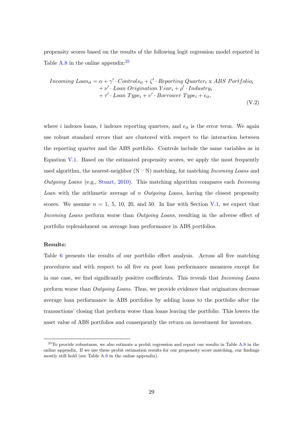propensity scores based on the results of the following logit regression model reported in Table [A.8](#page-71-0) in the online appendix: $25$ 

Incoming 
$$
Loani_t = \alpha + \gamma' \cdot Controls_{it} + \zeta' \cdot Reporting \cdot Quarter_t \times ABS \cdot Portfolio_t + \nu' \cdot Loan \, Originalion \, Year_i + \rho' \cdot Industry_i + \tau' \cdot Loan \, Type_i + \upsilon' \cdot Borrower \, Type_i + \epsilon_{it},
$$
\n(V.2)

where i indexes loans, t indexes reporting quarters, and  $\epsilon_{it}$  is the error term. We again use robust standard errors that are clustered with respect to the interaction between the reporting quarter and the ABS portfolio. Controls include the same variables as in Equation [V.1.](#page-26-1) Based on the estimated propensity scores, we apply the most frequently used algorithm, the nearest-neighbor  $(N - N)$  matching, for matching *Incoming Loans* and Outgoing Loans (e.g., [Stuart,](#page-60-3) [2010\)](#page-60-3). This matching algorithm compares each Incoming *Loan* with the arithmetic average of n *Outgoing Loans*, having the closest propensity scores. We assume  $n = 1, 5, 10, 20,$  and 50. In line with Section [V.1,](#page-26-1) we expect that Incoming Loans perform worse than Outgoing Loans, resulting in the adverse effect of portfolio replenishment on average loan performance in ABS portfolios.

#### Results:

Table [6](#page-34-0) presents the results of our portfolio effect analysis. Across all five matching procedures and with respect to all five ex post loan performance measures except for in one case, we find significantly positive coefficients. This reveals that Incoming Loans perform worse than Outgoing Loans. Thus, we provide evidence that originators decrease average loan performance in ABS portfolios by adding loans to the portfolio after the transactions' closing that perform worse than loans leaving the portfolio. This lowers the asset value of ABS portfolios and consequently the return on investment for investors.

 $^{25}$ To provide robustness, we also estimate a probit regression and report our results in Table [A.8](#page-71-0) in the online appendix. If we use these probit estimation results for our propensity score matching, our findings mostly still hold (see Table [A.9](#page-72-0) in the online appendix).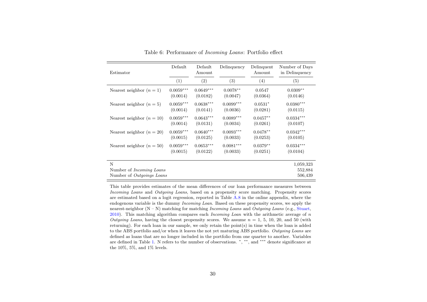<span id="page-34-0"></span>

| Estimator                            | Default     | Default<br>Amount | Delinquency | Delinquent<br>Amount | Number of Days<br>in Delinquency |
|--------------------------------------|-------------|-------------------|-------------|----------------------|----------------------------------|
|                                      | (1)         | (2)               | (3)         | (4)                  | (5)                              |
| Nearest neighbor $(n=1)$             | $0.0059***$ | $0.0649***$       | $0.0078**$  | 0.0547               | $0.0309**$                       |
|                                      | (0.0014)    | (0.0182)          | (0.0047)    | (0.0364)             | (0.0146)                         |
| Nearest neighbor $(n=5)$             | $0.0059***$ | $0.0638***$       | $0.0099***$ | $0.0531*$            | $0.0380***$                      |
|                                      | (0.0014)    | (0.0141)          | (0.0036)    | (0.0281)             | (0.0115)                         |
| Nearest neighbor $(n = 10)$          | $0.0059***$ | $0.0643***$       | $0.0089***$ | $0.0457**$           | $0.0334***$                      |
|                                      | (0.0014)    | (0.0131)          | (0.0034)    | (0.0261)             | (0.0107)                         |
| Nearest neighbor $(n = 20)$          | $0.0059***$ | $0.0640***$       | $0.0093***$ | $0.0478**$           | $0.0342***$                      |
|                                      | (0.0015)    | (0.0125)          | (0.0033)    | (0.0253)             | (0.0105)                         |
| Nearest neighbor $(n = 50)$          | $0.0059***$ | $0.0653***$       | $0.0081***$ | $0.0379**$           | $0.0334***$                      |
|                                      | (0.0015)    | (0.0122)          | (0.0033)    | (0.0251)             | (0.0104)                         |
| N<br>Number of <i>Incoming Loans</i> |             |                   |             |                      | 1,059,323<br>552,884             |
| Number of Outgoings Loans            |             |                   |             |                      | 506,439                          |

Table 6: Performance of Incoming Loans: Portfolio effect

This table provides estimates of the mean differences of our loan performance measures between Incoming Loans and Outgoing Loans, based on <sup>a</sup> propensity score matching. Propensity scores are estimated based on <sup>a</sup> logit regression, reported in Table [A.8](#page-71-1) in the online appendix, where the endogenous variable is the dummy *Incoming Loan*. Based on these propensity scores, we apply the nearest-neighbor  $(N - N)$  matching for matching *Incoming Loans* and *Outgoing Loans* (e.g., [Stuart,](#page-60-4)  $2010$ . This matching algorithm compares each *Incoming Loan* with the arithmetic average of n Outgoing Loans, having the closest propensity scores. We assume  $n = 1, 5, 10, 20,$  and 50 (with returning). For each loan in our sample, we only retain the point(s) in time when the loan is addedto the ABS portfolio and/or when it leaves the not yet maturing ABS portfolio. Outgoing Loans are defined as loans that are no longer included in the portfolio from one quarter to another. Variables are defined in Table [1.](#page-17-2) <sup>N</sup> refers to the number of observations. <sup>∗</sup>, ∗∗, and ∗∗∗ denote significance at the 10%, 5%, and 1% levels.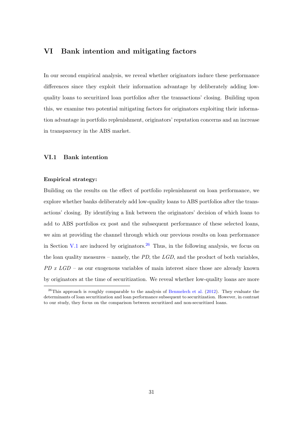# <span id="page-35-0"></span>VI Bank intention and mitigating factors

In our second empirical analysis, we reveal whether originators induce these performance differences since they exploit their information advantage by deliberately adding lowquality loans to securitized loan portfolios after the transactions' closing. Building upon this, we examine two potential mitigating factors for originators exploiting their information advantage in portfolio replenishment, originators' reputation concerns and an increase in transparency in the ABS market.

#### <span id="page-35-1"></span>VI.1 Bank intention

#### Empirical strategy:

Building on the results on the effect of portfolio replenishment on loan performance, we explore whether banks deliberately add low-quality loans to ABS portfolios after the transactions' closing. By identifying a link between the originators' decision of which loans to add to ABS portfolios ex post and the subsequent performance of these selected loans, we aim at providing the channel through which our previous results on loan performance in Section [V.1](#page-26-1) are induced by originators.<sup>[26](#page--1-0)</sup> Thus, in the following analysis, we focus on the loan quality measures – namely, the  $PD$ , the  $LGD$ , and the product of both variables,  $PD$  x  $LGD$  – as our exogenous variables of main interest since those are already known by originators at the time of securitization. We reveal whether low-quality loans are more

 $^{26}$ This approach is roughly comparable to the analysis of [Benmelech et al.](#page-56-5) [\(2012\)](#page-56-5). They evaluate the determinants of loan securitization and loan performance subsequent to securitization. However, in contrast to our study, they focus on the comparison between securitized and non-securitized loans.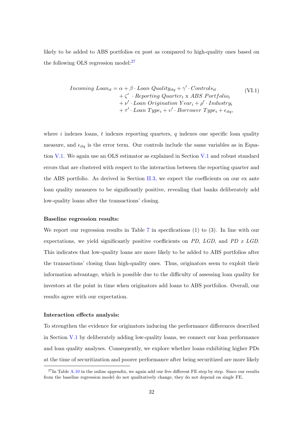likely to be added to ABS portfolios ex post as compared to high-quality ones based on the following OLS regression model: $27$ 

Incoming 
$$
Loan_{it} = \alpha + \beta \cdot Loan \; Quality_{itq} + \gamma' \cdot Controls_{it}
$$

\n
$$
+ \zeta' \cdot Reporting \; Quarterly \times ABS \; Portfolio_{i}
$$
\n
$$
+ \nu' \cdot Loan \; Organization \; Year_{i} + \rho' \cdot Industry_{i}
$$
\n
$$
+ \tau' \cdot Loan \; Type_{i} + \upsilon' \cdot Borrower \; Type_{i} + \epsilon_{itq},
$$
\n(VI.1)

where i indexes loans, t indexes reporting quarters, q indexes one specific loan quality measure, and  $\epsilon_{ita}$  is the error term. Our controls include the same variables as in Equation [V.1.](#page-26-0) We again use an OLS estimator as explained in Section [V.1](#page-26-0) and robust standard errors that are clustered with respect to the interaction between the reporting quarter and the ABS portfolio. As derived in Section [II.3,](#page-15-0) we expect the coefficients on our ex ante loan quality measures to be significantly positive, revealing that banks deliberately add low-quality loans after the transactions' closing.

#### Baseline regression results:

We report our regression results in Table [7](#page-37-0) in specifications (1) to (3). In line with our expectations, we yield significantly positive coefficients on PD, LGD, and PD x LGD. This indicates that low-quality loans are more likely to be added to ABS portfolios after the transactions' closing than high-quality ones. Thus, originators seem to exploit their information advantage, which is possible due to the difficulty of assessing loan quality for investors at the point in time when originators add loans to ABS portfolios. Overall, our results agree with our expectation.

#### Interaction effects analysis:

To strengthen the evidence for originators inducing the performance differences described in Section [V.1](#page-26-0) by deliberately adding low-quality loans, we connect our loan performance and loan quality analyses. Consequently, we explore whether loans exhibiting higher PDs at the time of securitization and poorer performance after being securitized are more likely

 $^{27}$ In Table [A.10](#page-73-0) in the online appendix, we again add our five different FE step by step. Since our results from the baseline regression model do not qualitatively change, they do not depend on single FE.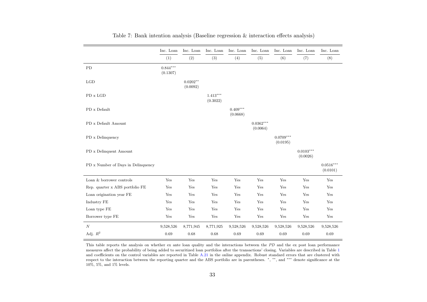<span id="page-37-0"></span>

|                                    | Inc. Loan              | Inc. Loan              | Inc. Loan              | Inc. Loan              | Inc. Loan               | Inc. Loan               | Inc. Loan               | Inc. Loan               |
|------------------------------------|------------------------|------------------------|------------------------|------------------------|-------------------------|-------------------------|-------------------------|-------------------------|
|                                    | (1)                    | (2)                    | (3)                    | (4)                    | (5)                     | (6)                     | (7)                     | (8)                     |
| ${\rm PD}$                         | $0.844***$<br>(0.1307) |                        |                        |                        |                         |                         |                         |                         |
| LGD                                |                        | $0.0202**$<br>(0.0092) |                        |                        |                         |                         |                         |                         |
| $PD \times LGD$                    |                        |                        | $1.413***$<br>(0.3022) |                        |                         |                         |                         |                         |
| PD x Default                       |                        |                        |                        | $0.409***$<br>(0.0668) |                         |                         |                         |                         |
| PD x Default Amount                |                        |                        |                        |                        | $0.0362***$<br>(0.0064) |                         |                         |                         |
| PD x Delinquency                   |                        |                        |                        |                        |                         | $0.0709***$<br>(0.0195) |                         |                         |
| PD x Delinquent Amount             |                        |                        |                        |                        |                         |                         | $0.0103***$<br>(0.0026) |                         |
| PD x Number of Days in Delinquency |                        |                        |                        |                        |                         |                         |                         | $0.0516***$<br>(0.0101) |
| Loan & borrower controls           | Yes                    | Yes                    | Yes                    | Yes                    | Yes                     | Yes                     | Yes                     | Yes                     |
| Rep. quarter x ABS portfolio FE    | Yes                    | Yes                    | Yes                    | Yes                    | Yes                     | Yes                     | Yes                     | Yes                     |
| Loan origination year FE           | Yes                    | Yes                    | Yes                    | Yes                    | Yes                     | Yes                     | Yes                     | Yes                     |
| Industry FE                        | Yes                    | Yes                    | Yes                    | Yes                    | Yes                     | Yes                     | Yes                     | Yes                     |
| Loan type FE                       | Yes                    | Yes                    | Yes                    | Yes                    | Yes                     | Yes                     | Yes                     | Yes                     |
| Borrower type FE                   | Yes                    | Yes                    | $\operatorname{Yes}$   | Yes                    | Yes                     | Yes                     | $\operatorname{Yes}$    | Yes                     |
| N                                  | 9,528,526              | 8,771,945              | 8,771,925              | 9,528,526              | 9,528,526               | 9,528,526               | 9,528,526               | 9,528,526               |
| Adj. $\mathbb{R}^2$                | 0.69                   | 0.68                   | 0.68                   | 0.69                   | 0.69                    | 0.69                    | 0.69                    | 0.69                    |

| Table 7: Bank intention analysis (Baseline regression $\&$ interaction effects analysis) |  |  |  |
|------------------------------------------------------------------------------------------|--|--|--|
|                                                                                          |  |  |  |

This table reports the analysis on whether ex ante loan quality and the interactions between the PD and the ex post loan performance measures affect the probability of being added to securitized loan portfolios after the transactions' closing. Variables are described in Table [1](#page-17-0)and coefficients on the control variables are reported in Table [A.21](#page-84-0) in the online appendix. Robust standard errors that are clustered with<br>respect to the interaction between the reporting quarter and the ABS portfolio are 10%, 5%, and 1% levels.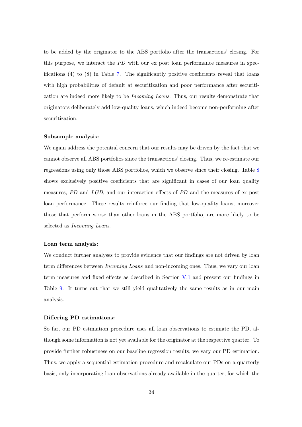to be added by the originator to the ABS portfolio after the transactions' closing. For this purpose, we interact the PD with our ex post loan performance measures in specifications  $(4)$  to  $(8)$  in Table [7.](#page-37-0) The significantly positive coefficients reveal that loans with high probabilities of default at securitization and poor performance after securitization are indeed more likely to be Incoming Loans. Thus, our results demonstrate that originators deliberately add low-quality loans, which indeed become non-performing after securitization.

## Subsample analysis:

We again address the potential concern that our results may be driven by the fact that we cannot observe all ABS portfolios since the transactions' closing. Thus, we re-estimate our regressions using only those ABS portfolios, which we observe since their closing. Table [8](#page-39-0) shows exclusively positive coefficients that are significant in cases of our loan quality measures, PD and LGD, and our interaction effects of PD and the measures of ex post loan performance. These results reinforce our finding that low-quality loans, moreover those that perform worse than other loans in the ABS portfolio, are more likely to be selected as Incoming Loans.

#### Loan term analysis:

We conduct further analyses to provide evidence that our findings are not driven by loan term differences between Incoming Loans and non-incoming ones. Thus, we vary our loan term measures and fixed effects as described in Section [V.1](#page-26-0) and present our findings in Table [9.](#page-40-0) It turns out that we still yield qualitatively the same results as in our main analysis.

#### Differing PD estimations:

So far, our PD estimation procedure uses all loan observations to estimate the PD, although some information is not yet available for the originator at the respective quarter. To provide further robustness on our baseline regression results, we vary our PD estimation. Thus, we apply a sequential estimation procedure and recalculate our PDs on a quarterly basis, only incorporating loan observations already available in the quarter, for which the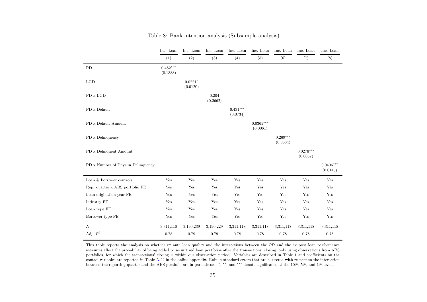<span id="page-39-0"></span>

|                                    | Inc. Loan              | Inc. Loan             | Inc. Loan            | Inc. Loan              | Inc. Loan               | Inc. Loan              | Inc. Loan               | Inc. Loan               |
|------------------------------------|------------------------|-----------------------|----------------------|------------------------|-------------------------|------------------------|-------------------------|-------------------------|
|                                    | (1)                    | (2)                   | (3)                  | (4)                    | (5)                     | (6)                    | (7)                     | (8)                     |
| PD                                 | $0.482***$<br>(0.1388) |                       |                      |                        |                         |                        |                         |                         |
| LGD                                |                        | $0.0221*$<br>(0.0120) |                      |                        |                         |                        |                         |                         |
| PD x LGD                           |                        |                       | 0.204<br>(0.2662)    |                        |                         |                        |                         |                         |
| PD x Default                       |                        |                       |                      | $0.431***$<br>(0.0734) |                         |                        |                         |                         |
| PD x Default Amount                |                        |                       |                      |                        | $0.0365***$<br>(0.0061) |                        |                         |                         |
| PD x Delinquency                   |                        |                       |                      |                        |                         | $0.269***$<br>(0.0634) |                         |                         |
| PD x Delinquent Amount             |                        |                       |                      |                        |                         |                        | $0.0276***$<br>(0.0067) |                         |
| PD x Number of Days in Delinquency |                        |                       |                      |                        |                         |                        |                         | $0.0406***$<br>(0.0145) |
| Loan & borrower controls           | Yes                    | Yes                   | Yes                  | Yes                    | Yes                     | Yes                    | Yes                     | Yes                     |
| Rep. quarter x ABS portfolio FE    | Yes                    | Yes                   | Yes                  | Yes                    | Yes                     | Yes                    | Yes                     | Yes                     |
| Loan origination year FE           | Yes                    | Yes                   | Yes                  | Yes                    | Yes                     | Yes                    | Yes                     | Yes                     |
| Industry FE                        | Yes                    | Yes                   | Yes                  | Yes                    | Yes                     | Yes                    | Yes                     | Yes                     |
| Loan type FE                       | Yes                    | Yes                   | Yes                  | Yes                    | Yes                     | Yes                    | Yes                     | Yes                     |
| Borrower type FE                   | Yes                    | $\operatorname{Yes}$  | $\operatorname{Yes}$ | Yes                    | $\operatorname{Yes}$    | Yes                    | $\operatorname{Yes}$    | Yes                     |
| N                                  | 3,311,118              | 3,190,239             | 3,190,229            | 3,311,118              | 3,311,118               | 3,311,118              | 3,311,118               | 3,311,118               |
| Adj. $\mathbb{R}^2$                | 0.78                   | 0.79                  | 0.79                 | 0.78                   | 0.78                    | 0.78                   | 0.78                    | 0.78                    |

Table 8: Bank intention analysis (Subsample analysis)

This table reports the analysis on whether ex ante loan quality and the interactions between the PD and the ex post loan performance measures affect the probability of being added to securitized loan portfolios after the transactions' closing, only using observations from ABS portfolios, for which the transactions' closing is within our observation period. Variables are described in Table [1](#page-17-0) and coefficients on the control variables are reported in Table [A.22](#page-85-0) in the online appendix. Robust standard errors that are clustered with respect to the interactionbetween the reporting quarter and the ABS portfolio are in parentheses. <sup>∗</sup>, ∗∗, and ∗∗∗ denote significance at the 10%, 5%, and 1% levels.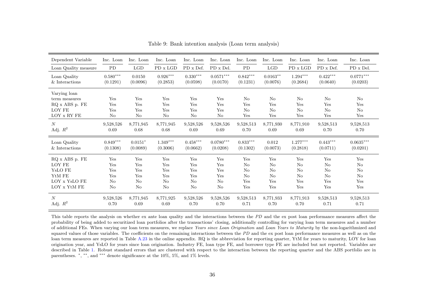<span id="page-40-0"></span>

| Dependent Variable                                                       | Inc. Loan               | Inc. Loan               | Inc. Loan                     | Inc. Loan                     | Inc. Loan               | Inc. Loan                    | Inc. Loan                                      | Inc. Loan              | Inc. Loan                                      | Inc. Loan                                      |
|--------------------------------------------------------------------------|-------------------------|-------------------------|-------------------------------|-------------------------------|-------------------------|------------------------------|------------------------------------------------|------------------------|------------------------------------------------|------------------------------------------------|
| Loan Quality measure                                                     | PD                      | $_{\rm LGD}$            | $PD \times LGD$               | PD x Def.                     | PD x Del.               | PD                           | LGD                                            | PD x LGD               | PD x Def.                                      | PD x Del.                                      |
| Loan Quality                                                             | $0.580***$              | 0.0150                  | $0.926***$                    | $0.330***$                    | $0.0571***$             | $0.842***$                   | $0.0163***$                                    | $1.294***$             | $0.422***$                                     | $0.0771***$                                    |
| & Interactions                                                           | (0.1291)                | (0.0096)                | (0.2853)                      | (0.0598)                      | (0.0170)                | (0.1231)                     | (0.0076)                                       | (0.2684)               | (0.0640)                                       | (0.0203)                                       |
| Varying loan<br>term measures<br>RQ x ABS p. FE<br>LOY FE<br>LOY x RY FE | Yes<br>Yes<br>Yes<br>No | Yes<br>Yes<br>Yes<br>No | Yes<br>Yes<br>Yes<br>$\rm No$ | Yes<br>Yes<br>Yes<br>$\rm No$ | Yes<br>Yes<br>Yes<br>No | $\rm No$<br>Yes<br>No<br>Yes | N <sub>o</sub><br>Yes<br>N <sub>o</sub><br>Yes | No<br>Yes<br>No<br>Yes | N <sub>o</sub><br>Yes<br>N <sub>o</sub><br>Yes | N <sub>o</sub><br>Yes<br>N <sub>o</sub><br>Yes |
| N                                                                        | 9,528,526               | 8,771,945               | 8,771,945                     | 9,528,526                     | 9,528,526               | 9,528,513                    | 8,771,930                                      | 8,771,910              | 9,528,513                                      | 9,528,513                                      |
| Adj. $R^2$                                                               | 0.69                    | 0.68                    | 0.68                          | 0.69                          | 0.69                    | 0.70                         | 0.69                                           | 0.69                   | 0.70                                           | 0.70                                           |
| Loan Quality                                                             | $0.849***$              | $0.0151*$               | $1.349***$                    | $0.458***$                    | $0.0780***$             | $0.833***$                   | 0.012                                          | $1.277***$             | $0.443***$                                     | $0.0635***$                                    |
| & Interactions                                                           | (0.1308)                | (0.0089)                | (0.3006)                      | (0.0662)                      | (0.0208)                | (0.1302)                     | (0.0073)                                       | (0.2818)               | (0.0711)                                       | (0.0201)                                       |
| RQ x ABS p. FE                                                           | Yes                     | Yes                     | Yes                           | Yes                           | Yes                     | Yes                          | Yes                                            | Yes                    | Yes                                            | Yes                                            |
| LOY FE                                                                   | Yes                     | Yes                     | Yes                           | Yes                           | Yes                     | No                           | N <sub>o</sub>                                 | No                     | No                                             | No                                             |
| Y <sub>s</sub> LO FE                                                     | Yes                     | Yes                     | Yes                           | Yes                           | Yes                     | $\rm No$                     | N <sub>o</sub>                                 | No                     | N <sub>o</sub>                                 | N <sub>o</sub>                                 |
| YtM FE                                                                   | Yes                     | Yes                     | Yes                           | Yes                           | Yes                     | No                           | No                                             | No                     | N <sub>o</sub>                                 | N <sub>o</sub>                                 |
| LOY x YsLO FE                                                            | No                      | No                      | $\rm No$                      | No                            | N <sub>o</sub>          | Yes                          | Yes                                            | Yes                    | Yes                                            | Yes                                            |
| LOY x YtM FE                                                             | N <sub>o</sub>          | N <sub>o</sub>          | $\rm No$                      | $\rm No$                      | N <sub>o</sub>          | Yes                          | Yes                                            | Yes                    | Yes                                            | Yes                                            |
| N                                                                        | 9,528,526               | 8,771,945               | 8,771,925                     | 9,528,526                     | 9,528,526               | 9,528,513                    | 8,771,933                                      | 8,771,913              | 9,528,513                                      | 9,528,513                                      |
| Adj. $R^2$                                                               | 0.70                    | 0.69                    | 0.69                          | 0.70                          | 0.70                    | 0.71                         | 0.70                                           | 0.70                   | 0.71                                           | 0.71                                           |

Table 9: Bank intention analysis (Loan term analysis)

This table reports the analysis on whether ex ante loan quality and the interactions between the PD and the ex post loan performance measures affect the probability of being added to securitized loan portfolios after the transactions' closing, additionally controlling for varying loan term measures and <sup>a</sup> numberof additional FEs. When varying our loan term measures, we replace Years since Loan Origination and Loan Years to Maturity by the non-logarithmized and squared values of those variables. The coefficients on the remaining interactions between the PD and the ex post loan performance measures as well as on the loan term measures are reported in Table [A.23](#page-86-0) in the online appendix. RQ is the abbreviation for reporting quarter, YtM for years to maturity, LOY for loan origination year, and YsLO for years since loan origination. Industry FE, loan type FE, and borrower type FE are included but not reported. Variables are described in Table [1.](#page-17-0) Robust standard errors that are clustered with respect to the interaction between the reporting quarter and the ABS portfolio are inparentheses. <sup>∗</sup>, ∗∗, and ∗∗∗ denote significance at the 10%, 5%, and 1% levels.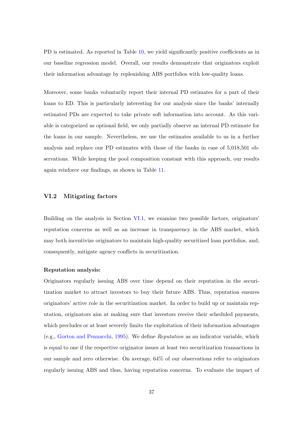PD is estimated. As reported in Table [10,](#page-42-0) we yield significantly positive coefficients as in our baseline regression model. Overall, our results demonstrate that originators exploit their information advantage by replenishing ABS portfolios with low-quality loans.

Moreover, some banks voluntarily report their internal PD estimates for a part of their loans to ED. This is particularly interesting for our analysis since the banks' internally estimated PDs are expected to take private soft information into account. As this variable is categorized as optional field, we only partially observe an internal PD estimate for the loans in our sample. Nevertheless, we use the estimates available to us in a further analysis and replace our PD estimates with those of the banks in case of 5,018,501 observations. While keeping the pool composition constant with this approach, our results again reinforce our findings, as shown in Table [11.](#page-43-0)

## VI.2 Mitigating factors

Building on the analysis in Section [VI.1,](#page-35-0) we examine two possible factors, originators' reputation concerns as well as an increase in transparency in the ABS market, which may both incentivize originators to maintain high-quality securitized loan portfolios, and, consequently, mitigate agency conflicts in securitization.

#### Reputation analysis:

Originators regularly issuing ABS over time depend on their reputation in the securitization market to attract investors to buy their future ABS. Thus, reputation ensures originators' active role in the securitization market. In order to build up or maintain reputation, originators aim at making sure that investors receive their scheduled payments, which precludes or at least severely limits the exploitation of their information advantages (e.g., [Gorton and Pennacchi,](#page-58-0) [1995\)](#page-58-0). We define Reputation as an indicator variable, which is equal to one if the respective originator issues at least two securitization transactions in our sample and zero otherwise. On average, 64% of our observations refer to originators regularly issuing ABS and thus, having reputation concerns. To evaluate the impact of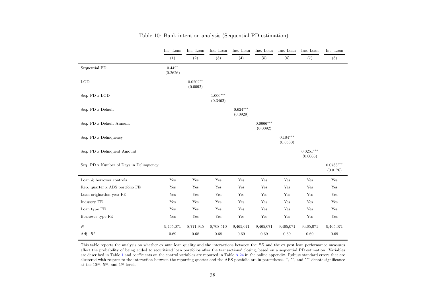<span id="page-42-0"></span>

|                                         | Inc. Loan            | Inc. Loan              | Inc. Loan              | Inc. Loan              | Inc. Loan               | Inc. Loan              | Inc. Loan               | Inc. Loan               |
|-----------------------------------------|----------------------|------------------------|------------------------|------------------------|-------------------------|------------------------|-------------------------|-------------------------|
|                                         | (1)                  | (2)                    | (3)                    | (4)                    | (5)                     | (6)                    | $\left( 7\right)$       | (8)                     |
| Sequential PD                           | $0.442*$<br>(0.2626) |                        |                        |                        |                         |                        |                         |                         |
| LGD                                     |                      | $0.0202**$<br>(0.0092) |                        |                        |                         |                        |                         |                         |
| Seq. PD x LGD                           |                      |                        | $1.006***$<br>(0.3462) |                        |                         |                        |                         |                         |
| Seq. PD x Default                       |                      |                        |                        | $0.624***$<br>(0.0929) |                         |                        |                         |                         |
| Seq. PD x Default Amount                |                      |                        |                        |                        | $0.0666***$<br>(0.0092) |                        |                         |                         |
| Seq. PD x Delinquency                   |                      |                        |                        |                        |                         | $0.184***$<br>(0.0530) |                         |                         |
| Seq. PD x Delinquent Amount             |                      |                        |                        |                        |                         |                        | $0.0251***$<br>(0.0066) |                         |
| Seq. PD x Number of Days in Delinquency |                      |                        |                        |                        |                         |                        |                         | $0.0783***$<br>(0.0176) |
| Loan & borrower controls                | Yes                  | Yes                    | Yes                    | Yes                    | Yes                     | $\operatorname{Yes}$   | Yes                     | Yes                     |
| Rep. quarter x ABS portfolio FE         | Yes                  | Yes                    | Yes                    | Yes                    | Yes                     | Yes                    | Yes                     | Yes                     |
| Loan origination year FE                | Yes                  | Yes                    | Yes                    | Yes                    | Yes                     | Yes                    | Yes                     | Yes                     |
| Industry FE                             | Yes                  | Yes                    | Yes                    | Yes                    | Yes                     | Yes                    | Yes                     | Yes                     |
| Loan type FE                            | Yes                  | Yes                    | Yes                    | Yes                    | Yes                     | Yes                    | Yes                     | Yes                     |
| Borrower type FE                        | Yes                  | Yes                    | Yes                    | Yes                    | Yes                     | Yes                    | Yes                     | Yes                     |
| N                                       | 9,465,071            | 8,771,945              | 8,708,510              | 9,465,071              | 9,465,071               | 9,465,071              | 9,465,071               | 9,465,071               |
| Adj. $R^2$                              | 0.69                 | 0.68                   | 0.68                   | 0.69                   | 0.69                    | 0.69                   | $0.69\,$                | 0.69                    |

# Table 10: Bank intention analysis (Sequential PD estimation)

This table reports the analysis on whether ex ante loan quality and the interactions between the PD and the ex post loan performance measures affect the probability of being added to securitized loan portfolios after the transactions' closing, based on <sup>a</sup> sequential PD estimation. Variablesare described in Table [1](#page-17-0) and coefficients on the control variables are reported in Table  $A.24$  in the online appendix. Robust standard errors that are<br>clustered with respect to the interaction between the reporting quart at the 10%, 5%, and 1% levels.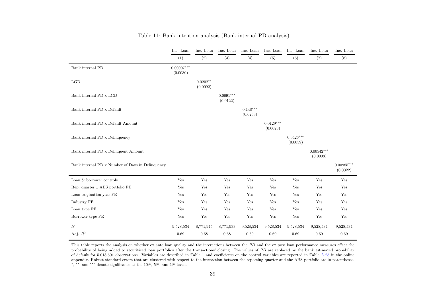<span id="page-43-0"></span>

|                                                  | Inc. Loan                | Inc. Loan              | Inc. Loan               | Inc. Loan              | Inc. Loan               | Inc. Loan               | Inc. Loan                | Inc. Loan                |
|--------------------------------------------------|--------------------------|------------------------|-------------------------|------------------------|-------------------------|-------------------------|--------------------------|--------------------------|
|                                                  | (1)                      | (2)                    | (3)                     | (4)                    | (5)                     | (6)                     | (7)                      | (8)                      |
| Bank internal PD                                 | $0.00907***$<br>(0.0030) |                        |                         |                        |                         |                         |                          |                          |
| LGD                                              |                          | $0.0202**$<br>(0.0092) |                         |                        |                         |                         |                          |                          |
| Bank internal PD x LGD                           |                          |                        | $0.0691***$<br>(0.0122) |                        |                         |                         |                          |                          |
| Bank internal PD x Default                       |                          |                        |                         | $0.148***$<br>(0.0253) |                         |                         |                          |                          |
| Bank internal PD x Default Amount                |                          |                        |                         |                        | $0.0129***$<br>(0.0023) |                         |                          |                          |
| Bank internal PD x Delinquency                   |                          |                        |                         |                        |                         | $0.0426***$<br>(0.0059) |                          |                          |
| Bank internal PD x Delinquent Amount             |                          |                        |                         |                        |                         |                         | $0.00542***$<br>(0.0008) |                          |
| Bank internal PD x Number of Days in Delinquency |                          |                        |                         |                        |                         |                         |                          | $0.00985***$<br>(0.0022) |
| Loan & borrower controls                         | Yes                      | Yes                    | Yes                     | Yes                    | Yes                     | Yes                     | Yes                      | Yes                      |
| Rep. quarter x ABS portfolio FE                  | Yes                      | Yes                    | Yes                     | Yes                    | Yes                     | Yes                     | Yes                      | Yes                      |
| Loan origination year FE                         | Yes                      | Yes                    | Yes                     | Yes                    | Yes                     | Yes                     | Yes                      | Yes                      |
| Industry FE                                      | Yes                      | Yes                    | Yes                     | Yes                    | Yes                     | Yes                     | Yes                      | Yes                      |
| Loan type FE                                     | Yes                      | Yes                    | Yes                     | Yes                    | Yes                     | Yes                     | Yes                      | Yes                      |
| Borrower type FE                                 | Yes                      | Yes                    | Yes                     | Yes                    | Yes                     | Yes                     | Yes                      | Yes                      |
| N                                                | 9,528,534                | 8,771,945              | 8,771,933               | 9,528,534              | 9,528,534               | 9,528,534               | 9,528,534                | 9,528,534                |
| Adj. $R^2$                                       | 0.69                     | 0.68                   | 0.68                    | 0.69                   | 0.69                    | 0.69                    | 0.69                     | $0.69\,$                 |

| Table 11: Bank intention analysis (Bank internal PD analysis) |  |  |  |
|---------------------------------------------------------------|--|--|--|
|---------------------------------------------------------------|--|--|--|

This table reports the analysis on whether ex ante loan quality and the interactions between the PD and the ex post loan performance measures affect the expectations and the expectations of the expectation of the expectati probability of being added to securitized loan portfolios after the transactions' closing. The values of PD are replaced by the bank estimated probability<br>of defeath for 5.048.504 charactions. Marially are described in Tab of default for 5,018,501 observations. Variables are described in Table [1](#page-17-0) and coefficients on the control variables are reported in Table [A.25](#page-88-0) in the online appendix. Robust standard errors that are clustered with respect to the interaction between the reporting quarter and the ABS portfolio are in parentheses.<br><sup>\*</sup>, <sup>\*\*</sup>, and <sup>\*\*\*</sup> denote significance at the 10%, 5%, and 1% l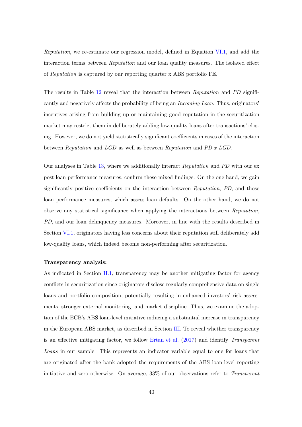Reputation, we re-estimate our regression model, defined in Equation [VI.1,](#page-35-0) and add the interaction terms between Reputation and our loan quality measures. The isolated effect of Reputation is captured by our reporting quarter x ABS portfolio FE.

The results in Table [12](#page-45-0) reveal that the interaction between Reputation and PD significantly and negatively affects the probability of being an Incoming Loan. Thus, originators' incentives arising from building up or maintaining good reputation in the securitization market may restrict them in deliberately adding low-quality loans after transactions' closing. However, we do not yield statistically significant coefficients in cases of the interaction between Reputation and LGD as well as between Reputation and PD x LGD.

Our analyses in Table [13,](#page-46-0) where we additionally interact Reputation and PD with our ex post loan performance measures, confirm these mixed findings. On the one hand, we gain significantly positive coefficients on the interaction between Reputation, PD, and those loan performance measures, which assess loan defaults. On the other hand, we do not observe any statistical significance when applying the interactions between Reputation, PD, and our loan delinquency measures. Moreover, in line with the results described in Section [VI.1,](#page-35-0) originators having less concerns about their reputation still deliberately add low-quality loans, which indeed become non-performing after securitization.

#### Transparency analysis:

As indicated in Section [II.1,](#page-9-0) transparency may be another mitigating factor for agency conflicts in securitization since originators disclose regularly comprehensive data on single loans and portfolio composition, potentially resulting in enhanced investors' risk assessments, stronger external monitoring, and market discipline. Thus, we examine the adoption of the ECB's ABS loan-level initiative inducing a substantial increase in transparency in the European ABS market, as described in Section [III.](#page-15-1) To reveal whether transparency is an effective mitigating factor, we follow [Ertan et al.](#page-57-0) [\(2017\)](#page-57-0) and identify Transparent Loans in our sample. This represents an indicator variable equal to one for loans that are originated after the bank adopted the requirements of the ABS loan-level reporting initiative and zero otherwise. On average, 33% of our observations refer to Transparent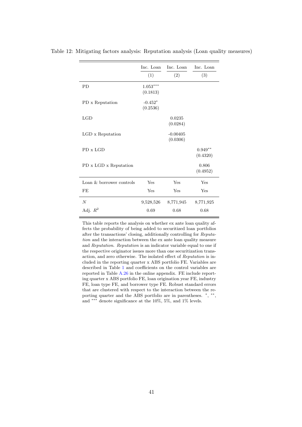|                          | Inc. Loan              | Inc. Loan              | Inc. Loan             |
|--------------------------|------------------------|------------------------|-----------------------|
|                          | (1)                    | (2)                    | (3)                   |
| <b>PD</b>                | $1.053***$<br>(0.1813) |                        |                       |
| PD x Reputation          | $-0.452*$<br>(0.2536)  |                        |                       |
| LGD                      |                        | 0.0235<br>(0.0284)     |                       |
| LGD x Reputation         |                        | $-0.00405$<br>(0.0306) |                       |
| PD x LGD                 |                        |                        | $0.949**$<br>(0.4320) |
| PD x LGD x Reputation    |                        |                        | 0.806<br>(0.4952)     |
| Loan & borrower controls | Yes                    | Yes                    | Yes                   |
| <b>FE</b>                | Yes                    | Yes                    | Yes                   |
| $\overline{N}$           | 9,528,526              | 8,771,945              | 8,771,925             |
| Adj. $R^2$               | 0.69                   | 0.68                   | 0.68                  |

<span id="page-45-0"></span>Table 12: Mitigating factors analysis: Reputation analysis (Loan quality measures)

This table reports the analysis on whether ex ante loan quality affects the probability of being added to securitized loan portfolios after the transactions' closing, additionally controlling for Reputation and the interaction between the ex ante loan quality measure and Reputation. Reputation is an indicator variable equal to one if the respective originator issues more than one securitization transaction, and zero otherwise. The isolated effect of Reputation is included in the reporting quarter x ABS portfolio FE. Variables are described in Table [1](#page-17-1) and coefficients on the control variables are reported in Table [A.26](#page-89-0) in the online appendix. FE include reporting quarter x ABS portfolio FE, loan origination year FE, industry FE, loan type FE, and borrower type FE. Robust standard errors that are clustered with respect to the interaction between the reporting quarter and the ABS portfolio are in parentheses.  $*, **$ and ∗∗∗ denote significance at the 10%, 5%, and 1% levels.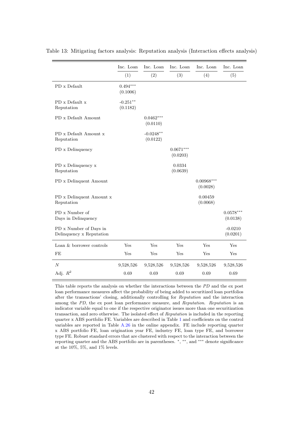<span id="page-46-0"></span>

|                                                        | Inc. Loan               | Inc. Loan               | Inc. Loan               | Inc. Loan                | Inc. Loan               |
|--------------------------------------------------------|-------------------------|-------------------------|-------------------------|--------------------------|-------------------------|
|                                                        | (1)                     | (2)                     | (3)                     | (4)                      | (5)                     |
| PD x Default                                           | $0.494***$<br>(0.1006)  |                         |                         |                          |                         |
| PD x Default x<br>Reputation                           | $-0.251***$<br>(0.1182) |                         |                         |                          |                         |
| PD x Default Amount                                    |                         | $0.0462***$<br>(0.0110) |                         |                          |                         |
| PD x Default Amount x<br>Reputation                    |                         | $-0.0248**$<br>(0.0122) |                         |                          |                         |
| PD x Delinquency                                       |                         |                         | $0.0671***$<br>(0.0203) |                          |                         |
| PD x Delinquency x<br>Reputation                       |                         |                         | 0.0334<br>(0.0639)      |                          |                         |
| PD x Delinquent Amount                                 |                         |                         |                         | $0.00968***$<br>(0.0028) |                         |
| ${\rm PD}$ x Delinquent Amount ${\bf x}$<br>Reputation |                         |                         |                         | 0.00459<br>(0.0068)      |                         |
| PD x Number of<br>Days in Delinquency                  |                         |                         |                         |                          | $0.0578***$<br>(0.0138) |
| PD x Number of Days in<br>Delinquency x Reputation     |                         |                         |                         |                          | $-0.0210$<br>(0.0201)   |
| Loan & borrower controls                               | Yes                     | Yes                     | Yes                     | Yes                      | Yes                     |
| FE                                                     | Yes                     | Yes                     | Yes                     | Yes                      | Yes                     |
| $\cal N$                                               | 9,528,526               | 9,528,526               | 9,528,526               | 9,528,526                | 9,528,526               |
| Adj. $R^2$                                             | 0.69                    | 0.69                    | 0.69                    | 0.69                     | 0.69                    |

Table 13: Mitigating factors analysis: Reputation analysis (Interaction effects analysis)

This table reports the analysis on whether the interactions between the PD and the ex post loan performance measures affect the probability of being added to securitized loan portfolios after the transactions' closing, additionally controlling for Reputation and the interaction among the PD, the ex post loan performance measure, and Reputation. Reputation is an indicator variable equal to one if the respective originator issues more than one securitization transaction, and zero otherwise. The isolated effect of Reputation is included in the reporting quarter x ABS portfolio FE. Variables are described in Table [1](#page-17-1) and coefficients on the control variables are reported in Table [A.26](#page-89-0) in the online appendix. FE include reporting quarter x ABS portfolio FE, loan origination year FE, industry FE, loan type FE, and borrower type FE. Robust standard errors that are clustered with respect to the interaction between the reporting quarter and the ABS portfolio are in parentheses. \*, \*\*, and \*\*\* denote significance at the 10%, 5%, and 1% levels.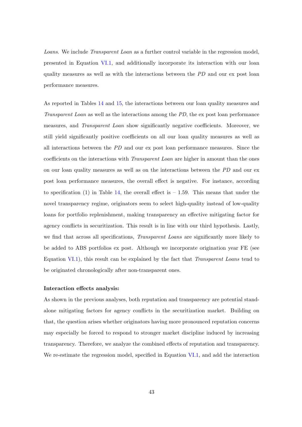Loans. We include Transparent Loan as a further control variable in the regression model, presented in Equation [VI.1,](#page-35-0) and additionally incorporate its interaction with our loan quality measures as well as with the interactions between the PD and our ex post loan performance measures.

As reported in Tables [14](#page-48-0) and [15,](#page-49-0) the interactions between our loan quality measures and Transparent Loan as well as the interactions among the PD, the ex post loan performance measures, and Transparent Loan show significantly negative coefficients. Moreover, we still yield significantly positive coefficients on all our loan quality measures as well as all interactions between the PD and our ex post loan performance measures. Since the coefficients on the interactions with Transparent Loan are higher in amount than the ones on our loan quality measures as well as on the interactions between the PD and our ex post loan performance measures, the overall effect is negative. For instance, according to specification (1) in Table [14,](#page-48-0) the overall effect is  $-1.59$ . This means that under the novel transparency regime, originators seem to select high-quality instead of low-quality loans for portfolio replenishment, making transparency an effective mitigating factor for agency conflicts in securitization. This result is in line with our third hypothesis. Lastly, we find that across all specifications, *Transparent Loans* are significantly more likely to be added to ABS portfolios ex post. Although we incorporate origination year FE (see Equation [VI.1\)](#page-35-0), this result can be explained by the fact that Transparent Loans tend to be originated chronologically after non-transparent ones.

#### Interaction effects analysis:

As shown in the previous analyses, both reputation and transparency are potential standalone mitigating factors for agency conflicts in the securitization market. Building on that, the question arises whether originators having more pronounced reputation concerns may especially be forced to respond to stronger market discipline induced by increasing transparency. Therefore, we analyze the combined effects of reputation and transparency. We re-estimate the regression model, specified in Equation [VI.1,](#page-35-0) and add the interaction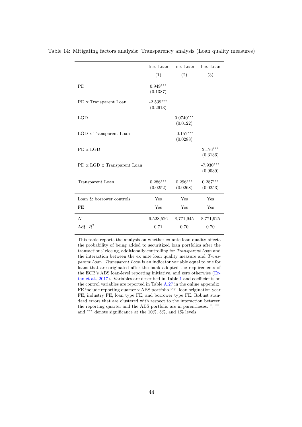|                             | Inc. Loan               | Inc. Loan               | Inc. Loan               |
|-----------------------------|-------------------------|-------------------------|-------------------------|
|                             | (1)                     | (2)                     | (3)                     |
| <b>PD</b>                   | $0.949***$<br>(0.1387)  |                         |                         |
| PD x Transparent Loan       | $-2.539***$<br>(0.2613) |                         |                         |
| LGD                         |                         | $0.0740***$<br>(0.0122) |                         |
| LGD x Transparent Loan      |                         | $-0.157***$<br>(0.0288) |                         |
| PD x LGD                    |                         |                         | $2.176***$<br>(0.3136)  |
| PD x LGD x Transparent Loan |                         |                         | $-7.930***$<br>(0.9039) |
| Transparent Loan            | $0.286***$<br>(0.0252)  | $0.296***$<br>(0.0268)  | $0.287***$<br>(0.0253)  |
| Loan & borrower controls    | Yes                     | Yes                     | Yes                     |
| <b>FE</b>                   | Yes                     | Yes                     | Yes                     |
| $\overline{N}$              | 9,528,526               | 8,771,945               | 8,771,925               |
| Adj. $R^2$                  | 0.71                    | 0.70                    | 0.70                    |

<span id="page-48-0"></span>Table 14: Mitigating factors analysis: Transparency analysis (Loan quality measures)

This table reports the analysis on whether ex ante loan quality affects the probability of being added to securitized loan portfolios after the transactions' closing, additionally controlling for Transparent Loan and the interaction between the ex ante loan quality measure and Transparent Loan. Transparent Loan is an indicator variable equal to one for loans that are originated after the bank adopted the requirements of the ECB's ABS loan-level reporting initiative, and zero otherwise [\(Er](#page-57-0)[tan et al.,](#page-57-0) [2017\)](#page-57-0). Variables are described in Table [1](#page-17-1) and coefficients on the control variables are reported in Table [A.27](#page-90-0) in the online appendix. FE include reporting quarter x ABS portfolio FE, loan origination year FE, industry FE, loan type FE, and borrower type FE. Robust standard errors that are clustered with respect to the interaction between the reporting quarter and the ABS portfolio are in parentheses.  $*, **$ and ∗∗∗ denote significance at the 10%, 5%, and 1% levels.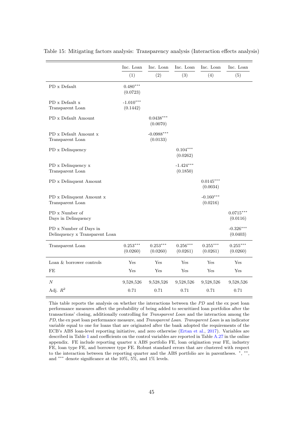|                                                          | Inc. Loan               | Inc. Loan                | Inc. Loan               | Inc. Loan               | Inc. Loan               |
|----------------------------------------------------------|-------------------------|--------------------------|-------------------------|-------------------------|-------------------------|
|                                                          | (1)                     | (2)                      | (3)                     | (4)                     | (5)                     |
| PD x Default                                             | $0.480***$<br>(0.0723)  |                          |                         |                         |                         |
| PD x Default x<br>Transparent Loan                       | $-1.010***$<br>(0.1442) |                          |                         |                         |                         |
| PD x Default Amount                                      |                         | $0.0438***$<br>(0.0070)  |                         |                         |                         |
| PD x Default Amount x<br>Transparent Loan                |                         | $-0.0988***$<br>(0.0133) |                         |                         |                         |
| PD x Delinquency                                         |                         |                          | $0.104***$<br>(0.0262)  |                         |                         |
| PD x Delinquency x<br>Transparent Loan                   |                         |                          | $-1.424***$<br>(0.1850) |                         |                         |
| PD x Delinquent Amount                                   |                         |                          |                         | $0.0145***$<br>(0.0034) |                         |
| PD x Delinquent Amount x<br>Transparent Loan             |                         |                          |                         | $-0.160***$<br>(0.0216) |                         |
| PD x Number of<br>Days in Delinquency                    |                         |                          |                         |                         | $0.0715***$<br>(0.0116) |
| PD x Number of Days in<br>Delinquency x Transparent Loan |                         |                          |                         |                         | $-0.326***$<br>(0.0403) |
| Transparent Loan                                         | $0.253***$<br>(0.0260)  | $0.253***$<br>(0.0260)   | $0.256***$<br>(0.0261)  | $0.255***$<br>(0.0261)  | $0.255***$<br>(0.0260)  |
| Loan $\&$ borrower controls                              | Yes                     | Yes                      | Yes                     | Yes                     | Yes                     |
| FE                                                       | Yes                     | Yes                      | Yes                     | Yes                     | Yes                     |
| $\cal N$                                                 | 9,528,526               | 9,528,526                | 9,528,526               | 9,528,526               | 9,528,526               |
| Adj. $R^2$                                               | 0.71                    | 0.71                     | 0.71                    | 0.71                    | 0.71                    |

<span id="page-49-0"></span>Table 15: Mitigating factors analysis: Transparency analysis (Interaction effects analysis)

This table reports the analysis on whether the interactions between the PD and the ex post loan performance measures affect the probability of being added to securitized loan portfolios after the transactions' closing, additionally controlling for Transparent Loan and the interaction among the PD, the ex post loan performance measure, and Transparent Loan. Transparent Loan is an indicator variable equal to one for loans that are originated after the bank adopted the requirements of the ECB's ABS loan-level reporting initiative, and zero otherwise [\(Ertan et al.,](#page-57-0) [2017\)](#page-57-0). Variables are described in Table [1](#page-17-1) and coefficients on the control variables are reported in Table [A.27](#page-90-0) in the online appendix. FE include reporting quarter x ABS portfolio FE, loan origination year FE, industry FE, loan type FE, and borrower type FE. Robust standard errors that are clustered with respect to the interaction between the reporting quarter and the ABS portfolio are in parentheses. \*, \*\*, and ∗∗∗ denote significance at the 10%, 5%, and 1% levels.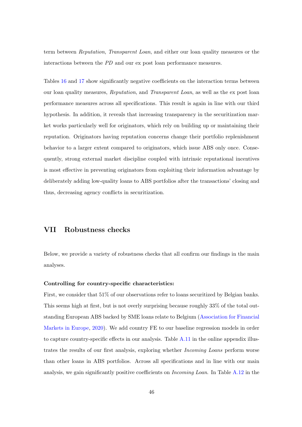term between Reputation, Transparent Loan, and either our loan quality measures or the interactions between the PD and our ex post loan performance measures.

Tables [16](#page-51-0) and [17](#page-52-0) show significantly negative coefficients on the interaction terms between our loan quality measures, Reputation, and Transparent Loan, as well as the ex post loan performance measures across all specifications. This result is again in line with our third hypothesis. In addition, it reveals that increasing transparency in the securitization market works particularly well for originators, which rely on building up or maintaining their reputation. Originators having reputation concerns change their portfolio replenishment behavior to a larger extent compared to originators, which issue ABS only once. Consequently, strong external market discipline coupled with intrinsic reputational incentives is most effective in preventing originators from exploiting their information advantage by deliberately adding low-quality loans to ABS portfolios after the transactions' closing and thus, decreasing agency conflicts in securitization.

# VII Robustness checks

Below, we provide a variety of robustness checks that all confirm our findings in the main analyses.

# Controlling for country-specific characteristics:

First, we consider that 51% of our observations refer to loans securitized by Belgian banks. This seems high at first, but is not overly surprising because roughly 33% of the total outstanding European ABS backed by SME loans relate to Belgium [\(Association for Financial](#page-56-0) [Markets in Europe,](#page-56-0) [2020\)](#page-56-0). We add country FE to our baseline regression models in order to capture country-specific effects in our analysis. Table [A.11](#page-74-0) in the online appendix illustrates the results of our first analysis, exploring whether Incoming Loans perform worse than other loans in ABS portfolios. Across all specifications and in line with our main analysis, we gain significantly positive coefficients on Incoming Loan. In Table [A.12](#page-75-0) in the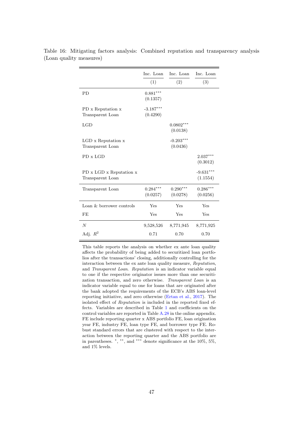|                                             | Inc. Loan<br>(1)        | Inc. Loan<br>(2)        | Inc. Loan<br>(3)        |
|---------------------------------------------|-------------------------|-------------------------|-------------------------|
| <b>PD</b>                                   | $0.881***$<br>(0.1357)  |                         |                         |
| PD x Reputation x<br>Transparent Loan       | $-3.187***$<br>(0.4290) |                         |                         |
| LGD                                         |                         | $0.0802***$<br>(0.0138) |                         |
| LGD x Reputation x<br>Transparent Loan      |                         | $-0.203***$<br>(0.0436) |                         |
| PD x LGD                                    |                         |                         | $2.037***$<br>(0.3012)  |
| PD x LGD x Reputation x<br>Transparent Loan |                         |                         | $-9.631***$<br>(1.1554) |
| Transparent Loan                            | $0.284***$<br>(0.0257)  | $0.290***$<br>(0.0278)  | $0.286***$<br>(0.0256)  |
| Loan & borrower controls                    | Yes                     | Yes                     | Yes                     |
| FE                                          | Yes                     | Yes                     | Yes                     |
| $\overline{N}$                              | 9,528,526               | 8,771,945               | 8,771,925               |
| Adj. $R^2$                                  | 0.71                    | 0.70                    | 0.70                    |

<span id="page-51-0"></span>Table 16: Mitigating factors analysis: Combined reputation and transparency analysis (Loan quality measures)

> This table reports the analysis on whether ex ante loan quality affects the probability of being added to securitized loan portfolios after the transactions' closing, additionally controlling for the interaction between the ex ante loan quality measure, Reputation, and Transparent Loan. Reputation is an indicator variable equal to one if the respective originator issues more than one securitization transaction, and zero otherwise. Transparent Loan is an indicator variable equal to one for loans that are originated after the bank adopted the requirements of the ECB's ABS loan-level reporting initiative, and zero otherwise [\(Ertan et al.,](#page-57-0) [2017\)](#page-57-0). The isolated effect of Reputation is included in the reported fixed effects. Variables are described in Table [1](#page-17-1) and coefficients on the control variables are reported in Table [A.28](#page-91-0) in the online appendix. FE include reporting quarter x ABS portfolio FE, loan origination year FE, industry FE, loan type FE, and borrower type FE. Robust standard errors that are clustered with respect to the interaction between the reporting quarter and the ABS portfolio are in parentheses. <sup>∗</sup> , ∗∗, and ∗∗∗ denote significance at the 10%, 5%, and 1% levels.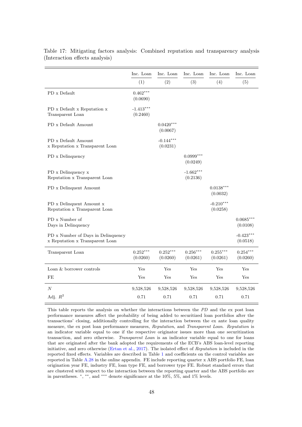|                                                                       | Inc. Loan               | Inc. Loan               | Inc. Loan               | Inc. Loan               | Inc. Loan               |
|-----------------------------------------------------------------------|-------------------------|-------------------------|-------------------------|-------------------------|-------------------------|
|                                                                       | (1)                     | (2)                     | (3)                     | (4)                     | (5)                     |
| PD x Default                                                          | $0.462***$<br>(0.0690)  |                         |                         |                         |                         |
| PD x Default x Reputation x<br>Transparent Loan                       | $-1.413***$<br>(0.2460) |                         |                         |                         |                         |
| PD x Default Amount                                                   |                         | $0.0420***$<br>(0.0067) |                         |                         |                         |
| PD x Default Amount<br>x Reputation x Transparent Loan                |                         | $-0.144***$<br>(0.0231) |                         |                         |                         |
| PD x Delinquency                                                      |                         |                         | $0.0999***$<br>(0.0249) |                         |                         |
| PD x Delinquency x<br>Reputation x Transparent Loan                   |                         |                         | $-1.662***$<br>(0.2136) |                         |                         |
| PD x Delinquent Amount                                                |                         |                         |                         | $0.0138***$<br>(0.0032) |                         |
| PD x Delinquent Amount x<br>Reputation x Transparent Loan             |                         |                         |                         | $-0.210***$<br>(0.0258) |                         |
| PD x Number of<br>Days in Delinquency                                 |                         |                         |                         |                         | $0.0685***$<br>(0.0108) |
| PD x Number of Days in Delinquency<br>x Reputation x Transparent Loan |                         |                         |                         |                         | $-0.423***$<br>(0.0518) |
| Transparent Loan                                                      | $0.252***$<br>(0.0260)  | $0.252***$<br>(0.0260)  | $0.256***$<br>(0.0261)  | $0.255***$<br>(0.0261)  | $0.254***$<br>(0.0260)  |
| Loan & borrower controls                                              | Yes                     | Yes                     | Yes                     | Yes                     | Yes                     |
| FE                                                                    | Yes                     | Yes                     | Yes                     | Yes                     | Yes                     |
| $\overline{N}$                                                        | 9,528,526               | 9,528,526               | 9,528,526               | 9,528,526               | 9,528,526               |
| Adj. $R^2$                                                            | 0.71                    | 0.71                    | 0.71                    | 0.71                    | 0.71                    |

<span id="page-52-0"></span>Table 17: Mitigating factors analysis: Combined reputation and transparency analysis (Interaction effects analysis)

This table reports the analysis on whether the interactions between the PD and the ex post loan performance measures affect the probability of being added to securitized loan portfolios after the transactions' closing, additionally controlling for the interaction between the ex ante loan quality measure, the ex post loan performance measures, Reputation, and Transparent Loan. Reputation is an indicator variable equal to one if the respective originator issues more than one securitization transaction, and zero otherwise. Transparent Loan is an indicator variable equal to one for loans that are originated after the bank adopted the requirements of the ECB's ABS loan-level reporting initiative, and zero otherwise [\(Ertan et al.,](#page-57-0) [2017\)](#page-57-0). The isolated effect of Reputation is included in the reported fixed effects. Variables are described in Table [1](#page-17-1) and coefficients on the control variables are reported in Table [A.28](#page-91-0) in the online appendix. FE include reporting quarter x ABS portfolio FE, loan origination year FE, industry FE, loan type FE, and borrower type FE. Robust standard errors that are clustered with respect to the interaction between the reporting quarter and the ABS portfolio are in parentheses. <sup>∗</sup> , ∗∗, and ∗∗∗ denote significance at the 10%, 5%, and 1% levels.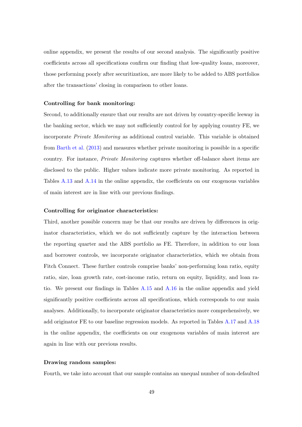online appendix, we present the results of our second analysis. The significantly positive coefficients across all specifications confirm our finding that low-quality loans, moreover, those performing poorly after securitization, are more likely to be added to ABS portfolios after the transactions' closing in comparison to other loans.

#### Controlling for bank monitoring:

Second, to additionally ensure that our results are not driven by country-specific leeway in the banking sector, which we may not sufficiently control for by applying country FE, we incorporate Private Monitoring as additional control variable. This variable is obtained from [Barth et al.](#page-56-1) [\(2013\)](#page-56-1) and measures whether private monitoring is possible in a specific country. For instance, Private Monitoring captures whether off-balance sheet items are disclosed to the public. Higher values indicate more private monitoring. As reported in Tables [A.13](#page-76-0) and [A.14](#page-77-0) in the online appendix, the coefficients on our exogenous variables of main interest are in line with our previous findings.

#### Controlling for originator characteristics:

Third, another possible concern may be that our results are driven by differences in originator characteristics, which we do not sufficiently capture by the interaction between the reporting quarter and the ABS portfolio as FE. Therefore, in addition to our loan and borrower controls, we incorporate originator characteristics, which we obtain from Fitch Connect. These further controls comprise banks' non-performing loan ratio, equity ratio, size, loan growth rate, cost-income ratio, return on equity, liquidity, and loan ratio. We present our findings in Tables [A.15](#page-78-0) and [A.16](#page-79-0) in the online appendix and yield significantly positive coefficients across all specifications, which corresponds to our main analyses. Additionally, to incorporate originator characteristics more comprehensively, we add originator FE to our baseline regression models. As reported in Tables [A.17](#page-80-0) and [A.18](#page-81-0) in the online appendix, the coefficients on our exogenous variables of main interest are again in line with our previous results.

## Drawing random samples:

Fourth, we take into account that our sample contains an unequal number of non-defaulted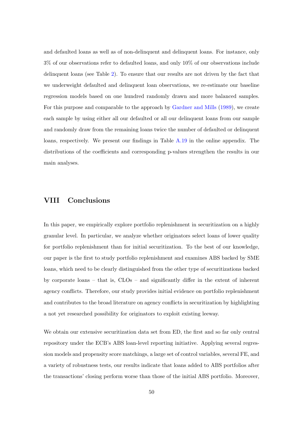and defaulted loans as well as of non-delinquent and delinquent loans. For instance, only 3% of our observations refer to defaulted loans, and only 10% of our observations include delinquent loans (see Table [2\)](#page-20-0). To ensure that our results are not driven by the fact that we underweight defaulted and delinquent loan observations, we re-estimate our baseline regression models based on one hundred randomly drawn and more balanced samples. For this purpose and comparable to the approach by [Gardner and Mills](#page-57-1) [\(1989\)](#page-57-1), we create each sample by using either all our defaulted or all our delinquent loans from our sample and randomly draw from the remaining loans twice the number of defaulted or delinquent loans, respectively. We present our findings in Table [A.19](#page-82-0) in the online appendix. The distributions of the coefficients and corresponding p-values strengthen the results in our main analyses.

# VIII Conclusions

In this paper, we empirically explore portfolio replenishment in securitization on a highly granular level. In particular, we analyze whether originators select loans of lower quality for portfolio replenishment than for initial securitization. To the best of our knowledge, our paper is the first to study portfolio replenishment and examines ABS backed by SME loans, which need to be clearly distinguished from the other type of securitizations backed by corporate loans – that is, CLOs – and significantly differ in the extent of inherent agency conflicts. Therefore, our study provides initial evidence on portfolio replenishment and contributes to the broad literature on agency conflicts in securitization by highlighting a not yet researched possibility for originators to exploit existing leeway.

We obtain our extensive securitization data set from ED, the first and so far only central repository under the ECB's ABS loan-level reporting initiative. Applying several regression models and propensity score matchings, a large set of control variables, several FE, and a variety of robustness tests, our results indicate that loans added to ABS portfolios after the transactions' closing perform worse than those of the initial ABS portfolio. Moreover,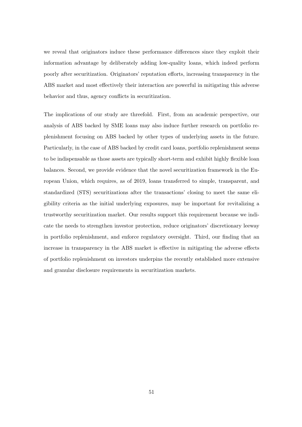we reveal that originators induce these performance differences since they exploit their information advantage by deliberately adding low-quality loans, which indeed perform poorly after securitization. Originators' reputation efforts, increasing transparency in the ABS market and most effectively their interaction are powerful in mitigating this adverse behavior and thus, agency conflicts in securitization.

The implications of our study are threefold. First, from an academic perspective, our analysis of ABS backed by SME loans may also induce further research on portfolio replenishment focusing on ABS backed by other types of underlying assets in the future. Particularly, in the case of ABS backed by credit card loans, portfolio replenishment seems to be indispensable as those assets are typically short-term and exhibit highly flexible loan balances. Second, we provide evidence that the novel securitization framework in the European Union, which requires, as of 2019, loans transferred to simple, transparent, and standardized (STS) securitizations after the transactions' closing to meet the same eligibility criteria as the initial underlying exposures, may be important for revitalizing a trustworthy securitization market. Our results support this requirement because we indicate the needs to strengthen investor protection, reduce originators' discretionary leeway in portfolio replenishment, and enforce regulatory oversight. Third, our finding that an increase in transparency in the ABS market is effective in mitigating the adverse effects of portfolio replenishment on investors underpins the recently established more extensive and granular disclosure requirements in securitization markets.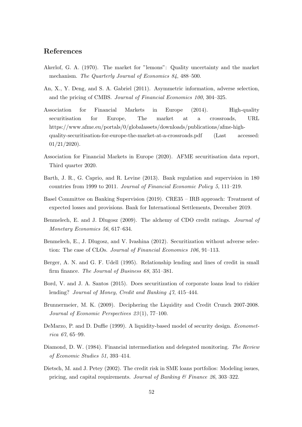# References

- Akerlof, G. A. (1970). The market for "lemons": Quality uncertainty and the market mechanism. The Quarterly Journal of Economics 84, 488–500.
- An, X., Y. Deng, and S. A. Gabriel (2011). Asymmetric information, adverse selection, and the pricing of CMBS. Journal of Financial Economics 100, 304–325.
- Association for Financial Markets in Europe (2014). High-quality securitisation for Europe, The market at a crossroads, URL https://www.afme.eu/portals/0/globalassets/downloads/publications/afme-highquality-securitisation-for-europe-the-market-at-a-crossroads.pdf (Last accessed: 01/21/2020).
- <span id="page-56-1"></span><span id="page-56-0"></span>Association for Financial Markets in Europe (2020). AFME securitisation data report, Third quarter 2020.
- Barth, J. R., G. Caprio, and R. Levine (2013). Bank regulation and supervision in 180 countries from 1999 to 2011. Journal of Financial Economic Policy 5, 111–219.
- Basel Committee on Banking Supervision (2019). CRE35 IRB approach: Treatment of expected losses and provisions. Bank for International Settlements, December 2019.
- Benmelech, E. and J. Dlugosz (2009). The alchemy of CDO credit ratings. Journal of Monetary Economics 56, 617–634.
- Benmelech, E., J. Dlugosz, and V. Ivashina (2012). Securitization without adverse selection: The case of CLOs. Journal of Financial Economics 106, 91–113.
- Berger, A. N. and G. F. Udell (1995). Relationship lending and lines of credit in small firm finance. The Journal of Business 68, 351–381.
- Bord, V. and J. A. Santos (2015). Does securitization of corporate loans lead to riskier lending? Journal of Money, Credit and Banking 47, 415–444.
- Brunnermeier, M. K. (2009). Deciphering the Liquidity and Credit Crunch 2007-2008. Journal of Economic Perspectives 23 (1), 77–100.
- DeMarzo, P. and D. Duffie (1999). A liquidity-based model of security design. *Economet*rica 67, 65–99.
- Diamond, D. W. (1984). Financial intermediation and delegated monitoring. The Review of Economic Studies 51, 393–414.
- Dietsch, M. and J. Petey (2002). The credit risk in SME loans portfolios: Modeling issues, pricing, and capital requirements. Journal of Banking  $\mathcal C$  Finance 26, 303–322.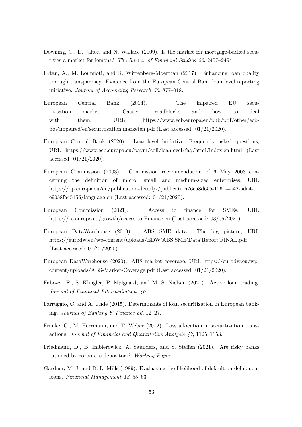- Downing, C., D. Jaffee, and N. Wallace (2009). Is the market for mortgage-backed securities a market for lemons? The Review of Financial Studies 22, 2457–2494.
- <span id="page-57-0"></span>Ertan, A., M. Loumioti, and R. Wittenberg-Moerman (2017). Enhancing loan quality through transparency: Evidence from the European Central Bank loan level reporting initiative. Journal of Accounting Research 55, 877–918.
- European Central Bank (2014). The impaired EU securitisation market: Causes, roadblocks and how to deal with them, URL https://www.ecb.europa.eu/pub/pdf/other/ecbboe˙impaired˙eu˙securitisation˙marketen.pdf (Last accessed: 01/21/2020).
- European Central Bank (2020). Loan-level initiative, Frequently asked questions, URL https://www.ecb.europa.eu/paym/coll/loanlevel/faq/html/index.en.html (Last accessed: 01/21/2020).
- European Commission (2003). Commission recommendation of 6 May 2003 concerning the definition of micro, small and medium-sized enterprises, URL https://op.europa.eu/en/publication-detail/-/publication/6ca8d655-126b-4a42-ada4 e9058fa45155/language-en (Last accessed: 01/21/2020).
- European Commission (2021). Access to finance for SMEs, URL https://ec.europa.eu/growth/access-to-Finance˙en (Last accessed: 03/06/2021).
- European DataWarehouse (2019). ABS SME data: The big picture, URL https://eurodw.eu/wp-content/uploads/EDW˙ABS˙SME˙Data˙Report˙FINAL.pdf (Last accessed: 01/21/2020).
- European DataWarehouse (2020). ABS market coverage, URL https://eurodw.eu/wpcontent/uploads/ABS-Market-Coverage.pdf (Last accessed: 01/21/2020).
- Fabozzi, F., S. Klingler, P. Mølgaard, and M. S. Nielsen (2021). Active loan trading. Journal of Financial Intermediation, 46.
- Farruggio, C. and A. Uhde (2015). Determinants of loan securitization in European banking. Journal of Banking & Finance 56, 12-27.
- Franke, G., M. Herrmann, and T. Weber (2012). Loss allocation in securitization transactions. Journal of Financial and Quantitative Analysis 47, 1125–1153.
- Friedmann, D., B. Imbierowicz, A. Saunders, and S. Steffen (2021). Are risky banks rationed by corporate depositors? Working Paper.
- <span id="page-57-1"></span>Gardner, M. J. and D. L. Mills (1989). Evaluating the likelihood of default on delinquent loans. Financial Management 18, 55–63.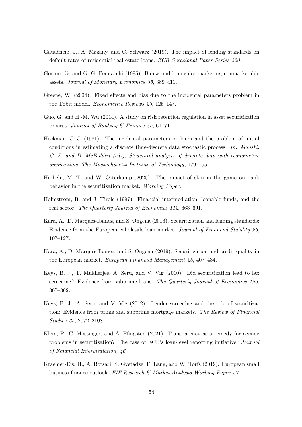- Gaudêncio, J., A. Mazany, and C. Schwarz (2019). The impact of lending standards on default rates of residential real-estate loans. ECB Occasional Paper Series 220.
- <span id="page-58-0"></span>Gorton, G. and G. G. Pennacchi (1995). Banks and loan sales marketing nonmarketable assets. Journal of Monetary Economics 35, 389–411.
- Greene, W. (2004). Fixed effects and bias due to the incidental parameters problem in the Tobit model. Econometric Reviews 23, 125–147.
- Guo, G. and H.-M. Wu (2014). A study on risk retention regulation in asset securitization process. Journal of Banking & Finance 45, 61–71.
- Heckman, J. J. (1981). The incidental parameters problem and the problem of initial conditions in estimating a discrete time-discrete data stochastic process. In: Manski, C. F. and D. McFadden (eds), Structural analysis of discrete data with econometric applications, The Massachusetts Institute of Technology, 179–195.
- Hibbeln, M. T. and W. Osterkamp (2020). The impact of skin in the game on bank behavior in the securitization market. Working Paper.
- Holmstrom, B. and J. Tirole (1997). Financial intermediation, loanable funds, and the real sector. The Quarterly Journal of Economics 112, 663–691.
- Kara, A., D. Marques-Ibanez, and S. Ongena (2016). Securitization and lending standards: Evidence from the European wholesale loan market. Journal of Financial Stability 26, 107–127.
- Kara, A., D. Marques-Ibanez, and S. Ongena (2019). Securitization and credit quality in the European market. European Financial Management 25, 407–434.
- Keys, B. J., T. Mukherjee, A. Seru, and V. Vig (2010). Did securitization lead to lax screening? Evidence from subprime loans. The Quarterly Journal of Economics 125, 307–362.
- Keys, B. J., A. Seru, and V. Vig (2012). Lender screening and the role of securitization: Evidence from prime and subprime mortgage markets. The Review of Financial Studies 25, 2072–2108.
- Klein, P., C. Mössinger, and A. Pfingsten (2021). Transparency as a remedy for agency problems in securitization? The case of ECB's loan-level reporting initiative. Journal of Financial Intermediation, 46.
- Kraemer-Eis, H., A. Botsari, S. Gvetadze, F. Lang, and W. Torfs (2019). European small business finance outlook. EIF Research & Market Analysis Working Paper 57.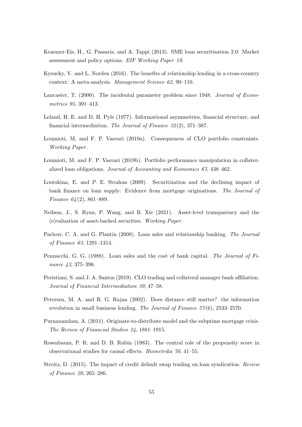- Kraemer-Eis, H., G. Passaris, and A. Tappi (2013). SME loan securitisation 2.0: Market assessment and policy options. EIF Working Paper 19.
- Kysucky, V. and L. Norden (2016). The benefits of relationship lending in a cross-country context: A meta-analysis. Management Science 62, 90–110.
- Lancaster, T. (2000). The incidental parameter problem since 1948. Journal of Econometrics 95, 391–413.
- Leland, H. E. and D. H. Pyle (1977). Informational asymmetries, financial structure, and financial intermediation. The Journal of Finance 32 (2), 371–387.
- Loumioti, M. and F. P. Vasvari (2019a). Consequences of CLO portfolio constraints. Working Paper .
- Loumioti, M. and F. P. Vasvari (2019b). Portfolio performance manipulation in collateralized loan obligations. Journal of Accounting and Economics 67, 438–462.
- Loutskina, E. and P. E. Strahan (2009). Securitization and the declining impact of bank finance on loan supply: Evidence from mortgage originations. The Journal of Finance  $64(2)$ , 861–889.
- Neilson, J., S. Ryan, P. Wang, and B. Xie (2021). Asset-level transparency and the (e)valuation of asset-backed securities. Working Paper .
- Parlour, C. A. and G. Plantin (2008). Loan sales and relationship banking. The Journal of Finance 63, 1291–1314.
- Pennacchi, G. G. (1988). Loan sales and the cost of bank capital. The Journal of Finance 43, 375–396.
- Peristiani, S. and J. A. Santos (2019). CLO trading and collateral manager bank affiliation. Journal of Financial Intermediation 39, 47–58.
- Petersen, M. A. and R. G. Rajan (2002). Does distance still matter? the information revolution in small business lending. The Journal of Finance  $57(6)$ ,  $2533-2570$ .
- Purnanandam, A. (2011). Originate-to-distribute model and the subprime mortgage crisis. The Review of Financial Studies 24, 1881–1915.
- Rosenbaum, P. R. and D. B. Rubin (1983). The central role of the propensity score in observational studies for causal effects. Biometrika 70, 41–55.
- Streitz, D. (2015). The impact of credit default swap trading on loan syndication. Review of Finance 20, 265–286.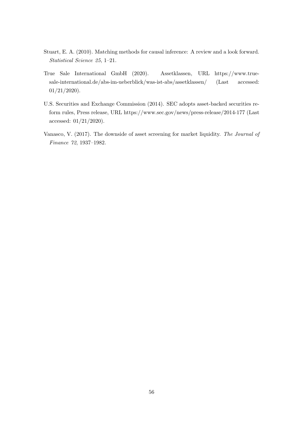- Stuart, E. A. (2010). Matching methods for causal inference: A review and a look forward. Statistical Science 25, 1–21.
- True Sale International GmbH (2020). Assetklassen, URL https://www.truesale-international.de/abs-im-ueberblick/was-ist-abs/assetklassen/ (Last accessed: 01/21/2020).
- U.S. Securities and Exchange Commission (2014). SEC adopts asset-backed securities reform rules, Press release, URL https://www.sec.gov/news/press-release/2014-177 (Last accessed: 01/21/2020).
- Vanasco, V. (2017). The downside of asset screening for market liquidity. The Journal of Finance 72, 1937–1982.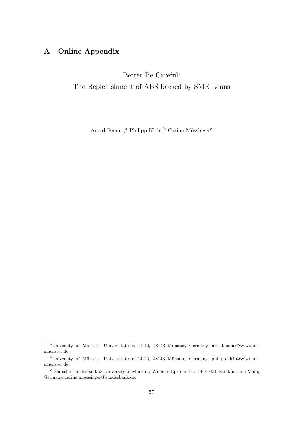# A Online Appendix

Better Be Careful: The Replenishment of ABS backed by SME Loans

Arved Fenner,<sup>[a](#page--1-0)</sup> Philipp Klein,<sup>[b](#page--1-0)</sup> Carina Mössinger<sup>[c](#page--1-0)</sup>

<sup>&</sup>lt;sup>a</sup>University of Münster, Universitätsstr. 14-16, 48143 Münster, Germany, arved.fenner@wiwi.unimuenster.de.

bUniversity of Münster, Universitätsstr. 14-16, 48143 Münster, Germany, philipp.klein@wiwi.unimuenster.de.

<sup>&</sup>lt;sup>c</sup>Deutsche Bundesbank & University of Münster, Wilhelm-Epstein-Str. 14, 60431 Frankfurt am Main, Germany, carina.moessinger@bundesbank.de.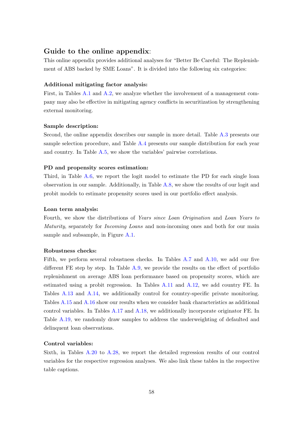# Guide to the online appendix:

This online appendix provides additional analyses for "Better Be Careful: The Replenishment of ABS backed by SME Loans". It is divided into the following six categories:

#### Additional mitigating factor analysis:

First, in Tables [A.1](#page-63-0) and [A.2,](#page-64-0) we analyze whether the involvement of a management company may also be effective in mitigating agency conflicts in securitization by strengthening external monitoring.

#### Sample description:

Second, the online appendix describes our sample in more detail. Table [A.3](#page-65-0) presents our sample selection procedure, and Table [A.4](#page-66-0) presents our sample distribution for each year and country. In Table [A.5,](#page-67-0) we show the variables' pairwise correlations.

#### PD and propensity scores estimation:

Third, in Table [A.6,](#page-68-0) we report the logit model to estimate the PD for each single loan observation in our sample. Additionally, in Table [A.8,](#page-71-0) we show the results of our logit and probit models to estimate propensity scores used in our portfolio effect analysis.

## Loan term analysis:

Fourth, we show the distributions of Years since Loan Origination and Loan Years to Maturity, separately for Incoming Loans and non-incoming ones and both for our main sample and subsample, in Figure [A.1.](#page-69-0)

## Robustness checks:

Fifth, we perform several robustness checks. In Tables [A.7](#page-70-0) and [A.10,](#page-73-0) we add our five different FE step by step. In Table [A.9,](#page-72-0) we provide the results on the effect of portfolio replenishment on average ABS loan performance based on propensity scores, which are estimated using a probit regression. In Tables [A.11](#page-74-0) and [A.12,](#page-75-0) we add country FE. In Tables [A.13](#page-76-0) and [A.14,](#page-77-0) we additionally control for country-specific private monitoring. Tables [A.15](#page-78-0) and [A.16](#page-79-0) show our results when we consider bank characteristics as additional control variables. In Tables [A.17](#page-80-0) and [A.18,](#page-81-0) we additionally incorporate originator FE. In Table [A.19,](#page-82-0) we randomly draw samples to address the underweighting of defaulted and delinquent loan observations.

# Control variables:

Sixth, in Tables [A.20](#page-83-0) to [A.28,](#page-91-0) we report the detailed regression results of our control variables for the respective regression analyses. We also link these tables in the respective table captions.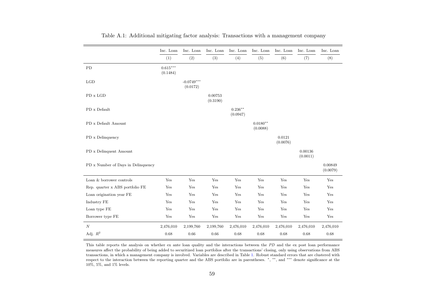<span id="page-63-0"></span>

|                                    | Inc. Loan              | Inc. Loan                | Inc. Loan            | Inc. Loan              | Inc. Loan              | Inc. Loan          | Inc. Loan            | Inc. Loan           |
|------------------------------------|------------------------|--------------------------|----------------------|------------------------|------------------------|--------------------|----------------------|---------------------|
|                                    | (1)                    | (2)                      | (3)                  | (4)                    | (5)                    | (6)                | (7)                  | (8)                 |
| PD                                 | $0.615***$<br>(0.1484) |                          |                      |                        |                        |                    |                      |                     |
| LGD                                |                        | $-0.0749***$<br>(0.0172) |                      |                        |                        |                    |                      |                     |
| PD x LGD                           |                        |                          | 0.00753<br>(0.3190)  |                        |                        |                    |                      |                     |
| PD x Default                       |                        |                          |                      | $0.236***$<br>(0.0947) |                        |                    |                      |                     |
| PD x Default Amount                |                        |                          |                      |                        | $0.0180**$<br>(0.0088) |                    |                      |                     |
| PD x Delinquency                   |                        |                          |                      |                        |                        | 0.0121<br>(0.0076) |                      |                     |
| PD x Delinquent Amount             |                        |                          |                      |                        |                        |                    | 0.00136<br>(0.0011)  |                     |
| PD x Number of Days in Delinquency |                        |                          |                      |                        |                        |                    |                      | 0.00849<br>(0.0079) |
| Loan & borrower controls           | Yes                    | Yes                      | Yes                  | Yes                    | Yes                    | Yes                | Yes                  | Yes                 |
| Rep. quarter x ABS portfolio FE    | Yes                    | Yes                      | Yes                  | Yes                    | Yes                    | Yes                | Yes                  | Yes                 |
| Loan origination year FE           | Yes                    | $\operatorname{Yes}$     | $\operatorname{Yes}$ | Yes                    | Yes                    | Yes                | $\operatorname{Yes}$ | Yes                 |
| Industry FE                        | Yes                    | Yes                      | Yes                  | Yes                    | Yes                    | Yes                | Yes                  | Yes                 |
| Loan type FE                       | Yes                    | Yes                      | Yes                  | Yes                    | Yes                    | Yes                | Yes                  | Yes                 |
| Borrower type FE                   | Yes                    | Yes                      | Yes                  | Yes                    | Yes                    | Yes                | Yes                  | Yes                 |
| N                                  | 2,476,010              | 2,199,760                | 2,199,760            | 2,476,010              | 2,476,010              | 2,476,010          | 2,476,010            | 2,476,010           |
| Adj. $R^2$                         | 0.68                   | 0.66                     | 0.66                 | 0.68                   | 0.68                   | 0.68               | 0.68                 | 0.68                |

|  |  |  |  |  |  |  |  |  | Table A.1: Additional mitigating factor analysis: Transactions with a management company |  |
|--|--|--|--|--|--|--|--|--|------------------------------------------------------------------------------------------|--|
|--|--|--|--|--|--|--|--|--|------------------------------------------------------------------------------------------|--|

This table reports the analysis on whether ex ante loan quality and the interactions between the PD and the ex post loan performance measures affect the probability of being added to securitized loan portfolios after the transactions' closing, only using observations from ABStransactions, in which a management company is involved. Variables are described in Table [1.](#page-17-0) Robust standard errors that are clustered with<br>respect to the interaction between the reporting quarter and the ABS portfolio are 10%, 5%, and 1% levels.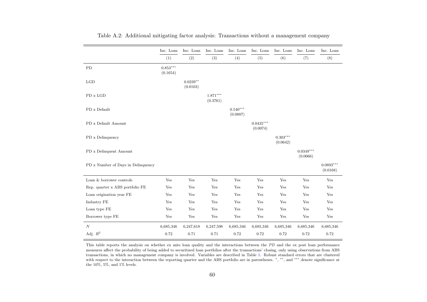<span id="page-64-0"></span>

|                                    | Inc. Loan              | Inc. Loan              | Inc. Loan              | Inc. Loan              | Inc. Loan               | Inc. Loan                   | Inc. Loan               | Inc. Loan               |
|------------------------------------|------------------------|------------------------|------------------------|------------------------|-------------------------|-----------------------------|-------------------------|-------------------------|
|                                    | (1)                    | (2)                    | (3)                    | (4)                    | (5)                     | (6)                         | (7)                     | (8)                     |
| PD                                 | $0.853***$<br>(0.1654) |                        |                        |                        |                         |                             |                         |                         |
| LGD                                |                        | $0.0239**$<br>(0.0103) |                        |                        |                         |                             |                         |                         |
| PD x LGD                           |                        |                        | $1.871***$<br>(0.3761) |                        |                         |                             |                         |                         |
| ${\rm PD}$ x ${\rm Default}$       |                        |                        |                        | $0.540***$<br>(0.0887) |                         |                             |                         |                         |
| PD x Default Amount                |                        |                        |                        |                        | $0.0435***$<br>(0.0074) |                             |                         |                         |
| PD x Delinquency                   |                        |                        |                        |                        |                         | $0.303^{***}\,$<br>(0.0642) |                         |                         |
| PD x Delinquent Amount             |                        |                        |                        |                        |                         |                             | $0.0349***$<br>(0.0066) |                         |
| PD x Number of Days in Delinquency |                        |                        |                        |                        |                         |                             |                         | $0.0893***$<br>(0.0168) |
| Loan & borrower controls           | Yes                    | Yes                    | Yes                    | Yes                    | Yes                     | Yes                         | Yes                     | Yes                     |
| Rep. quarter x ABS portfolio FE    | Yes                    | Yes                    | Yes                    | Yes                    | Yes                     | Yes                         | Yes                     | Yes                     |
| Loan origination year FE           | Yes                    | Yes                    | $\operatorname{Yes}$   | Yes                    | Yes                     | Yes                         | Yes                     | Yes                     |
| Industry FE                        | Yes                    | Yes                    | Yes                    | Yes                    | Yes                     | Yes                         | Yes                     | Yes                     |
| Loan type FE                       | Yes                    | Yes                    | Yes                    | Yes                    | Yes                     | Yes                         | Yes                     | Yes                     |
| Borrower type FE                   | Yes                    | Yes                    | Yes                    | Yes                    | Yes                     | Yes                         | Yes                     | Yes                     |
| N                                  | 6,685,346              | 6,247,618              | 6,247,598              | 6,685,346              | 6,685,346               | 6,685,346                   | 6,685,346               | 6,685,346               |
| Adj. $\mathbb{R}^2$                | 0.72                   | 0.71                   | 0.71                   | 0.72                   | 0.72                    | 0.72                        | 0.72                    | 0.72                    |

|  |  |  |  | Table A.2: Additional mitigating factor analysis: Transactions without a management company |  |
|--|--|--|--|---------------------------------------------------------------------------------------------|--|
|  |  |  |  |                                                                                             |  |
|  |  |  |  |                                                                                             |  |

This table reports the analysis on whether ex ante loan quality and the interactions between the PD and the ex post loan performance measures affect the probability of being added to securitized loan portfolios after the transactions' closing, only using observations from ABS transactions, in which no management company is involved. Variables are described in Table [1.](#page-17-0) Robust standard errors that are clusteredwith respect to the interaction between the reporting quarter and the ABS portfolio are in parentheses. \*, \*\*, and \*\*\* denote significance at the 10%, 5%, and 1% levels.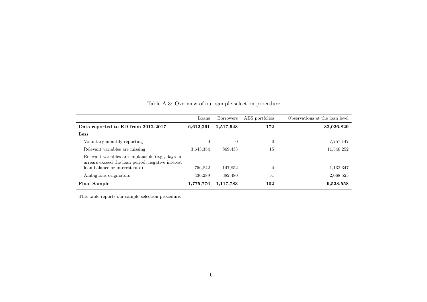<span id="page-65-0"></span>

|                                                                                                        | Loans          | <b>Borrowers</b> | ABS portfolios | Observations at the loan level |
|--------------------------------------------------------------------------------------------------------|----------------|------------------|----------------|--------------------------------|
| Data reported to ED from 2012-2017                                                                     | 6,612,261      | 2,517,548        | 172            | 32,026,829                     |
| Less                                                                                                   |                |                  |                |                                |
| Voluntary monthly reporting                                                                            | $\overline{0}$ | $\Omega$         | $\overline{0}$ | 7,757,147                      |
| Relevant variables are missing                                                                         | 3,643,354      | 869,433          | 15             | 11,540,252                     |
| Relevant variables are implausible (e.g., days in<br>arrears exceed the loan period, negative interest |                |                  |                |                                |
| loan balance or interest rate)                                                                         | 756,842        | 147,852          | 4              | 1,132,347                      |
| Ambiguous originators                                                                                  | 436.289        | 382,480          | 51             | 2,068,525                      |
| <b>Final Sample</b>                                                                                    | 1,775,776      | 1,117,783        | 102            | 9,528,558                      |

Table A.3: Overview of our sample selection procedure

This table reports our sample selection procedure.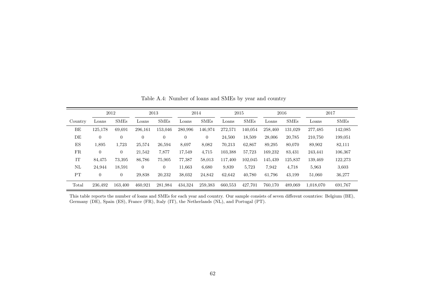<span id="page-66-0"></span>

|         | 2012           |                |                | 2013           | 2014           |                  | 2015    |             | 2016    |             | 2017      |             |
|---------|----------------|----------------|----------------|----------------|----------------|------------------|---------|-------------|---------|-------------|-----------|-------------|
| Country | $_{\rm Loans}$ | <b>SMEs</b>    | Loans          | <b>SMEs</b>    | Loans          | <b>SMEs</b>      | Loans   | <b>SMEs</b> | Loans   | <b>SMEs</b> | Loans     | <b>SMEs</b> |
| BE      | 125,178        | 69,691         | 296,161        | 153,046        | 280,996        | 146,974          | 272,571 | 140,054     | 258,460 | 131,029     | 277,485   | 142,085     |
| DE      | $\overline{0}$ | $\overline{0}$ | $\overline{0}$ | $\overline{0}$ | $\overline{0}$ | $\boldsymbol{0}$ | 24,500  | 18,509      | 28,006  | 20,785      | 210,750   | 199,051     |
| ES      | 1,895          | 1,723          | 25,574         | 26,594         | 8,697          | 8,082            | 70,213  | 62,867      | 89,295  | 80,070      | 89,902    | 82,111      |
| FR      | $\overline{0}$ | $\overline{0}$ | 21,542         | 7,877          | 17,549         | 4,715            | 103,388 | 57,723      | 169,232 | 83,431      | 243,441   | 106,367     |
| IT      | 84,475         | 73,395         | 86,786         | 75,905         | 77,387         | 58,013           | 117,400 | 102,045     | 145,439 | 125,837     | 139,469   | 122,273     |
| NL      | 24,944         | 18,591         | $\theta$       | $\overline{0}$ | 11,663         | 6,680            | 9,839   | 5,723       | 7,942   | 4,718       | 5,963     | 3,603       |
| PT      | $\mathbf{0}$   | $\overline{0}$ | 29,838         | 20,232         | 38,032         | 24,842           | 62,642  | 40,780      | 61,796  | 43,199      | 51,060    | 36,277      |
| Total   | 236,492        | 163,400        | 460,921        | 281,984        | 434,324        | 259,383          | 660,553 | 427,701     | 760,170 | 489,069     | 1.018.070 | 691,767     |

Table A.4: Number of loans and SMEs by year and country

This table reports the number of loans and SMEs for each year and country. Our sample consists of seven different countries: Belgium (BE), Germany (DE), Spain (ES), France (FR), Italy (IT), the Netherlands (NL), and Portugal (PT).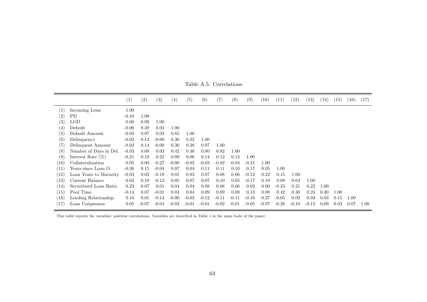<span id="page-67-0"></span>

|                    |                        | (1)     | $\left( 2\right)$ | (3)     | (4)     | (5)     | (6)     | (7)     | (8)     | (9)     | (10)    | (11)    | (12)    | (13)    | (14) | (15) | (16) | (17)     |
|--------------------|------------------------|---------|-------------------|---------|---------|---------|---------|---------|---------|---------|---------|---------|---------|---------|------|------|------|----------|
| (1)                | Incoming Loan          | 1.00    |                   |         |         |         |         |         |         |         |         |         |         |         |      |      |      |          |
| (2)                | PD                     | $-0.10$ | 1.00              |         |         |         |         |         |         |         |         |         |         |         |      |      |      |          |
| (3)                | <b>LGD</b>             | 0.00    | 0.09              | 1.00    |         |         |         |         |         |         |         |         |         |         |      |      |      |          |
| (4)                | Default                | $-0.06$ | 0.49              | 0.04    | 1.00    |         |         |         |         |         |         |         |         |         |      |      |      |          |
| (5)                | Default Amount         | $-0.03$ | 0.07              | 0.03    | 0.85    | 1.00    |         |         |         |         |         |         |         |         |      |      |      |          |
| (6)                | Delinquency            | $-0.02$ | 0.13              | $-0.00$ | 0.30    | 0.32    | 1.00    |         |         |         |         |         |         |         |      |      |      |          |
| (7)                | Delinquent Amount      | $-0.02$ | 0.14              | $-0.00$ | 0.36    | 0.38    | 0.97    | 1.00    |         |         |         |         |         |         |      |      |      |          |
| (8)                | Number of Days in Del. | $-0.03$ | 0.08              | 0.03    | 0.42    | 0.46    | 0.80    | 0.82    | 1.00    |         |         |         |         |         |      |      |      |          |
| (9)                | Interest Rate $(\%)$   | $-0.21$ | 0.18              | 0.22    | 0.09    | 0.06    | 0.14    | 0.12    | 0.14    | 1.00    |         |         |         |         |      |      |      |          |
| (10)               | Collateralization      | 0.05    | 0.00              | $-0.27$ | $-0.00$ | $-0.02$ | $-0.03$ | $-0.02$ | $-0.04$ | $-0.21$ | 1.00    |         |         |         |      |      |      |          |
| (11)               | Years since Loan O.    | $-0.36$ | 0.15              | $-0.04$ | 0.07    | 0.04    | 0.11    | 0.11    | 0.10    | 0.17    | 0.05    | 1.00    |         |         |      |      |      |          |
| (12)               | Loan Years to Maturity | $-0.03$ | 0.02              | $-0.18$ | 0.01    | 0.03    | 0.07    | 0.08    | 0.06    | $-0.12$ | 0.22    | 0.15    | 1.00    |         |      |      |      |          |
| $\left( 13\right)$ | Current Balance        | 0.03    | 0.10              | $-0.13$ | 0.05    | 0.07    | 0.07    | 0.10    | 0.05    | $-0.17$ | 0.19    | 0.08    | 0.64    | 1.00    |      |      |      |          |
| (14)               | Securitized Loan Ratio | 0.23    | 0.07              | 0.01    | 0.04    | 0.04    | 0.08    | 0.08    | 0.06    | 0.02    | 0.00    | $-0.23$ | 0.21    | 0.22    | 1.00 |      |      |          |
| (15)               | Pool Time              | $-0.14$ | 0.07              | $-0.01$ | 0.04    | 0.04    | 0.09    | 0.09    | 0.08    | 0.13    | 0.08    | 0.42    | 0.30    | 0.24    | 0.30 | 1.00 |      |          |
| (16)               | Lending Relationship   | 0.10    | 0.01              | $-0.14$ | $-0.00$ | $-0.03$ | $-0.12$ | $-0.11$ | $-0.11$ | $-0.16$ | 0.27    | $-0.05$ | 0.02    | 0.03    | 0.03 | 0.15 | 1.00 |          |
| (17)               | Loan Uniqueness        | 0.05    | $-0.07$           | $-0.04$ | $-0.03$ | $-0.01$ | $-0.01$ | $-0.02$ | $-0.01$ | $-0.05$ | $-0.07$ | $-0.26$ | $-0.10$ | $-0.12$ | 0.09 | 0.03 | 0.07 | $1.00\,$ |

Table A.5: Correlations

This table reports the variables' pairwise correlations. Variables are described in Table [1](#page-17-0) in the main body of the paper.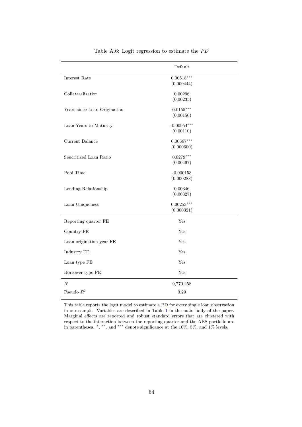<span id="page-68-0"></span>

|                              | Default                    |
|------------------------------|----------------------------|
| Interest Rate                | $0.00518***$<br>(0.000444) |
| Collateralization            | 0.00296<br>(0.00235)       |
| Years since Loan Origination | $0.0155***$<br>(0.00150)   |
| Loan Years to Maturity       | $-0.00954***$<br>(0.00110) |
| Current Balance              | $0.00567***$<br>(0.000600) |
| Seucritized Loan Ratio       | $0.0279***$<br>(0.00497)   |
| Pool Time                    | $-0.000153$<br>(0.000288)  |
| Lending Relationship         | 0.00346<br>(0.00327)       |
| Loan Uniqueness              | $0.00253***$<br>(0.000321) |
| Reporting quarter FE         | Yes                        |
| Country FE                   | Yes                        |
| Loan origination year FE     | Yes                        |
| Industry FE                  | Yes                        |
| Loan type FE                 | Yes                        |
| Borrower type FE             | Yes                        |
| $\overline{N}$               | 9,770,258                  |
| Pseudo $\mathbb{R}^2$        | 0.29                       |

Table A.6: Logit regression to estimate the PD

This table reports the logit model to estimate a PD for every single loan observation in our sample. Variables are described in Table 1 in the main body of the paper. Marginal effects are reported and robust standard errors that are clustered with respect to the interaction between the reporting quarter and the ABS portfolio are in parentheses. <sup>∗</sup> , ∗∗, and ∗∗∗ denote significance at the 10%, 5%, and 1% levels.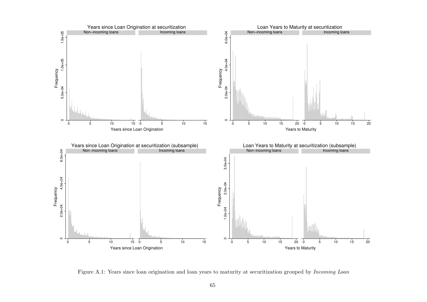<span id="page-69-0"></span>

Figure A.1: Years since loan origination and loan years to maturity at securitization grouped by *Incoming Loan*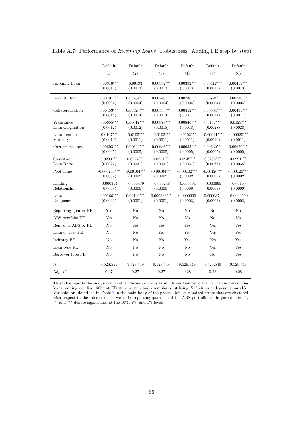<span id="page-70-0"></span>

|                                 | Default                    | Default                   | Default                   | Default                   | Default                   | Default                   |
|---------------------------------|----------------------------|---------------------------|---------------------------|---------------------------|---------------------------|---------------------------|
|                                 | (1)                        | (2)                       | (3)                       | (4)                       | (5)                       | (6)                       |
| Incoming Loan                   | $0.00316***$<br>(0.0012)   | 0.00193<br>(0.0013)       | $0.00382***$<br>(0.0013)  | $0.00392***$<br>(0.0013)  | $0.00417***$<br>(0.0013)  | $0.00419***$<br>(0.0013)  |
| Interest Rate                   | $0.00701***$<br>(0.0004)   | $0.00734***$<br>(0.0004)  | $0.00740***$<br>(0.0004)  | $0.00736***$<br>(0.0004)  | $0.00721***$<br>(0.0004)  | $0.00730***$<br>(0.0004)  |
| Collateralization               | $0.00453***$<br>(0.0014)   | $0.00520***$<br>(0.0014)  | $0.00538***$<br>(0.0014)  | $0.00452***$<br>(0.0014)  | $0.00534***$<br>(0.0011)  | $0.00495***$<br>(0.0011)  |
| Years since<br>Loan Origination | $0.00655***$<br>(0.0012)   | $0.00617***$<br>(0.0012)  | $0.00879***$<br>(0.0018)  | $0.00846***$<br>(0.0018)  | $0.0131***$<br>(0.0028)   | $0.0129***$<br>(0.0028)   |
| Loan Years to<br>Maturity       | $-0.0107***$<br>(0.0010)   | $-0.0105***$<br>(0.0011)  | $-0.0103***$<br>(0.0011)  | $-0.0102***$<br>(0.0011)  | $-0.00941***$<br>(0.0010) | $-0.00920***$<br>(0.0011) |
| Current Balance                 | $0.00603***$<br>(0.0005)   | $0.00622***$<br>(0.0005)  | $0.00636***$<br>(0.0005)  | $0.00655***$<br>(0.0005)  | $0.00632***$<br>(0.0005)  | $0.00620***$<br>(0.0005)  |
| Securitized<br>Loan Ratio       | $0.0239***$<br>(0.0027)    | $0.0274***$<br>(0.0031)   | $0.0251***$<br>(0.0031)   | $0.0249***$<br>(0.0031)   | $0.0288***$<br>(0.0038)   | $0.0291***$<br>(0.0038)   |
| Pool Time                       | $-0.000708***$<br>(0.0002) | $-0.00104***$<br>(0.0002) | $-0.00104***$<br>(0.0002) | $-0.00102***$<br>(0.0002) | $-0.00120***$<br>(0.0002) | $-0.00120***$<br>(0.0002) |
| Lending<br>Relationship         | $-0.000354$<br>(0.0009)    | $-0.000479$<br>(0.0009)   | $-0.000248$<br>(0.0009)   | $-0.000594$<br>(0.0009)   | $-0.000665$<br>(0.0009)   | $-0.00109$<br>(0.0009)    |
| Loan<br>Uniqueness              | $0.00166***$<br>(0.0002)   | $0.00149***$<br>(0.0001)  | $0.000866***$<br>(0.0001) | 0.0000990<br>(0.0002)     | 0.0000374<br>(0.0002)     | $-0.0000190$<br>(0.0002)  |
| Reporting quarter FE            | Yes                        | No                        | No                        | No                        | No                        | No                        |
| ABS portfolio FE                | Yes                        | No                        | No                        | No                        | No                        | No                        |
| Rep. q. x ABS p. FE             | No                         | Yes                       | Yes                       | Yes                       | Yes                       | Yes                       |
| Loan o. year FE                 | No                         | No                        | Yes                       | Yes                       | Yes                       | Yes                       |
| Industry FE                     | No                         | No                        | No                        | Yes                       | Yes                       | Yes                       |
| Loan type FE                    | No                         | No                        | No                        | No                        | Yes                       | Yes                       |
| Borrower type FE                | No                         | N <sub>o</sub>            | No                        | No                        | N <sub>o</sub>            | Yes                       |
| $\cal N$                        | 9,528,555                  | 9,528,549                 | 9,528,549                 | 9,528,549                 | 9,528,549                 | 9,528,549                 |
| Adj. $R^2$                      | 0.27                       | 0.27                      | 0.27                      | 0.28                      | 0.28                      | 0.28                      |

Table A.7: Performance of Incoming Loans (Robustness: Adding FE step by step)

This table reports the analysis on whether Incoming Loans exhibit lower loan performance than non-incoming loans, adding our five different FE step by step and exemplarily utilizing Default as endogenous variable. Variables are described in Table 1 in the main body of the paper. Robust standard errors that are clustered with respect to the interaction [bet](#page-17-1)ween the reporting quarter and the ABS portfolio are in parentheses.  $*$ , ∗∗, and ∗∗∗ denote significance at the 10%, 5%, and 1% levels.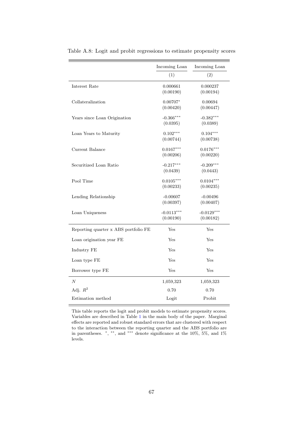<span id="page-71-0"></span>

|                                      | Incoming Loan | Incoming Loan |
|--------------------------------------|---------------|---------------|
|                                      | (1)           | (2)           |
| Interest Rate                        | 0.000661      | 0.000237      |
|                                      | (0.00190)     | (0.00194)     |
| Collateralization                    | $0.00707*$    | 0.00694       |
|                                      | (0.00420)     | (0.00447)     |
| Years since Loan Origination         | $-0.366***$   | $-0.382***$   |
|                                      | (0.0395)      | (0.0389)      |
| Loan Years to Maturity               | $0.102***$    | $0.104***$    |
|                                      | (0.00744)     | (0.00738)     |
| Current Balance                      | $0.0167***$   | $0.0176***$   |
|                                      | (0.00206)     | (0.00220)     |
| Securitized Loan Ratio               | $-0.217***$   | $-0.209***$   |
|                                      | (0.0439)      | (0.0443)      |
| Pool Time                            | $0.0105***$   | $0.0104***$   |
|                                      | (0.00233)     | (0.00235)     |
| Lending Relationship                 | $-0.00607$    | $-0.00496$    |
|                                      | (0.00397)     | (0.00407)     |
| Loan Uniqueness                      | $-0.0113***$  | $-0.0129***$  |
|                                      | (0.00190)     | (0.00182)     |
| Reporting quarter x ABS portfolio FE | Yes           | Yes           |
| Loan origination year FE             | Yes           | Yes           |
| Industry FE                          | Yes           | Yes           |
| Loan type FE                         | Yes           | Yes           |
| Borrower type FE                     | Yes           | Yes           |
| $\boldsymbol{N}$                     | 1,059,323     | 1,059,323     |
| Adj. $R^2$                           | 0.70          | 0.70          |
| Estimation method                    | Logit         | Probit        |

Table A.8: Logit and probit regressions to estimate propensity scores

This table reports the logit and probit models to estimate propensity scores. Variables are described in Table [1](#page-17-1) in the main body of the paper. Marginal effects are reported and robust standard errors that are clustered with respect to the interaction between the reporting quarter and the ABS portfolio are in parentheses.  $\ast$ ,  $\ast\ast$ , and  $\ast\ast\ast$  denote significance at the 10%, 5%, and 1% levels.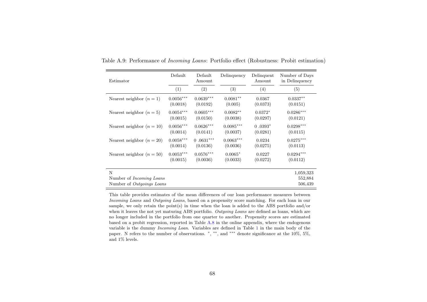| Estimator                                                         | Default     | Default<br>Amount | Delinquency | Delinquent<br>Amount | Number of Days<br>in Delinquency |
|-------------------------------------------------------------------|-------------|-------------------|-------------|----------------------|----------------------------------|
|                                                                   | (1)         | (2)               | (3)         | (4)                  | (5)                              |
| Nearest neighbor $(n = 1)$                                        | $0.0056***$ | $0.0639***$       | $0.0081**$  | 0.0367               | $0.0337**$                       |
|                                                                   | (0.0018)    | (0.0192)          | (0.005)     | (0.0373)             | (0.0151)                         |
| Nearest neighbor $(n=5)$                                          | $0.0054***$ | $0.0605***$       | $0.0082**$  | $0.0372*$            | $0.0286***$                      |
|                                                                   | (0.0015)    | (0.0150)          | (0.0038)    | (0.0297)             | (0.0121)                         |
| Nearest neighbor $(n = 10)$                                       | $0.0056***$ | $0.0626***$       | $0.0085***$ | $0.0393*$            | $0.0298***$                      |
|                                                                   | (0.0014)    | (0.0141)          | (0.0037)    | (0.0281)             | (0.0115)                         |
| Nearest neighbor $(n=20)$                                         | $0.0058***$ | $0.0631***$       | $0.0063***$ | 0.0234               | $0.0275***$                      |
|                                                                   | (0.0014)    | (0.0136)          | (0.0036)    | (0.0275)             | (0.0113)                         |
| Nearest neighbor $(n = 50)$                                       | $0.0053***$ | $0.0576***$       | $0.0065*$   | 0.0227               | $0.0294***$                      |
|                                                                   | (0.0015)    | (0.0036)          | (0.0033)    | (0.0272)             | (0.0112)                         |
| N<br>Number of <i>Incoming Loans</i><br>Number of Outgoings Loans |             |                   |             |                      | 1,059,323<br>552,884<br>506,439  |

Table A.9: Performance of Incoming Loans: Portfolio effect (Robustness: Probit estimation)

This table provides estimates of the mean differences of our loan performance measures between Incoming Loans and Outgoing Loans, based on <sup>a</sup> propensity score matching. For each loan in our sample, we only retain the point(s) in time when the loan is added to the ABS portfolio and/or when it leaves the not yet maturing ABS portfolio. Outgoing Loans are defined as loans, which are no longer included in the portfolio from one quarter to another. Propensity scores are estimated based on <sup>a</sup> probit regression, reported in Table [A.8](#page-71-0) in the online appendix, where the endogenous variable is the dummy Incoming Loan. Variables are defined in Table [1](#page-17-0) in the main body of the paper. N refers to the number of observations. <sup>∗</sup>, ∗∗, and ∗∗∗ denote significance at the 10%, 5%, and 1% levels.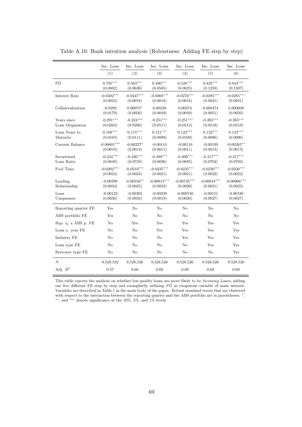|                                 | Inc. Loan                 | Inc. Loan                | Inc. Loan                 | Inc. Loan                 | Inc. Loan                 | Inc. Loan                 |
|---------------------------------|---------------------------|--------------------------|---------------------------|---------------------------|---------------------------|---------------------------|
|                                 | (1)                       | (2)                      | (3)                       | (4)                       | (5)                       | (6)                       |
| PD                              | $0.795***$<br>(0.0862)    | $0.563***$<br>(0.0630)   | $0.490***$<br>(0.0585)    | $0.528***$<br>(0.0625)    | $0.825***$<br>(0.1259)    | $0.844***$<br>(0.1307)    |
| Interest Rate                   | $-0.0302***$<br>(0.0023)  | $-0.0247***$<br>(0.0018) | $-0.0268***$<br>(0.0018)  | $-0.0270***$<br>(0.0018)  | $-0.0285***$<br>(0.0021)  | $-0.0285***$<br>(0.0021)  |
| Collateralization               | $-0.0292$<br>(0.0179)     | $0.00973*$<br>(0.0056)   | 0.00230<br>(0.0049)       | 0.00374<br>(0.0049)       | 0.000474<br>(0.0051)      | 0.000608<br>(0.0050)      |
| Years since<br>Loan Origination | $-0.291***$<br>(0.0263)   | $-0.324***$<br>(0.0280)  | $-0.251***$<br>(0.0511)   | $-0.251***$<br>(0.0512)   | $-0.265***$<br>(0.0519)   | $-0.265***$<br>(0.0519)   |
| Loan Years to<br>Maturity       | $0.108***$<br>(0.0103)    | $0.115***$<br>(0.0111)   | $0.121***$<br>(0.0099)    | $0.122***$<br>(0.0100)    | $0.122***$<br>(0.0096)    | $0.123***$<br>(0.0096)    |
| Current Balance                 | $-0.00601***$<br>(0.0018) | $-0.00227*$<br>(0.0014)  | $-0.00114$<br>(0.0011)    | $-0.00116$<br>(0.0011)    | $-0.00199$<br>(0.0013)    | $-0.00265**$<br>(0.0013)  |
| Securitized<br>Loan Ratio       | $-0.234***$<br>(0.0649)   | $-0.336***$<br>(0.0759)  | $-0.299***$<br>(0.0696)   | $-0.300***$<br>(0.0695)   | $-0.317***$<br>(0.0704)   | $-0.317***$<br>(0.0702)   |
| Pool Time                       | $-0.0202***$<br>(0.0024)  | $-0.0210***$<br>(0.0024) | $-0.0235***$<br>(0.0021)  | $-0.0235***$<br>(0.0021)  | $-0.0230***$<br>(0.0022)  | $-0.0230***$<br>(0.0022)  |
| Lending<br>Relationship         | $-0.00398$<br>(0.0034)    | $-0.00556**$<br>(0.0025) | $-0.00813***$<br>(0.0022) | $-0.00745***$<br>(0.0020) | $-0.00844***$<br>(0.0021) | $-0.00966***$<br>(0.0023) |
| Loan<br>Uniqueness              | $-0.00122$<br>(0.0036)    | $-0.00365$<br>(0.0034)   | $-0.00239$<br>(0.0019)    | $-0.000746$<br>(0.0026)   | $-0.00151$<br>(0.0027)    | $-0.00186$<br>(0.0027)    |
| Reporting quarter FE            | Yes                       | No                       | No                        | No                        | No                        | No                        |
| ABS portfolio FE                | Yes                       | No                       | No                        | No                        | $\rm No$                  | No                        |
| Rep. q. x ABS p. FE             | $\rm No$                  | Yes                      | Yes                       | Yes                       | Yes                       | Yes                       |
| Loan o. year FE                 | No                        | No                       | Yes                       | Yes                       | Yes                       | Yes                       |
| Industry FE                     | No                        | No                       | No                        | Yes                       | Yes                       | Yes                       |
| Loan type FE                    | No                        | No                       | No                        | No                        | Yes                       | Yes                       |
| Borrower type FE                | No                        | No                       | No                        | No                        | No                        | Yes                       |
| $\cal N$                        | 9,528,532                 | 9,528,526                | 9,528,526                 | 9,528,526                 | 9,528,526                 | 9,528,526                 |
| Adj. $R^2$                      | 0.57                      | 0.66                     | 0.69                      | 0.69                      | 0.69                      | 0.69                      |

Table A.10: Bank intention analysis (Robustness: Adding FE step by step)

This table reports the analysis on whether low-quality loans are more likely to be Incoming Loans, adding our five different FE step by step and exemplarily utilizing PD as exogenous variable of main interest. Variables are described in Table [1](#page-17-1) in the main body of the paper. Robust standard errors that are clustered with respect to the interaction between the reporting quarter and the ABS portfolio are in parentheses.  $^*$ , ∗∗, and ∗∗∗ denote significance at the 10%, 5%, and 1% levels.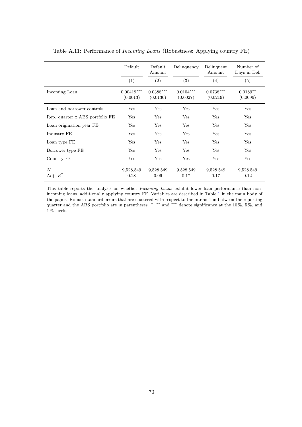|                                 | Default                  | Default<br>Amount                   | Delinquency             | Delinquent<br>Amount    | Number of<br>Days in Del. |
|---------------------------------|--------------------------|-------------------------------------|-------------------------|-------------------------|---------------------------|
|                                 | (1)                      | (2)                                 | (3)                     | (4)                     | (5)                       |
| Incoming Loan                   | $0.00419***$<br>(0.0013) | $0.0388^{\ast\ast\ast}$<br>(0.0130) | $0.0104***$<br>(0.0027) | $0.0738***$<br>(0.0219) | $0.0189**$<br>(0.0096)    |
| Loan and borrower controls      | Yes                      | Yes                                 | Yes                     | Yes                     | Yes                       |
| Rep. quarter x ABS portfolio FE | Yes                      | Yes                                 | Yes                     | Yes                     | Yes                       |
| Loan origination year FE        | Yes                      | Yes                                 | Yes                     | Yes                     | Yes                       |
| Industry FE                     | Yes                      | Yes                                 | Yes                     | Yes                     | Yes                       |
| Loan type FE                    | Yes                      | Yes                                 | Yes                     | Yes                     | Yes                       |
| Borrower type FE                | Yes                      | Yes                                 | Yes                     | Yes                     | Yes                       |
| Country FE                      | Yes                      | Yes                                 | Yes                     | Yes                     | Yes                       |
| $\overline{N}$<br>Adj. $R^2$    | 9,528,549<br>0.28        | 9,528,549<br>0.06                   | 9,528,549<br>0.17       | 9,528,549<br>0.17       | 9,528,549<br>0.12         |

Table A.11: Performance of Incoming Loans (Robustness: Applying country FE)

This table reports the analysis on whether *Incoming Loans* exhibit lower loan performance than nonincoming loans, additionally applying country FE. Variables are described in Table [1](#page-17-1) in the main body of the paper. Robust standard errors that are clustered with respect to the interaction between the reporting quarter and the ABS portfolio are in parentheses. \*, \*\* and \*\*\* denote significance at the 10 %, 5 %, and  $1\,\%$  levels.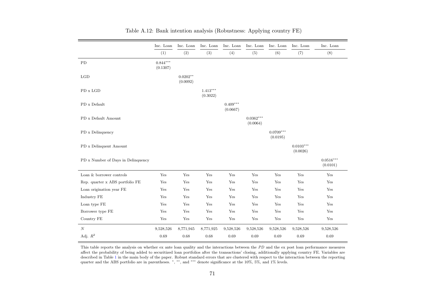|                                    | Inc. Loan              | Inc. Loan              | Inc. Loan              | Inc. Loan              | Inc. Loan               | Inc. Loan               | Inc. Loan               | Inc. Loan               |
|------------------------------------|------------------------|------------------------|------------------------|------------------------|-------------------------|-------------------------|-------------------------|-------------------------|
|                                    | (1)                    | (2)                    | (3)                    | (4)                    | (5)                     | (6)                     | (7)                     | (8)                     |
| PD                                 | $0.844***$<br>(0.1307) |                        |                        |                        |                         |                         |                         |                         |
| LGD                                |                        | $0.0202**$<br>(0.0092) |                        |                        |                         |                         |                         |                         |
| PD x LGD                           |                        |                        | $1.413***$<br>(0.3022) |                        |                         |                         |                         |                         |
| PD x Default                       |                        |                        |                        | $0.409***$<br>(0.0667) |                         |                         |                         |                         |
| PD x Default Amount                |                        |                        |                        |                        | $0.0362***$<br>(0.0064) |                         |                         |                         |
| PD x Delinquency                   |                        |                        |                        |                        |                         | $0.0709***$<br>(0.0195) |                         |                         |
| PD x Delinquent Amount             |                        |                        |                        |                        |                         |                         | $0.0103***$<br>(0.0026) |                         |
| PD x Number of Days in Delinquency |                        |                        |                        |                        |                         |                         |                         | $0.0516***$<br>(0.0101) |
| Loan & borrower controls           | Yes                    | Yes                    | Yes                    | Yes                    | Yes                     | Yes                     | Yes                     | Yes                     |
| Rep. quarter x ABS portfolio FE    | Yes                    | Yes                    | Yes                    | Yes                    | Yes                     | Yes                     | Yes                     | Yes                     |
| Loan origination year FE           | Yes                    | Yes                    | Yes                    | Yes                    | Yes                     | Yes                     | $\operatorname{Yes}$    | $\operatorname{Yes}$    |
| Industry FE                        | Yes                    | Yes                    | Yes                    | Yes                    | Yes                     | Yes                     | Yes                     | Yes                     |
| Loan type FE                       | Yes                    | Yes                    | Yes                    | Yes                    | Yes                     | Yes                     | Yes                     | Yes                     |
| Borrower type FE                   | Yes                    | Yes                    | Yes                    | Yes                    | Yes                     | Yes                     | Yes                     | Yes                     |
| Country FE                         | $\operatorname{Yes}$   | Yes                    | $\operatorname{Yes}$   | $\operatorname{Yes}$   | Yes                     | Yes                     | $\operatorname{Yes}$    | $\operatorname{Yes}$    |
| N                                  | 9,528,526              | 8,771,945              | 8,771,925              | 9,528,526              | 9,528,526               | 9,528,526               | 9,528,526               | 9,528,526               |
| Adj. $R^2$                         | 0.69                   | 0.68                   | 0.68                   | 0.69                   | 0.69                    | 0.69                    | 0.69                    | 0.69                    |

Table A.12: Bank intention analysis (Robustness: Applying country FE)

This table reports the analysis on whether ex ante loan quality and the interactions between the PD and the ex post loan performance measures affect the probability of being added to securitized loan portfolios after the transactions' closing, additionally applying country FE. Variables aredescribed in Table 1 in the main body of the paper. Robust standard errors that are clustered with respect to the interaction between the reporting<br>quarter and the A[BS](#page-17-0) portfolio are in parentheses. \*, \*\*, and \*\*\* denote si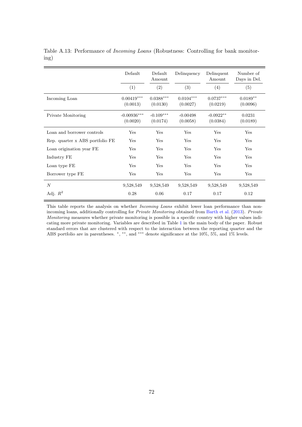|                                 | Default                        | Default<br>Amount                   | Delinquency                  | Delinquent<br>Amount    | Number of<br>Days in Del. |
|---------------------------------|--------------------------------|-------------------------------------|------------------------------|-------------------------|---------------------------|
|                                 | (1)                            | (2)                                 | (3)                          | (4)                     | (5)                       |
| Incoming Loan                   | $0.00419***$<br>(0.0013)       | $0.0388^{\ast\ast\ast}$<br>(0.0130) | $0.0104^{***}\,$<br>(0.0027) | $0.0737***$<br>(0.0219) | $0.0189**$<br>(0.0096)    |
| Private Monitoring              | $-0.00936^{***}\,$<br>(0.0020) | $-0.109***$<br>(0.0174)             | $-0.00498$<br>(0.0058)       | $-0.0922**$<br>(0.0384) | 0.0231<br>(0.0189)        |
| Loan and borrower controls      | Yes                            | Yes                                 | Yes                          | Yes                     | Yes                       |
| Rep. quarter x ABS portfolio FE | Yes                            | Yes                                 | Yes                          | Yes                     | Yes                       |
| Loan origination year FE        | Yes                            | Yes                                 | Yes                          | Yes                     | Yes                       |
| Industry FE                     | Yes                            | Yes                                 | Yes                          | Yes                     | Yes                       |
| Loan type FE                    | Yes                            | Yes                                 | Yes                          | Yes                     | Yes                       |
| Borrower type FE                | Yes                            | Yes                                 | Yes                          | Yes                     | Yes                       |
| $\overline{N}$                  | 9,528,549                      | 9,528,549                           | 9,528,549                    | 9,528,549               | 9,528,549                 |
| Adj. $R^2$                      | 0.28                           | 0.06                                | 0.17                         | 0.17                    | 0.12                      |

Table A.13: Performance of Incoming Loans (Robustness: Controlling for bank monitoring)

This table reports the analysis on whether *Incoming Loans* exhibit lower loan performance than nonincoming loans, additionally controlling for *Private Monitoring* obtained from [Barth et al.](#page-56-0) [\(2013\).](#page-56-0) *Private* Monitoring measures whether private monitoring is possible in a specific country with higher values indicating more private monitoring. Variables are described in Table [1](#page-17-1) in the main body of the paper. Robust standard errors that are clustered with respect to the interaction between the reporting quarter and the ABS portfolio are in parentheses. \*, \*\*, and \*\*\* denote significance at the 10%, 5%, and 1% levels.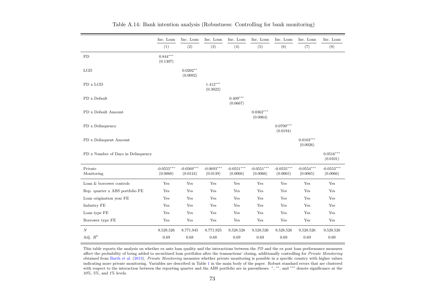|                                    | Inc. Loan                | Inc. Loan                | Inc. Loan                | Inc. Loan                | Inc. Loan                | Inc. Loan                | Inc. Loan                | Inc. Loan                |
|------------------------------------|--------------------------|--------------------------|--------------------------|--------------------------|--------------------------|--------------------------|--------------------------|--------------------------|
|                                    | (1)                      | (2)                      | (3)                      | (4)                      | (5)                      | (6)                      | (7)                      | (8)                      |
| PD                                 | $0.844***$<br>(0.1307)   |                          |                          |                          |                          |                          |                          |                          |
| LGD                                |                          | $0.0202**$<br>(0.0092)   |                          |                          |                          |                          |                          |                          |
| PD x LGD                           |                          |                          | $1.412***$<br>(0.3022)   |                          |                          |                          |                          |                          |
| PD x Default                       |                          |                          |                          | $0.409***$<br>(0.0667)   |                          |                          |                          |                          |
| PD x Default Amount                |                          |                          |                          |                          | $0.0362***$<br>(0.0064)  |                          |                          |                          |
| PD x Delinquency                   |                          |                          |                          |                          |                          | $0.0709***$<br>(0.0194)  |                          |                          |
| PD x Delinquent Amount             |                          |                          |                          |                          |                          |                          | $0.0103***$<br>(0.0026)  |                          |
| PD x Number of Days in Delinquency |                          |                          |                          |                          |                          |                          |                          | $0.0516***$<br>(0.0101)  |
| Private<br>Monitoring              | $-0.0555***$<br>(0.0068) | $-0.0569***$<br>(0.0124) | $-0.0693***$<br>(0.0139) | $-0.0551***$<br>(0.0066) | $-0.0551***$<br>(0.0066) | $-0.0555***$<br>(0.0065) | $-0.0554***$<br>(0.0065) | $-0.0553***$<br>(0.0066) |
| Loan $\&$ borrower controls        | Yes                      | Yes                      | Yes                      | Yes                      | Yes                      | Yes                      | Yes                      | Yes                      |
| Rep. quarter x ABS portfolio FE    | Yes                      | Yes                      | Yes                      | Yes                      | Yes                      | Yes                      | Yes                      | Yes                      |
| Loan origination year FE           | Yes                      | Yes                      | Yes                      | Yes                      | Yes                      | Yes                      | Yes                      | Yes                      |
| Industry FE                        | Yes                      | Yes                      | Yes                      | Yes                      | Yes                      | Yes                      | Yes                      | Yes                      |
| Loan type FE                       | Yes                      | Yes                      | Yes                      | Yes                      | Yes                      | Yes                      | Yes                      | Yes                      |
| Borrower type FE                   | Yes                      | Yes                      | Yes                      | Yes                      | Yes                      | Yes                      | Yes                      | Yes                      |
| $\boldsymbol{N}$                   | 9,528,526                | 8,771,945                | 8,771,925                | 9,528,526                | 9,528,526                | 9,528,526                | 9,528,526                | 9,528,526                |
| Adj. $R^2$                         | $0.69\,$                 | 0.68                     | 0.68                     | 0.69                     | 0.69                     | 0.69                     | 0.69                     | 0.69                     |

Table A.14: Bank intention analysis (Robustness: Controlling for bank monitoring)

This table reports the analysis on whether ex ante loan quality and the interactions between the PD and the ex post loan performance measures affect the probability of being added to securitized loan portfolios after the transactions' closing, additionally controlling for *Private Monitoring* obtained from [Barth](#page-56-1) et al. [\(2013\)](#page-56-1). Private Monitoring measures whether private monitoring is possible in a specific country with higher values<br>indicating mean minute monitoring. Variables are described in Table 1 in the ma indicating more private monitoring. Variables are described in Table [1](#page-17-0) in the main body of the paper. Robust standard errors that are clusteredwith respect to the interaction between the reporting quarter and the ABS portfolio are in parentheses. \*, \*\*, and \*\*\* denote significance at the 10%, 5%, and 1% levels.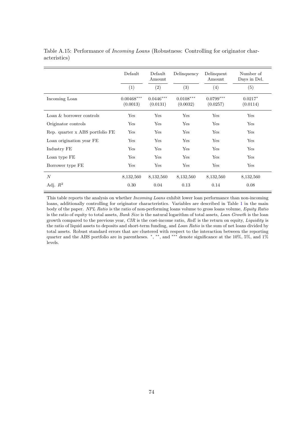|                                 | Default                              | Default<br>Amount       | Delinquency             | Delinquent<br>Amount    | Number of<br>Days in Del. |
|---------------------------------|--------------------------------------|-------------------------|-------------------------|-------------------------|---------------------------|
|                                 | (1)                                  | (2)                     | (3)                     | (4)                     | (5)                       |
| Incoming Loan                   | $0.00468^{\ast\ast\ast}$<br>(0.0013) | $0.0446***$<br>(0.0131) | $0.0108***$<br>(0.0032) | $0.0799***$<br>(0.0257) | $0.0217*$<br>(0.0114)     |
| Loan $\&$ borrower controls     | Yes                                  | Yes                     | Yes                     | Yes                     | Yes                       |
| Originator controls             | Yes                                  | Yes                     | Yes                     | Yes                     | Yes                       |
| Rep. quarter x ABS portfolio FE | Yes                                  | Yes                     | Yes                     | Yes                     | Yes                       |
| Loan origination year FE        | Yes                                  | Yes                     | Yes                     | Yes                     | Yes                       |
| Industry FE                     | Yes                                  | Yes                     | Yes                     | Yes                     | Yes                       |
| Loan type FE                    | Yes                                  | Yes                     | Yes                     | Yes                     | Yes                       |
| Borrower type FE                | Yes                                  | Yes                     | Yes                     | Yes                     | Yes                       |
| $\boldsymbol{N}$                | 8,132,560                            | 8,132,560               | 8,132,560               | 8,132,560               | 8,132,560                 |
| Adj. $R^2$                      | 0.30                                 | 0.04                    | 0.13                    | 0.14                    | 0.08                      |

Table A.15: Performance of Incoming Loans (Robustness: Controlling for originator characteristics)

This table reports the analysis on whether *Incoming Loans* exhibit lower loan performance than non-incoming loans, additionally controlling for originator characteristics. Variables are described in Table [1](#page-17-1) in the main body of the paper. NPL Ratio is the ratio of non-performing loans volume to gross loans volume, Equity Ratio is the ratio of equity to total assets, Bank Size is the natural logarithm of total assets, Loan Growth is the loan growth compared to the previous year, CIR is the cost-income ratio,  $RoE$  is the return on equity, Liquidity is the ratio of liquid assets to deposits and short-term funding, and Loan Ratio is the sum of net loans divided by total assets. Robust standard errors that are clustered with respect to the interaction between the reporting quarter and the ABS portfolio are in parentheses. \*, \*\*, and \*\*\* denote significance at the 10%, 5%, and 1% levels.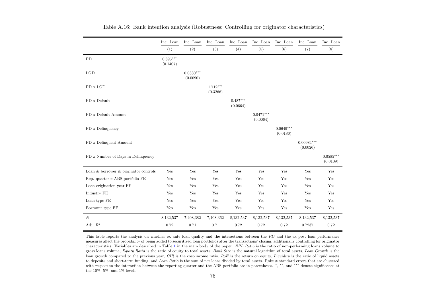|                                             | Inc. Loan              | Inc. Loan               | Inc. Loan              | Inc. Loan              | Inc. Loan               | Inc. Loan               | Inc. Loan                | Inc. Loan               |
|---------------------------------------------|------------------------|-------------------------|------------------------|------------------------|-------------------------|-------------------------|--------------------------|-------------------------|
|                                             | (1)                    | (2)                     | (3)                    | (4)                    | (5)                     | (6)                     | (7)                      | (8)                     |
| PD                                          | $0.895***$<br>(0.1407) |                         |                        |                        |                         |                         |                          |                         |
| LGD                                         |                        | $0.0330***$<br>(0.0090) |                        |                        |                         |                         |                          |                         |
| PD x LGD                                    |                        |                         | $1.712***$<br>(0.3266) |                        |                         |                         |                          |                         |
| PD x Default                                |                        |                         |                        | $0.487***$<br>(0.0664) |                         |                         |                          |                         |
| PD x Default Amount                         |                        |                         |                        |                        | $0.0471***$<br>(0.0064) |                         |                          |                         |
| PD x Delinquency                            |                        |                         |                        |                        |                         | $0.0649***$<br>(0.0186) |                          |                         |
| PD x Delinquent Amount                      |                        |                         |                        |                        |                         |                         | $0.00984***$<br>(0.0026) |                         |
| PD x Number of Days in Delinquency          |                        |                         |                        |                        |                         |                         |                          | $0.0585***$<br>(0.0109) |
| Loan $\&$ borrower $\&$ originator controls | Yes                    | $\operatorname{Yes}$    | Yes                    | Yes                    | $\operatorname{Yes}$    | Yes                     | Yes                      | Yes                     |
| Rep. quarter x ABS portfolio FE             | Yes                    | Yes                     | Yes                    | Yes                    | Yes                     | Yes                     | Yes                      | Yes                     |
| Loan origination year FE                    | Yes                    | Yes                     | Yes                    | Yes                    | Yes                     | Yes                     | Yes                      | Yes                     |
| Industry FE                                 | Yes                    | Yes                     | Yes                    | Yes                    | Yes                     | Yes                     | Yes                      | Yes                     |
| Loan type FE                                | Yes                    | Yes                     | Yes                    | Yes                    | Yes                     | Yes                     | Yes                      | Yes                     |
| Borrower type FE                            | Yes                    | Yes                     | Yes                    | Yes                    | Yes                     | $\operatorname{Yes}$    | Yes                      | Yes                     |
| $\boldsymbol{N}$                            | 8,132,537              | 7,408,382               | 7,408,362              | 8,132,537              | 8,132,537               | 8,132,537               | 8,132,537                | 8,132,537               |
| Adj. $R^2$                                  | 0.72                   | 0.71                    | 0.71                   | 0.72                   | 0.72                    | 0.72                    | 0.7237                   | 0.72                    |

Table A.16: Bank intention analysis (Robustness: Controlling for originator characteristics)

This table reports the analysis on whether ex ante loan quality and the interactions between the PD and the ex post loan performance measures affect the probability of being added to securitized loan portfolios after the transactions' closing, additionally controlling for originator characteristics. Variables are described in Table [1](#page-17-0) in the main body of the paper. NPL Ratio is the ratio of non-performing loans volume to gross loans volume, *Equity Ratio* is the ratio of equity to total assets, *Bank Size* is the natural logarithm of total assets, *Loan Growth* is the loan growth compared to the previous year, CIR is the cost-income ratio,  $RoE$  is the return on equity, Liquidity is the ratio of liquid assets to deposits and short-term funding, and *Loan Ratio* is the sum of net loans divided by total assets. Robust standard errors that are clustered with respect to the interaction between the reporting quarter and the ABS portfolio are in parentheses. \*, \*\*, and \*\*\* denote significance at the 10%, 5%, and 1% levels.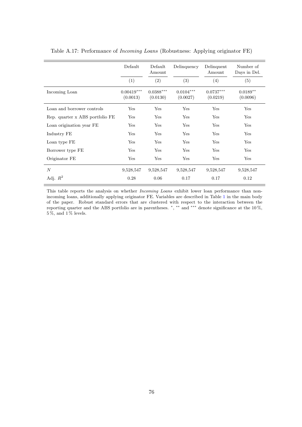|                                 | Default                  | Default<br>Amount       | Delinquency             | Delinquent<br>Amount    | Number of<br>Days in Del. |
|---------------------------------|--------------------------|-------------------------|-------------------------|-------------------------|---------------------------|
|                                 | (1)                      | (2)                     | (3)                     | (4)                     | (5)                       |
| Incoming Loan                   | $0.00419***$<br>(0.0013) | $0.0388***$<br>(0.0130) | $0.0104***$<br>(0.0027) | $0.0737***$<br>(0.0219) | $0.0189**$<br>(0.0096)    |
| Loan and borrower controls      | Yes                      | Yes                     | Yes                     | Yes                     | Yes                       |
| Rep. quarter x ABS portfolio FE | Yes                      | Yes                     | Yes                     | Yes                     | Yes                       |
| Loan origination year FE        | Yes                      | Yes                     | Yes                     | Yes                     | Yes                       |
| Industry FE                     | Yes                      | Yes                     | Yes                     | Yes                     | Yes                       |
| Loan type FE                    | Yes                      | Yes                     | Yes                     | Yes                     | Yes                       |
| Borrower type FE                | Yes                      | Yes                     | Yes                     | Yes                     | Yes                       |
| Originator FE                   | Yes                      | Yes                     | Yes                     | Yes                     | Yes                       |
| $\overline{N}$                  | 9,528,547                | 9,528,547               | 9,528,547               | 9,528,547               | 9,528,547                 |
| Adj. $R^2$                      | 0.28                     | 0.06                    | 0.17                    | 0.17                    | 0.12                      |

Table A.17: Performance of Incoming Loans (Robustness: Applying originator FE)

This table reports the analysis on whether Incoming Loans exhibit lower loan performance than nonincoming loans, additionally applying originator FE. Variables are described in Table [1](#page-17-1) in the main body of the paper. Robust standard errors that are clustered with respect to the interaction between the reporting quarter and the ABS portfolio are in parentheses.  $\alpha$ , ∗∗ and ∗∗∗ denote significance at the 10%,  $5\,\%$  , and  $1\,\%$  levels.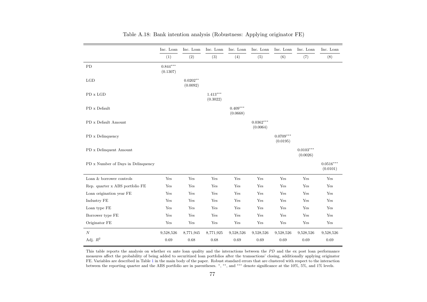|                                    | Inc. Loan              | Inc. Loan              | Inc. Loan              | Inc. Loan              | Inc. Loan               | Inc. Loan               | Inc. Loan               | Inc. Loan               |
|------------------------------------|------------------------|------------------------|------------------------|------------------------|-------------------------|-------------------------|-------------------------|-------------------------|
|                                    | (1)                    | (2)                    | (3)                    | (4)                    | (5)                     | (6)                     | (7)                     | (8)                     |
| ${\rm PD}$                         | $0.844***$<br>(0.1307) |                        |                        |                        |                         |                         |                         |                         |
| LGD                                |                        | $0.0202**$<br>(0.0092) |                        |                        |                         |                         |                         |                         |
| $PD$ x $LGD$                       |                        |                        | $1.413***$<br>(0.3022) |                        |                         |                         |                         |                         |
| PD x Default                       |                        |                        |                        | $0.409***$<br>(0.0668) |                         |                         |                         |                         |
| PD x Default Amount                |                        |                        |                        |                        | $0.0362***$<br>(0.0064) |                         |                         |                         |
| PD x Delinquency                   |                        |                        |                        |                        |                         | $0.0709***$<br>(0.0195) |                         |                         |
| PD x Delinquent Amount             |                        |                        |                        |                        |                         |                         | $0.0103***$<br>(0.0026) |                         |
| PD x Number of Days in Delinquency |                        |                        |                        |                        |                         |                         |                         | $0.0516***$<br>(0.0101) |
| Loan & borrower controls           | Yes                    | Yes                    | Yes                    | Yes                    | Yes                     | Yes                     | Yes                     | Yes                     |
| Rep. quarter x ABS portfolio FE    | Yes                    | Yes                    | Yes                    | Yes                    | Yes                     | Yes                     | Yes                     | Yes                     |
| Loan origination year FE           | Yes                    | Yes                    | Yes                    | Yes                    | Yes                     | Yes                     | Yes                     | Yes                     |
| Industry FE                        | Yes                    | Yes                    | $\operatorname{Yes}$   | Yes                    | Yes                     | $\operatorname{Yes}$    | Yes                     | Yes                     |
| Loan type FE                       | Yes                    | Yes                    | Yes                    | Yes                    | Yes                     | Yes                     | Yes                     | Yes                     |
| Borrower type FE                   | Yes                    | Yes                    | Yes                    | Yes                    | Yes                     | Yes                     | Yes                     | Yes                     |
| Originator FE                      | Yes                    | Yes                    | Yes                    | Yes                    | Yes                     | Yes                     | Yes                     | Yes                     |
| N                                  | 9,528,526              | 8,771,945              | 8,771,925              | 9,528,526              | 9,528,526               | 9,528,526               | 9,528,526               | 9,528,526               |
| Adj. $\mathbb{R}^2$                | 0.69                   | 0.68                   | 0.68                   | 0.69                   | 0.69                    | 0.69                    | 0.69                    | 0.69                    |

This table reports the analysis on whether ex ante loan quality and the interactions between the  $PD$  and the ex post loan performance measures affect the probability of being added to securitized loan portfolios after the transactions' closing, additionally applying originatorFE. Variables are described in Table [1](#page-17-0) in the main body of the paper. Robust standard errors that are clustered with respect to the interaction<br>between the reporting quarter and the ABS portfolio are in parentheses. \*, \*\*,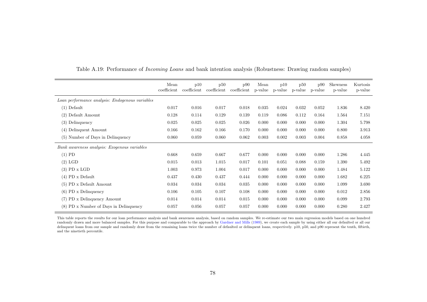|                                                 | Mean<br>coefficient | p10<br>coefficient | p50<br>coefficient | p90<br>coefficient | Mean<br>p-value | p10<br>p-value | p50<br>p-value | p90<br>p-value | <b>Skewness</b><br>p-value | Kurtosis<br>p-value |
|-------------------------------------------------|---------------------|--------------------|--------------------|--------------------|-----------------|----------------|----------------|----------------|----------------------------|---------------------|
| Loan performance analysis: Endogenous variables |                     |                    |                    |                    |                 |                |                |                |                            |                     |
| $(1)$ Default                                   | 0.017               | 0.016              | 0.017              | 0.018              | 0.035           | 0.024          | 0.032          | 0.052          | 1.836                      | 8.420               |
| $(2)$ Default Amount                            | 0.128               | 0.114              | 0.129              | 0.139              | 0.119           | 0.086          | 0.112          | 0.164          | 1.564                      | 7.151               |
| Delinquency<br>(3)                              | 0.025               | 0.025              | 0.025              | 0.026              | 0.000           | 0.000          | 0.000          | 0.000          | 1.304                      | 5.798               |
| Delinquent Amount<br>(4)                        | 0.166               | 0.162              | 0.166              | 0.170              | 0.000           | 0.000          | 0.000          | 0.000          | 0.800                      | 3.913               |
| (5) Number of Days in Delinquency               | 0.060               | 0.059              | 0.060              | 0.062              | 0.003           | 0.002          | 0.003          | 0.004          | 0.858                      | 4.058               |
| Bank awareness analysis: Exogenous variables    |                     |                    |                    |                    |                 |                |                |                |                            |                     |
| $(1)$ PD                                        | 0.668               | 0.659              | 0.667              | 0.677              | 0.000           | 0.000          | 0.000          | 0.000          | 1.286                      | 4.445               |
| $(2)$ LGD                                       | 0.015               | 0.013              | 1.015              | 0.017              | 0.101           | 0.051          | 0.088          | 0.159          | 1.390                      | 5.492               |
| $(3)$ PD x LGD                                  | 1.003               | 0.973              | 1.004              | 0.017              | 0.000           | 0.000          | 0.000          | 0.000          | 1.484                      | 5.122               |
| $(4)$ PD x Default                              | 0.437               | 0.430              | 0.437              | 0.444              | 0.000           | 0.000          | 0.000          | 0.000          | 1.682                      | 6.225               |
| $(5)$ PD x Default Amount                       | 0.034               | 0.034              | 0.034              | 0.035              | 0.000           | 0.000          | 0.000          | 0.000          | 1.099                      | 3.690               |
| $(6)$ PD x Delinquency                          | 0.106               | 0.105              | 0.107              | 0.108              | 0.000           | 0.000          | 0.000          | 0.000          | 0.012                      | 2.856               |
| (7) PD x Delinquency Amount                     | 0.014               | 0.014              | 0.014              | 0.015              | 0.000           | 0.000          | 0.000          | 0.000          | 0.099                      | 2.793               |
| $(8)$ PD x Number of Days in Delinquency        | 0.057               | 0.056              | 0.057              | 0.057              | 0.000           | 0.000          | 0.000          | 0.000          | 0.280                      | 2.427               |

Table A.19: Performance of *Incoming Loans* and bank intention analysis (Robustness: Drawing random samples)

This table reports the results for our loan performance analysis and bank awareness analysis, based on random samples. We re-estimate our two main regression models based on one hundred randomly drawn and more balanced samples. For this purpose and comparable to the approach by [Gardner](#page-57-0) and Mills [\(1989\)](#page-57-0), we create each sample by using either all our defaulted or all our delinquent loans from our sample and randomly draw from the remaining loans twice the number of defaulted or delinquent loans, respectively. p10, p50, and p90 represent the tenth, fiftieth, and the ninetieth percentile.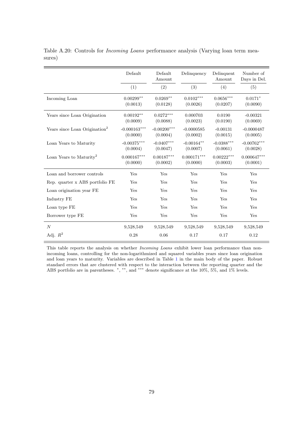|                                           | Default                    | Default<br>Amount         | Delinquency                  | Delinquent<br>Amount                | Number of<br>Days in Del. |
|-------------------------------------------|----------------------------|---------------------------|------------------------------|-------------------------------------|---------------------------|
|                                           | (1)                        | (2)                       | (3)                          | (4)                                 | (5)                       |
| Incoming Loan                             | $0.00299**$<br>(0.0013)    | $0.0269**$<br>(0.0128)    | $0.0102^{***}\,$<br>(0.0026) | $0.0656^{\ast\ast\ast}$<br>(0.0207) | $0.0171*$<br>(0.0090)     |
| Years since Loan Origination              | $0.00192**$<br>(0.0009)    | $0.0272***$<br>(0.0088)   | 0.000703<br>(0.0023)         | 0.0190<br>(0.0190)                  | $-0.00321$<br>(0.0069)    |
| Years since Loan Origination <sup>2</sup> | $-0.000163***$<br>(0.0000) | $-0.00200***$<br>(0.0004) | $-0.0000585$<br>(0.0002)     | $-0.00131$<br>(0.0015)              | $-0.0000487$<br>(0.0005)  |
| Loan Years to Maturity                    | $-0.00375***$<br>(0.0004)  | $-0.0407***$<br>(0.0047)  | $-0.00164***$<br>(0.0007)    | $-0.0388***$<br>(0.0061)            | $-0.00762***$<br>(0.0028) |
| Loan Years to Maturity <sup>2</sup>       | $0.000167***$<br>(0.0000)  | $0.00187***$<br>(0.0002)  | $0.000171***$<br>(0.0000)    | $0.00222***$<br>(0.0003)            | $0.000647***$<br>(0.0001) |
| Loan and borrower controls                | Yes                        | Yes                       | Yes                          | Yes                                 | Yes                       |
| Rep. quarter x ABS portfolio FE           | Yes                        | Yes                       | Yes                          | Yes                                 | Yes                       |
| Loan origination year FE                  | Yes                        | Yes                       | Yes                          | Yes                                 | Yes                       |
| Industry FE                               | Yes                        | Yes                       | Yes                          | Yes                                 | Yes                       |
| Loan type FE                              | Yes                        | Yes                       | Yes                          | Yes                                 | Yes                       |
| Borrower type FE                          | Yes                        | Yes                       | Yes                          | Yes                                 | Yes                       |
| $\boldsymbol{N}$                          | 9,528,549                  | 9,528,549                 | 9,528,549                    | 9,528,549                           | 9,528,549                 |
| Adj. $R^2$                                | 0.28                       | 0.06                      | 0.17                         | 0.17                                | 0.12                      |

Table A.20: Controls for Incoming Loans performance analysis (Varying loan term measures)

This table reports the analysis on whether Incoming Loans exhibit lower loan performance than nonincoming loans, controlling for the non-logarithmized and squared variables years since loan origination and loan years to maturity. Variables are described in Table 1 in the main body of the paper. Robust standard errors that are clustered with respect to the interac[tion](#page-17-1) between the reporting quarter and the ABS portfolio are in parentheses. \*, \*\*, and \*\*\* denote significance at the 10%, 5%, and 1% levels.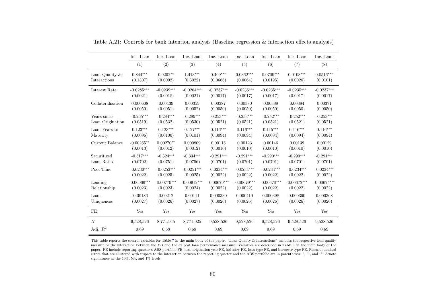|                   | Inc. Loan     | Inc. Loan     | Inc. Loan     | Inc. Loan     | Inc. Loan     | Inc. Loan     | Inc. Loan     | Inc. Loan     |
|-------------------|---------------|---------------|---------------|---------------|---------------|---------------|---------------|---------------|
|                   | (1)           | (2)           | (3)           | (4)           | (5)           | (6)           | (7)           | (8)           |
| Loan Quality $\&$ | $0.844***$    | $0.0202**$    | $1.413***$    | $0.409***$    | $0.0362***$   | $0.0709***$   | $0.0103***$   | $0.0516***$   |
| Interactions      | (0.1307)      | (0.0092)      | (0.3022)      | (0.0668)      | (0.0064)      | (0.0195)      | (0.0026)      | (0.0101)      |
| Interest Rate     | $-0.0285***$  | $-0.0239***$  | $-0.0264***$  | $-0.0237***$  | $-0.0236***$  | $-0.0235***$  | $-0.0235***$  | $-0.0237***$  |
|                   | (0.0021)      | (0.0018)      | (0.0021)      | (0.0017)      | (0.0017)      | (0.0017)      | (0.0017)      | (0.0017)      |
| Collateralization | 0.000608      | 0.00439       | 0.00359       | 0.00387       | 0.00380       | 0.00389       | 0.00384       | 0.00371       |
|                   | (0.0050)      | (0.0051)      | (0.0052)      | (0.0050)      | (0.0050)      | (0.0050)      | (0.0050)      | (0.0050)      |
| Years since       | $-0.265***$   | $-0.284***$   | $-0.289***$   | $-0.253***$   | $-0.253***$   | $-0.252***$   | $-0.252***$   | $-0.253***$   |
| Loan Origination  | (0.0519)      | (0.0532)      | (0.0530)      | (0.0521)      | (0.0521)      | (0.0521)      | (0.0521)      | (0.0521)      |
| Loan Years to     | $0.123***$    | $0.123***$    | $0.127***$    | $0.116***$    | $0.116***$    | $0.115***$    | $0.116***$    | $0.116***$    |
| Maturity          | (0.0096)      | (0.0100)      | (0.0101)      | (0.0094)      | (0.0094)      | (0.0094)      | (0.0094)      | (0.0094)      |
| Current Balance   | $-0.00265**$  | $0.00270**$   | 0.000809      | 0.00116       | 0.00123       | 0.00146       | 0.00139       | 0.00129       |
|                   | (0.0013)      | (0.0012)      | (0.0012)      | (0.0010)      | (0.0010)      | (0.0010)      | (0.0010)      | (0.0010)      |
| Securitized       | $-0.317***$   | $-0.324***$   | $-0.334***$   | $-0.291***$   | $-0.291***$   | $-0.290***$   | $-0.290***$   | $-0.291***$   |
| Loan Ratio        | (0.0702)      | (0.0751)      | (0.0756)      | (0.0701)      | (0.0701)      | (0.0701)      | (0.0701)      | (0.0701)      |
| Pool Time         | $-0.0230***$  | $-0.0253***$  | $-0.0251***$  | $-0.0234***$  | $-0.0234***$  | $-0.0234***$  | $-0.0234***$  | $-0.0234***$  |
|                   | (0.0022)      | (0.0025)      | (0.0025)      | (0.0022)      | (0.0022)      | (0.0022)      | (0.0022)      | (0.0022)      |
| Lending           | $-0.00966***$ | $-0.00779***$ | $-0.00912***$ | $-0.00679***$ | $-0.00679***$ | $-0.00670***$ | $-0.00672***$ | $-0.00675***$ |
| Relationship      | (0.0023)      | (0.0023)      | (0.0024)      | (0.0022)      | (0.0022)      | (0.0022)      | (0.0022)      | (0.0022)      |
| Loan              | $-0.00186$    | 0.00212       | 0.00111       | 0.000330      | 0.000410      | 0.000398      | 0.000390      | 0.000368      |
| Uniqueness        | (0.0027)      | (0.0026)      | (0.0027)      | (0.0026)      | (0.0026)      | (0.0026)      | (0.0026)      | (0.0026)      |
| FE                | Yes           | Yes           | Yes           | Yes           | Yes           | Yes           | Yes           | Yes           |
| $\boldsymbol{N}$  | 9,528,526     | 8,771,945     | 8,771,925     | 9,528,526     | 9,528,526     | 9,528,526     | 9,528,526     | 9,528,526     |
| Adj. $R^2$        | 0.69          | 0.68          | 0.68          | 0.69          | 0.69          | 0.69          | 0.69          | 0.69          |

Table A.21: Controls for bank intention analysis (Baseline regression & interaction effects analysis)

This table reports the control variables for Table [7](#page-37-0) in the main body of the paper. "Loan Quality & Interactions" includes the respective loan qualitymeasure or the interaction between the PD and the ex post loan performance measure. Variables are described in Table [1](#page-17-0) in the main body of the<br>neare EE include reporting supplemental ABS portfolio EE leap origination was E paper. FE include reporting quarter <sup>x</sup> ABS portfolio FE, loan origination year FE, industry FE, loan type FE, and borrower type FE. Robust standard errors that are clustered with respect to the interaction between the reporting quarter and the ABS portfolio are in parentheses. <sup>∗</sup>, ∗∗, and ∗∗∗ denote significance at the 10%, 5%, and 1% levels.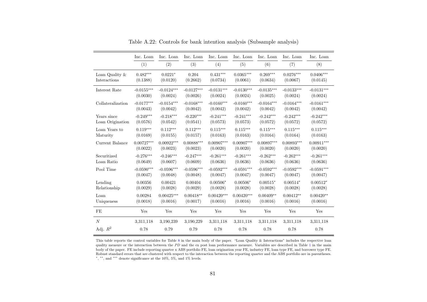|                   | Inc. Loan    | Inc. Loan            | Inc. Loan         | Inc. Loan    | Inc. Loan       | Inc. Loan    | Inc. Loan    | Inc. Loan    |
|-------------------|--------------|----------------------|-------------------|--------------|-----------------|--------------|--------------|--------------|
|                   | (1)          | (2)                  | (3)               | (4)          | (5)             | (6)          | (7)          | (8)          |
| Loan Quality $\&$ | $0.482***$   | $0.0221*$            | 0.204             | $0.431***$   | $0.0365***$     | $0.269***$   | $0.0276***$  | $0.0406***$  |
| Interactions      | (0.1388)     | (0.0120)             | (0.2662)          | (0.0734)     | (0.0061)        | (0.0634)     | (0.0067)     | (0.0145)     |
| Interest Rate     | $-0.0155***$ | $-0.0124***$         | $-0.0127***$      | $-0.0131***$ | $-0.0130^{***}$ | $-0.0135***$ | $-0.0133***$ | $-0.0131***$ |
|                   | (0.0030)     | (0.0024)             | (0.0026)          | (0.0024)     | (0.0024)        | (0.0025)     | (0.0024)     | (0.0024)     |
| Collateralization | $-0.0177***$ | $-0.0154***$         | $-0.0168***$      | $-0.0160***$ | $-0.0160***$    | $-0.0164***$ | $-0.0164***$ | $-0.0161***$ |
|                   | (0.0043)     | (0.0042)             | (0.0042)          | (0.0042)     | (0.0042)        | (0.0042)     | (0.0042)     | (0.0042)     |
| Years since       | $-0.249***$  | $-0.218***$          | $-0.220***$       | $-0.241***$  | $-0.241***$     | $-0.242***$  | $-0.242***$  | $-0.242***$  |
| Loan Origination  | (0.0576)     | (0.0542)             | (0.0541)          | (0.0573)     | (0.0573)        | (0.0572)     | (0.0572)     | (0.0572)     |
| Loan Years to     | $0.119***$   | $0.112***$           | $0.112***$        | $0.115***$   | $0.115***$      | $0.115***$   | $0.115***$   | $0.115***$   |
| Maturity          | (0.0169)     | (0.0155)             | (0.0157)          | (0.0163)     | (0.0163)        | (0.0164)     | (0.0164)     | (0.0163)     |
| Current Balance   | $0.00727***$ | $0.00922***$         | $0.00888^{***}\,$ | $0.00907***$ | $0.00907***$    | $0.00897***$ | $0.00893***$ | $0.00911***$ |
|                   | (0.0022)     | (0.0023)             | (0.0023)          | (0.0020)     | (0.0020)        | (0.0020)     | (0.0020)     | (0.0020)     |
| Securitized       | $-0.276***$  | $-0.246***$          | $-0.247***$       | $-0.261***$  | $-0.261***$     | $-0.262***$  | $-0.262***$  | $-0.261***$  |
| Loan Ratio        | (0.0649)     | (0.0607)             | (0.0609)          | (0.0636)     | (0.0636)        | (0.0636)     | (0.0636)     | (0.0636)     |
| Pool Time         | $-0.0590***$ | $-0.0596***$         | $-0.0596***$      | $-0.0592***$ | $-0.0591***$    | $-0.0592***$ | $-0.0592***$ | $-0.0591***$ |
|                   | (0.0047)     | (0.0048)             | (0.0048)          | (0.0047)     | (0.0047)        | (0.0047)     | (0.0047)     | (0.0047)     |
| Lending           | 0.00356      | 0.00421              | 0.00404           | $0.00506*$   | $0.00506*$      | $0.00515*$   | $0.00514*$   | $0.00512*$   |
| Relationship      | (0.0029)     | (0.0028)             | (0.0029)          | (0.0028)     | (0.0028)        | (0.0028)     | (0.0028)     | (0.0028)     |
| Loan              | 0.00284      | $0.00425***$         | $0.00418**$       | $0.00420***$ | $0.00420***$    | $0.00409**$  | $0.00412**$  | $0.00420**$  |
| Uniqueness        | (0.0018)     | (0.0016)             | (0.0017)          | (0.0016)     | (0.0016)        | (0.0016)     | (0.0016)     | (0.0016)     |
| FE                | Yes          | $\operatorname{Yes}$ | Yes               | Yes          | Yes             | Yes          | Yes          | Yes          |
| N                 | 3,311,118    | 3,190,239            | 3,190,229         | 3,311,118    | 3,311,118       | 3,311,118    | 3,311,118    | 3,311,118    |
| Adj. $R^2$        | 0.78         | 0.79                 | 0.79              | 0.78         | 0.78            | 0.78         | 0.78         | 0.78         |

Table A.22: Controls for bank intention analysis (Subsample analysis)

This table reports the control variables for Table [8](#page-39-0) in the main body of the paper. "Loan Quality & Interactions" includes the respective loanquality measure or the interaction between the PD and the ex post loan performance measure. Variables are described in Table [1](#page-17-0) in the main  $\kappa$  and the parameters are  $\kappa$  in  $\kappa$  and  $\kappa$  is a state of the parameters body of the paper. FE include reporting quarter <sup>x</sup> ABS portfolio FE, loan origination year FE, industry FE, loan type FE, and borrower type FE. Robust standard errors that are clustered with respect to the interaction between the reporting quarter and the ABS portfolio are in parentheses.∗ , ∗∗, and ∗∗∗ denote significance at the 10%, 5%, and 1% levels.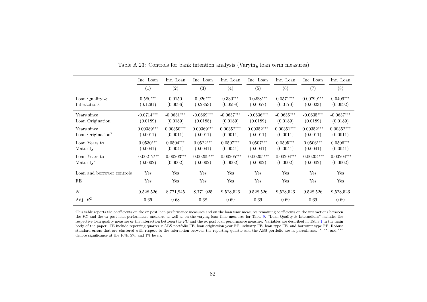|                                              | Inc. Loan                 | Inc. Loan                 | Inc. Loan                            | Inc. Loan                 | Inc. Loan                     | Inc. Loan                            | Inc. Loan                 | Inc. Loan                 |
|----------------------------------------------|---------------------------|---------------------------|--------------------------------------|---------------------------|-------------------------------|--------------------------------------|---------------------------|---------------------------|
|                                              | (1)                       | (2)                       | (3)                                  | (4)                       | (5)                           | (6)                                  | (7)                       | (8)                       |
| Loan Quality $\&$<br>Interactions            | $0.580***$<br>(0.1291)    | 0.0150<br>(0.0096)        | $0.926***$<br>(0.2853)               | $0.330***$<br>(0.0598)    | $0.0288***$<br>(0.0057)       | $0.0571***$<br>(0.0170)              | $0.00799***$<br>(0.0023)  | $0.0409***$<br>(0.0092)   |
| Years since<br>Loan Origination              | $-0.0714***$<br>(0.0189)  | $-0.0631***$<br>(0.0189)  | $-0.0669***$<br>(0.0188)             | $-0.0637***$<br>(0.0189)  | $-0.0636***$<br>(0.0189)      | $-0.0635***$<br>(0.0189)             | $-0.0635***$<br>(0.0189)  | $-0.0637***$<br>(0.0189)  |
| Years since<br>Loan Origination <sup>2</sup> | $0.00389***$<br>(0.0011)  | $0.00350***$<br>(0.0011)  | $0.00369^{\ast\ast\ast}$<br>(0.0011) | $0.00352***$<br>(0.0011)  | $0.00352^{***}\,$<br>(0.0011) | $0.00351^{\ast\ast\ast}$<br>(0.0011) | $0.00352***$<br>(0.0011)  | $0.00352***$<br>(0.0011)  |
| Loan Years to<br>Maturity                    | $0.0530***$<br>(0.0041)   | $0.0504***$<br>(0.0041)   | $0.0522***$<br>(0.0041)              | $0.0507***$<br>(0.0041)   | $0.0507***$<br>(0.0041)       | $0.0505***$<br>(0.0041)              | $0.0506***$<br>(0.0041)   | $0.0506***$<br>(0.0041)   |
| Loan Years to<br>Maturity <sup>2</sup>       | $-0.00212***$<br>(0.0002) | $-0.00203***$<br>(0.0002) | $-0.00209***$<br>(0.0002)            | $-0.00205***$<br>(0.0002) | $-0.00205***$<br>(0.0002)     | $-0.00204***$<br>(0.0002)            | $-0.00204***$<br>(0.0002) | $-0.00204***$<br>(0.0002) |
| Loan and borrower controls                   | Yes                       | Yes                       | Yes                                  | Yes                       | Yes                           | Yes                                  | Yes                       | Yes                       |
| FE                                           | Yes                       | Yes                       | Yes                                  | Yes                       | Yes                           | Yes                                  | Yes                       | Yes                       |
| $\boldsymbol{N}$                             | 9,528,526                 | 8,771,945                 | 8,771,925                            | 9,528,526                 | 9,528,526                     | 9,528,526                            | 9,528,526                 | 9,528,526                 |
| Adj. $R^2$                                   | 0.69                      | 0.68                      | 0.68                                 | 0.69                      | 0.69                          | 0.69                                 | 0.69                      | 0.69                      |

Table A.23: Controls for bank intention analysis (Varying loan term measures)

This table reports the coefficients on the ex post loan performance measures and on the loan time measures remaining coefficients on the interactions betweenthe PD and the ex post loan performance measures as well as on the varying loan time measures for Table [9.](#page-40-0) "Loan Quality & Interactions" includes the<br>negotiation has multiple received as the interaction between the PD and respective loan quality measure or the interaction between the  $PD$  and the ex post loan performance measure. Variables are described in Table [1](#page-17-0) in the main body of the paper. FE include reporting quarter <sup>x</sup> ABS portfolio FE, loan origination year FE, industry FE, loan type FE, and borrower type FE. Robuststandard errors that are clustered with respect to the interaction between the reporting quarter and the ABS portfolio are in parentheses. \*, \*\*, and \*\*\* denote significance at the 10%, 5%, and 1% levels.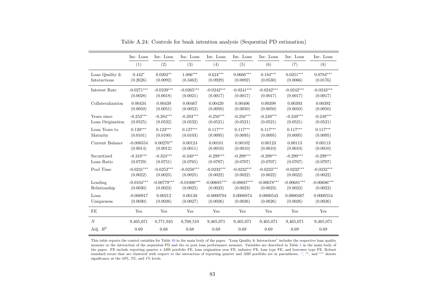|                   | Inc. Loan    | Inc. Loan     | Inc. Loan         | Inc. Loan     | Inc. Loan     | Inc. Loan     | Inc. Loan     | Inc. Loan     |
|-------------------|--------------|---------------|-------------------|---------------|---------------|---------------|---------------|---------------|
|                   | (1)          | (2)           | (3)               | (4)           | (5)           | (6)           | (7)           | (8)           |
| Loan Quality $\&$ | $0.442*$     | $0.0202**$    | $1.006***$        | $0.624***$    | $0.0666***$   | $0.184***$    | $0.0251***$   | $0.0783***$   |
| Interactions      | (0.2626)     | (0.0092)      | (0.3462)          | (0.0929)      | (0.0092)      | (0.0530)      | (0.0066)      | (0.0176)      |
| Interest Rate     | $-0.0271***$ | $-0.0239***$  | $-0.0265^{***}\,$ | $-0.0242***$  | $-0.0241***$  | $-0.0242***$  | $-0.0242***$  | $-0.0243***$  |
|                   | (0.0028)     | (0.0018)      | (0.0021)          | (0.0017)      | (0.0017)      | (0.0017)      | (0.0017)      | (0.0017)      |
| Collateralization | 0.00434      | 0.00439       | 0.00467           | 0.00420       | 0.00406       | 0.00398       | 0.00393       | 0.00392       |
|                   | (0.0050)     | (0.0051)      | (0.0052)          | (0.0050)      | (0.0050)      | (0.0050)      | (0.0050)      | (0.0050)      |
| Years since       | $-0.253***$  | $-0.284***$   | $-0.283***$       | $-0.250***$   | $-0.250***$   | $-0.249***$   | $-0.249***$   | $-0.249***$   |
| Loan Origination  | (0.0525)     | (0.0532)      | (0.0532)          | (0.0521)      | (0.0521)      | (0.0521)      | (0.0521)      | (0.0521)      |
| Loan Years to     | $0.120***$   | $0.123***$    | $0.127***$        | $0.117***$    | $0.117***$    | $0.117***$    | $0.117***$    | $0.117***$    |
| Maturity          | (0.0101)     | (0.0100)      | (0.0103)          | (0.0095)      | (0.0095)      | (0.0095)      | (0.0095)      | (0.0095)      |
| Current Balance   | $-0.000554$  | $0.00270**$   | 0.00124           | 0.00101       | 0.00102       | 0.00123       | 0.00113       | 0.00113       |
|                   | (0.0014)     | (0.0012)      | (0.0011)          | (0.0010)      | (0.0010)      | (0.0010)      | (0.0010)      | (0.0010)      |
| Securitized       | $-0.310***$  | $-0.324***$   | $-0.340***$       | $-0.299***$   | $-0.299***$   | $-0.299***$   | $-0.299***$   | $-0.299***$   |
| Loan Ratio        | (0.0729)     | (0.0751)      | (0.0765)          | (0.0707)      | (0.0707)      | (0.0707)      | (0.0707)      | (0.0707)      |
| Pool Time         | $-0.0231***$ | $-0.0253***$  | $-0.0250***$      | $-0.0232***$  | $-0.0232***$  | $-0.0233***$  | $-0.0232***$  | $-0.0232***$  |
|                   | (0.0022)     | (0.0025)      | (0.0025)          | (0.0022)      | (0.0022)      | (0.0022)      | (0.0022)      | (0.0022)      |
| Lending           | $-0.0104***$ | $-0.00779***$ | $-0.01000***$     | $-0.00685***$ | $-0.00687***$ | $-0.00678***$ | $-0.00681***$ | $-0.00686***$ |
| Relationship      | (0.0030)     | (0.0023)      | (0.0025)          | (0.0023)      | (0.0023)      | (0.0023)      | (0.0023)      | (0.0023)      |
| Loan              | $-0.000917$  | 0.00212       | 0.00138           | $-0.0000704$  | 0.0000874     | 0.0000543     | 0.0000487     | 0.0000554     |
| Uniqueness        | (0.0030)     | (0.0026)      | (0.0027)          | (0.0026)      | (0.0026)      | (0.0026)      | (0.0026)      | (0.0026)      |
| FE                | Yes          | Yes           | Yes               | Yes           | Yes           | Yes           | Yes           | Yes           |
| $\boldsymbol{N}$  | 9,465,071    | 8,771,945     | 8,708,510         | 9,465,071     | 9,465,071     | 9,465,071     | 9,465,071     | 9,465,071     |
| Adj. $R^2$        | 0.69         | 0.68          | 0.68              | 0.69          | 0.69          | 0.69          | 0.69          | 0.69          |

Table A.24: Controls for bank intention analysis (Sequential PD estimation)

This table reports the control variables for Table [10](#page-42-0) in the main body of the paper. "Loan Quality & Interactions" includes the respective loan quality measure or the interaction of the sequential PD and the ex post loan performance measure. Variables are described in Table [1](#page-17-0) in the main body of the paper. FE include reporting quarter <sup>x</sup> ABS portfolio FE, loan origination year FE, industry FE, loan type FE, and borrower type FE. Robust standard errors that are clustered with respect to the interaction of reporting quarter and ABS portfolio are in parentheses. <sup>∗</sup>, ∗∗, and ∗∗∗ denote significance at the 10%, 5%, and 1% levels.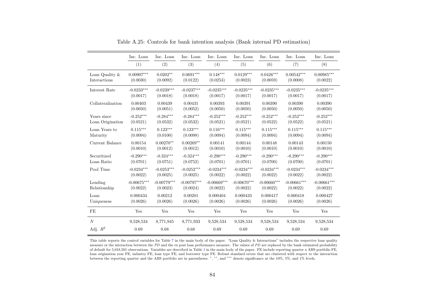|                   | Inc. Loan     | Inc. Loan     | Inc. Loan     | Inc. Loan     | Inc. Loan     | Inc. Loan     | Inc. Loan     | Inc. Loan     |
|-------------------|---------------|---------------|---------------|---------------|---------------|---------------|---------------|---------------|
|                   | (1)           | (2)           | (3)           | (4)           | (5)           | (6)           | (7)           | (8)           |
| Loan Quality &    | $0.00907***$  | $0.0202**$    | $0.0691***$   | $0.148***$    | $0.0129***$   | $0.0426***$   | $0.00542***$  | $0.00985***$  |
| Interactions      | (0.0030)      | (0.0092)      | (0.0122)      | (0.0253)      | (0.0023)      | (0.0059)      | (0.0008)      | (0.0022)      |
| Interest Rate     | $-0.0233***$  | $-0.0239***$  | $-0.0237***$  | $-0.0235***$  | $-0.0235***$  | $-0.0235***$  | $-0.0235***$  | $-0.0235***$  |
|                   | (0.0017)      | (0.0018)      | (0.0018)      | (0.0017)      | (0.0017)      | (0.0017)      | (0.0017)      | (0.0017)      |
| Collateralization | 0.00403       | 0.00439       | 0.00431       | 0.00393       | 0.00391       | 0.00390       | 0.00390       | 0.00390       |
|                   | (0.0050)      | (0.0051)      | (0.0052)      | (0.0050)      | (0.0050)      | (0.0050)      | (0.0050)      | (0.0050)      |
| Years since       | $-0.252***$   | $-0.284***$   | $-0.284***$   | $-0.252***$   | $-0.252***$   | $-0.252***$   | $-0.252***$   | $-0.252***$   |
| Loan Origination  | (0.0521)      | (0.0532)      | (0.0532)      | (0.0521)      | (0.0521)      | (0.0522)      | (0.0522)      | (0.0521)      |
| Loan Years to     | $0.115***$    | $0.123***$    | $0.123***$    | $0.116***$    | $0.115***$    | $0.115***$    | $0.115***$    | $0.115***$    |
| Maturity          | (0.0094)      | (0.0100)      | (0.0098)      | (0.0094)      | (0.0094)      | (0.0094)      | (0.0094)      | (0.0094)      |
| Current Balance   | 0.00154       | $0.00270**$   | $0.00269**$   | 0.00141       | 0.00144       | 0.00148       | 0.00143       | 0.00150       |
|                   | (0.0010)      | (0.0012)      | (0.0012)      | (0.0010)      | (0.0010)      | (0.0010)      | (0.0010)      | (0.0010)      |
| Securitized       | $-0.290***$   | $-0.324***$   | $-0.324***$   | $-0.290***$   | $-0.290***$   | $-0.290***$   | $-0.290***$   | $-0.290***$   |
| Loan Ratio        | (0.0701)      | (0.0751)      | (0.0752)      | (0.0701)      | (0.0701)      | (0.0700)      | (0.0700)      | (0.0701)      |
| Pool Time         | $-0.0234***$  | $-0.0253***$  | $-0.0252***$  | $-0.0234***$  | $-0.0234***$  | $-0.0234***$  | $-0.0234***$  | $-0.0234***$  |
|                   | (0.0022)      | (0.0025)      | (0.0025)      | (0.0022)      | (0.0022)      | (0.0022)      | (0.0022)      | (0.0022)      |
| Lending           | $-0.00675***$ | $-0.00779***$ | $-0.00797***$ | $-0.00669***$ | $-0.00670***$ | $-0.00660***$ | $-0.00661***$ | $-0.00661***$ |
| Relationship      | (0.0022)      | (0.0023)      | (0.0024)      | (0.0022)      | (0.0022)      | (0.0022)      | (0.0022)      | (0.0022)      |
| Loan              | 0.000434      | 0.00212       | 0.00201       | 0.000404      | 0.000433      | 0.000417      | 0.000418      | 0.000427      |
| Uniqueness        | (0.0026)      | (0.0026)      | (0.0026)      | (0.0026)      | (0.0026)      | (0.0026)      | (0.0026)      | (0.0026)      |
| FE                | Yes           | Yes           | Yes           | Yes           | Yes           | Yes           | Yes           | Yes           |
| N                 | 9,528,534     | 8,771,945     | 8,771,933     | 9,528,534     | 9,528,534     | 9,528,534     | 9,528,534     | 9,528,534     |
| Adj. $R^2$        | 0.69          | 0.68          | 0.68          | 0.69          | 0.69          | 0.69          | 0.69          | 0.69          |

Table A.25: Controls for bank intention analysis (Bank internal PD estimation)

This table reports the control variables for Table [7](#page-37-0) in the main body of the paper. "Loan Quality & Interactions" includes the respective loan qualitymeasure or the interaction between the PD and the ex post loan performance measure. The values of PD are replaced by the bank estimated probability<br>of defects for 5.018.501 ekonomics a Mariaklas are described in Table 1 i of default for 5,018,501 observations. Variables are described in Table [1](#page-17-0) in the main body of the paper. FE include reporting quarter <sup>x</sup> ABS portfolio FE, loan origination year FE, industry FE, loan type FE, and borrower type FE. Robust standard errors that are clustered with respect to the interactionbetween the reporting quarter and the ABS portfolio are in parentheses. <sup>∗</sup>, ∗∗, and ∗∗∗ denote significance at the 10%, 5%, and 1% levels.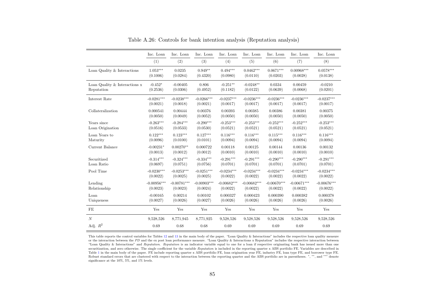|                               | Inc. Loan     | Inc. Loan     | Inc. Loan     | Inc. Loan     | Inc. Loan     | Inc. Loan     | Inc. Loan     | Inc. Loan     |
|-------------------------------|---------------|---------------|---------------|---------------|---------------|---------------|---------------|---------------|
|                               | (1)           | (2)           | (3)           | (4)           | (5)           | (6)           | (7)           | (8)           |
| Loan Quality & Interactions   | $1.053***$    | 0.0235        | $0.949**$     | $0.494***$    | $0.0462***$   | $0.0671***$   | $0.00968***$  | $0.0578***$   |
|                               | (0.1006)      | (0.0284)      | (0.4320)      | (0.0980)      | (0.0110)      | (0.0203)      | (0.0028)      | (0.0138)      |
| Loan Quality & Interactions x | $-0.452*$     | $-0.00405$    | 0.806         | $-0.251**$    | $-0.0248**$   | 0.0334        | 0.00459       | $-0.0210$     |
| Reputation                    | (0.2536)      | (0.0306)      | (0.4952)      | (0.1182)      | (0.0122)      | (0.0639)      | (0.0068)      | (0.0201)      |
| Interest Rate                 | $-0.0281***$  | $-0.0238***$  | $-0.0266***$  | $-0.0237***$  | $-0.0236***$  | $-0.0236***$  | $-0.0236***$  | $-0.0237***$  |
|                               | (0.0021)      | (0.0018)      | (0.0021)      | (0.0017)      | (0.0017)      | (0.0017)      | (0.0017)      | (0.0017)      |
| Collateralization             | 0.000541      | 0.00444       | 0.00376       | 0.00393       | 0.00385       | 0.00386       | 0.00381       | 0.00375       |
|                               | (0.0050)      | (0.0049)      | (0.0052)      | (0.0050)      | (0.0050)      | (0.0050)      | (0.0050)      | (0.0050)      |
| Years since                   | $-0.263***$   | $-0.284***$   | $-0.290***$   | $-0.253***$   | $-0.253***$   | $-0.252***$   | $-0.252***$   | $-0.253***$   |
| Loan Origination              | (0.0516)      | (0.0533)      | (0.0530)      | (0.0521)      | (0.0521)      | (0.0521)      | (0.0521)      | (0.0521)      |
| Loan Years to                 | $0.122***$    | $0.123***$    | $0.127***$    | $0.116***$    | $0.116***$    | $0.115***$    | $0.116***$    | $0.116***$    |
| Maturity                      | (0.0096)      | (0.0100)      | (0.0101)      | (0.0094)      | (0.0094)      | (0.0094)      | (0.0094)      | (0.0094)      |
| Current Balance               | $-0.00231*$   | $0.00270**$   | 0.000722      | 0.00118       | 0.00125       | 0.00144       | 0.00136       | 0.00132       |
|                               | (0.0013)      | (0.0012)      | (0.0012)      | (0.0010)      | (0.0010)      | (0.0010)      | (0.0010)      | (0.0010)      |
| Securitized                   | $-0.314***$   | $-0.324***$   | $-0.334***$   | $-0.291***$   | $-0.291***$   | $-0.290***$   | $-0.290***$   | $-0.291***$   |
| Loan Ratio                    | (0.0697)      | (0.0751)      | (0.0756)      | (0.0701)      | (0.0701)      | (0.0701)      | (0.0701)      | (0.0701)      |
| Pool Time                     | $-0.0230***$  | $-0.0253***$  | $-0.0251***$  | $-0.0234***$  | $-0.0234***$  | $-0.0234***$  | $-0.0234***$  | $-0.0234***$  |
|                               | (0.0022)      | (0.0025)      | (0.0025)      | (0.0022)      | (0.0022)      | (0.0022)      | (0.0022)      | (0.0022)      |
| Lending                       | $-0.00956***$ | $-0.00781***$ | $-0.00903***$ | $-0.00682***$ | $-0.00682***$ | $-0.00670***$ | $-0.00671***$ | $-0.00676***$ |
| Relationship                  | (0.0023)      | (0.0023)      | (0.0024)      | (0.0022)      | (0.0022)      | (0.0022)      | (0.0022)      | (0.0022)      |
| Loan                          | $-0.00165$    | 0.00214       | 0.00102       | 0.000327      | 0.000423      | 0.000390      | 0.000382      | 0.000378      |
| Uniqueness                    | (0.0027)      | (0.0026)      | (0.0027)      | (0.0026)      | (0.0026)      | (0.0026)      | (0.0026)      | (0.0026)      |
| FE                            | Yes           | Yes           | Yes           | Yes           | Yes           | Yes           | Yes           | Yes           |
| N                             | 9,528,526     | 8,771,945     | 8,771,925     | 9,528,526     | 9,528,526     | 9.528,526     | 9,528,526     | 9,528,526     |
| Adj. $R^2$                    | 0.69          | 0.68          | 0.68          | 0.69          | 0.69          | 0.69          | 0.69          | 0.69          |

Table A.26: Controls for bank intention analysis (Reputation analysis)

This table reports the control variables for Tables [12](#page-45-0) and [13](#page-46-0) in the main body of the paper. "Loan Quality & Interactions" includes the respective loan quality measure or the interaction between the PD and the ex post loan performance measure. "Loan Quality & Interactions x Reputation" includes the respective interaction between  $\frac{a}{b}$  and  $\frac{b}{c}$  and  $\frac{c}{d}$  and  $\frac{d}{c}$  and  $\frac$ "Loan Quality & Interactions" and *Reputation. Reputation* is an indicator variable equal to one for a loan if respective originating bank has issued more than one securitization, and zero otherwise. The single coefficient for the variable Reputation is included in the reporting quarter x ABS portfolio FE. Variables are described in  $\Sigma$ Table [1](#page-17-0) in the main body of the paper. FE include reporting quarter <sup>x</sup> ABS portfolio FE, loan origination year FE, industry FE, loan type FE, and borrower type FE. Robust standard errors that are clustered with respect to the interaction between the reporting quarter and the ABS portfolio are in parentheses. <sup>∗</sup>, ∗∗, and ∗∗∗ denote significance at the 10%, 5%, and 1% levels.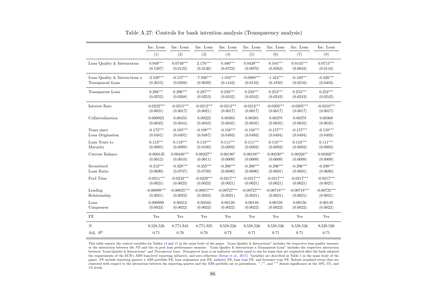|                               | Inc. Loan     | Inc. Loan     | Inc. Loan     | Inc. Loan     | Inc. Loan     | Inc. Loan     | Inc. Loan     | Inc. Loan     |
|-------------------------------|---------------|---------------|---------------|---------------|---------------|---------------|---------------|---------------|
|                               | (1)           | (2)           | (3)           | (4)           | (5)           | (6)           | (7)           | (8)           |
| Loan Quality & Interactions   | $0.949***$    | $0.0740***$   | $2.176***$    | $0.480***$    | $0.0438***$   | $0.104***$    | $0.0145***$   | $0.0715***$   |
|                               | (0.1387)      | (0.0122)      | (0.3136)      | (0.0723)      | (0.0070)      | (0.0262)      | (0.0034)      | (0.0116)      |
|                               |               |               |               |               |               |               |               |               |
| Loan Quality & Interactions x | $-2.539***$   | $-0.157***$   | $-7.930***$   | $-1.010***$   | $-0.0988***$  | $-1.424***$   | $-0.160***$   | $-0.326***$   |
| Transparent Loan              | (0.2613)      | (0.0288)      | (0.9039)      | (0.1442)      | (0.0133)      | (0.1850)      | (0.0216)      | (0.0403)      |
| Transparent Loan              | $0.286***$    | $0.296***$    | $0.287***$    | $0.250***$    | $0.250***$    | $0.253***$    | $0.253***$    | $0.252***$    |
|                               | (0.0252)      | (0.0268)      | (0.0253)      | (0.0242)      | (0.0242)      | (0.0243)      | (0.0243)      | (0.0242)      |
| Interest Rate                 | $-0.0222***$  | $-0.0215***$  | $-0.0212***$  | $-0.0213***$  | $-0.0212***$  | $-0.0203***$  | $-0.0205***$  | $-0.0210***$  |
|                               | (0.0021)      | (0.0017)      | (0.0021)      | (0.0017)      | (0.0017)      | (0.0017)      | (0.0017)      | (0.0017)      |
| Collateralization             | 0.000923      | 0.00455       | 0.00222       | 0.00393       | 0.00385       | 0.00378       | 0.00378       | 0.00368       |
|                               | (0.0043)      | (0.0044)      | (0.0043)      | (0.0045)      | (0.0045)      | (0.0045)      | (0.0045)      | (0.0045)      |
| Years since                   | $-0.172***$   | $-0.185***$   | $-0.198***$   | $-0.158***$   | $-0.158***$   | $-0.157***$   | $-0.157***$   | $-0.158***$   |
| Loan Origination              | (0.0481)      | (0.0491)      | (0.0487)      | (0.0493)      | (0.0493)      | (0.0494)      | (0.0494)      | (0.0493)      |
| Loan Years to                 | $0.113***$    | $0.119***$    | $0.118***$    | $0.111***$    | $0.111***$    | $0.110***$    | $0.110***$    | $0.111***$    |
| Maturity                      | (0.0095)      | (0.0098)      | (0.0100)      | (0.0093)      | (0.0093)      | (0.0093)      | (0.0093)      | (0.0093)      |
| Current Balance               | $-0.000135$   | $0.00346***$  | $0.00237**$   | $0.00180*$    | $0.00188**$   | $0.00230**$   | $0.00226**$   | $0.00202**$   |
|                               | (0.0012)      | (0.0010)      | (0.0011)      | (0.0009)      | (0.0009)      | (0.0009)      | (0.0009)      | (0.0009)      |
| Securitized                   | $-0.312***$   | $-0.328***$   | $-0.335***$   | $-0.298***$   | $-0.298***$   | $-0.296***$   | $-0.296***$   | $-0.298***$   |
| Loan Ratio                    | (0.0690)      | (0.0737)      | (0.0739)      | (0.0690)      | (0.0690)      | (0.0691)      | (0.0691)      | (0.0690)      |
| Pool Time                     | $-0.0211***$  | $-0.0233***$  | $-0.0229***$  | $-0.0217***$  | $-0.0217***$  | $-0.0217***$  | $-0.0217***$  | $-0.0217***$  |
|                               | (0.0021)      | (0.0023)      | (0.0023)      | (0.0021)      | (0.0021)      | (0.0021)      | (0.0021)      | (0.0021)      |
| Lending                       | $-0.00899***$ | $-0.00825***$ | $-0.00917***$ | $-0.00727***$ | $-0.00727***$ | $-0.00718***$ | $-0.00718***$ | $-0.00725***$ |
| Relationship                  | (0.0021)      | (0.0022)      | (0.0023)      | (0.0021)      | (0.0021)      | (0.0021)      | (0.0021)      | (0.0021)      |
| Loan                          | 0.000989      | 0.00313       | 0.00343       | 0.00139       | 0.00148       | 0.00159       | 0.00156       | 0.00149       |
| Uniqueness                    | (0.0023)      | (0.0022)      | (0.0023)      | (0.0022)      | (0.0022)      | (0.0022)      | (0.0022)      | (0.0022)      |
| FE                            | Yes           | Yes           | Yes           | Yes           | Yes           | Yes           | Yes           | Yes           |
| $\boldsymbol{N}$              | 9,528,526     | 8,771,945     | 8,771,925     | 9,528,526     | 9,528,526     | 9,528,526     | 9,528,526     | 9,528,526     |
| Adj. $R^2$                    | 0.71          | 0.70          | 0.70          | 0.72          | 0.71          | 0.71          | 0.71          | 0.71          |

Table A.27: Controls for bank intention analysis (Transparency analysis)

This table reports the control variables for Tables [14](#page-48-0) and [15](#page-49-0) in the main body of the paper. "Loan Quality & Interactions" includes the respective loan quality measure or the interaction between the PD and the ex post loan performance measure. "Loan Quality & Interactions x Transparent Loan" includes the respective interaction<br>between "Loan Quality & Interactions" and Transparent Lean. between "Loan Quality & Interactions" and *Transparent Loan. Transparent Loan* is an indicator variable equal to one for loans that are originated after the bank adopted the requirements of the ECB's ABS loan-level reporting initiative, and zero otherwise [\(Ertan](#page-57-1) et al., [2017\)](#page-57-1). Variables are described in Table [1](#page-17-0) in the main body of the paper. FE include reporting quarter <sup>x</sup> ABS portfolio FE, loan origination year FE, industry FE, loan type FE, and borrower type FE. Robust standard errors that are clustered with respect to the interaction between the reporting quarter and the ABS portfolio are in parentheses. <sup>∗</sup>, ∗∗, and ∗∗∗ denote significance at the 10%, 5%, and 1% levels.